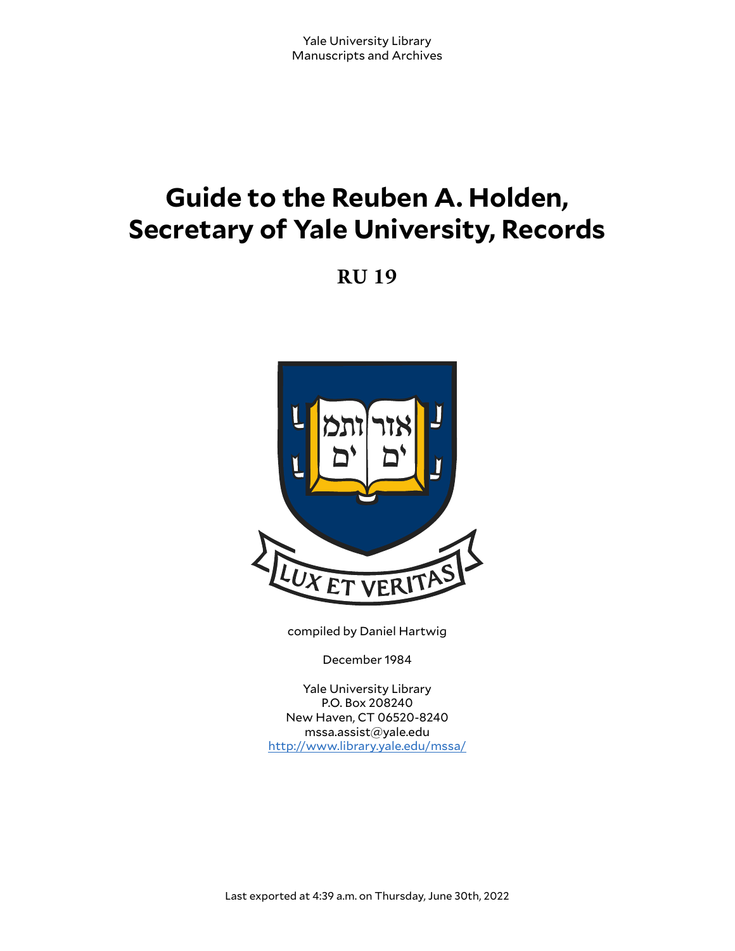# **Guide to the Reuben A. Holden, Secretary of Yale University, Records**

**RU 19**



compiled by Daniel Hartwig

December 1984

Yale University Library P.O. Box 208240 New Haven, CT 06520-8240 mssa.assist@yale.edu <http://www.library.yale.edu/mssa/>

Last exported at 4:39 a.m. on Thursday, June 30th, 2022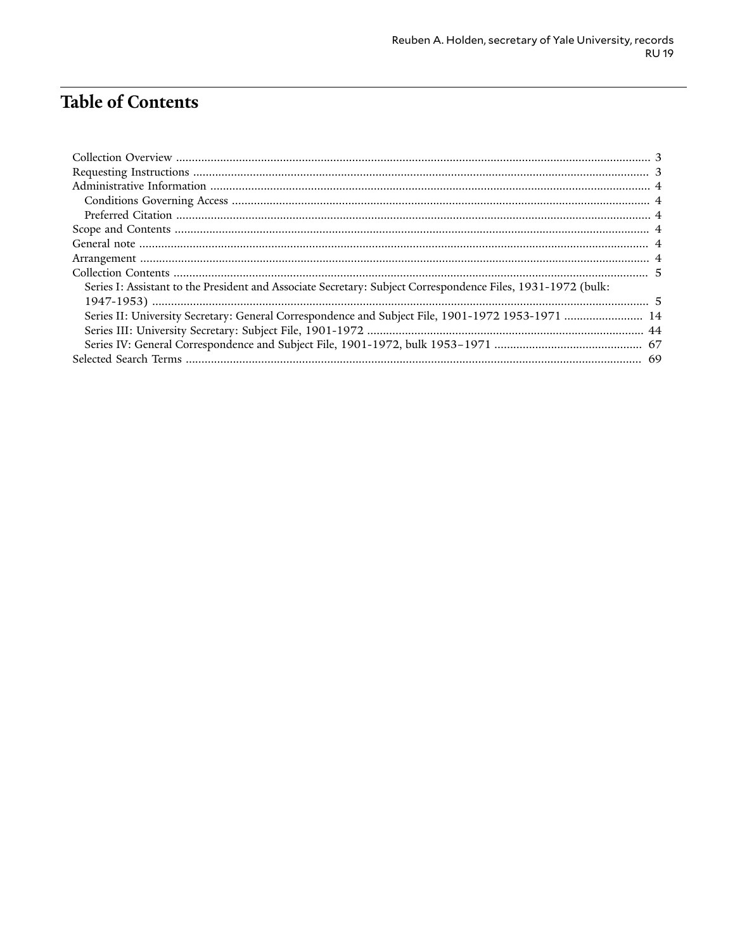# **Table of Contents**

| Series I: Assistant to the President and Associate Secretary: Subject Correspondence Files, 1931-1972 (bulk: |  |
|--------------------------------------------------------------------------------------------------------------|--|
|                                                                                                              |  |
| Series II: University Secretary: General Correspondence and Subject File, 1901-1972 1953-1971  14            |  |
|                                                                                                              |  |
|                                                                                                              |  |
|                                                                                                              |  |
|                                                                                                              |  |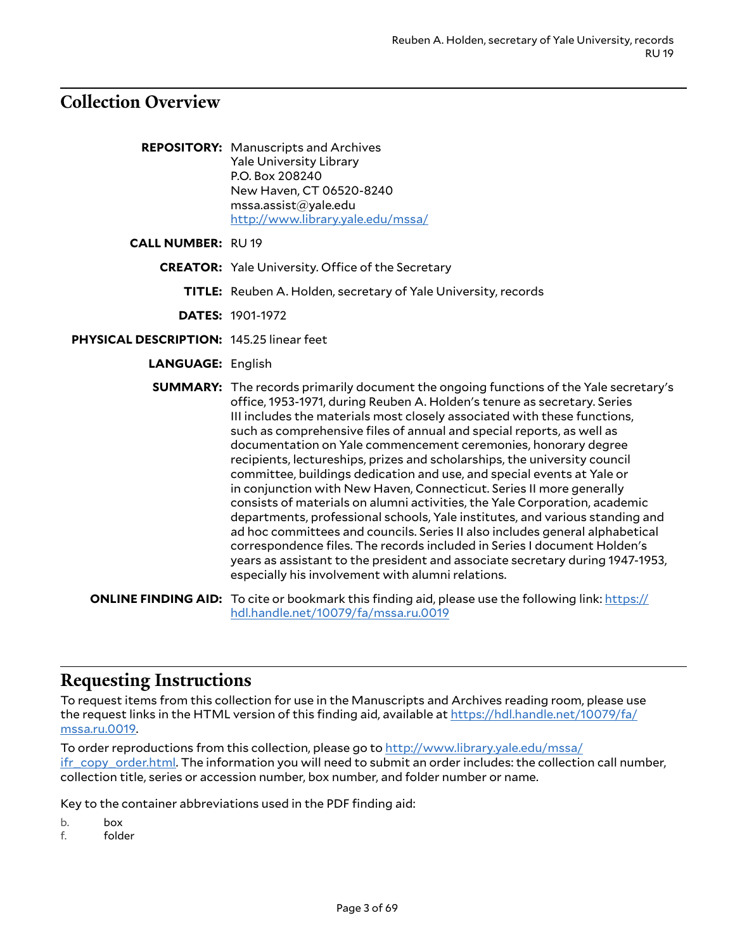# <span id="page-2-0"></span>**Collection Overview**

- **REPOSITORY:** Manuscripts and Archives Yale University Library P.O. Box 208240 New Haven, CT 06520-8240 mssa.assist@yale.edu <http://www.library.yale.edu/mssa/>
- **CALL NUMBER:** RU 19
	- **CREATOR:** Yale University. Office of the Secretary
		- **TITLE:** Reuben A. Holden, secretary of Yale University, records

**DATES:** 1901-1972

- **PHYSICAL DESCRIPTION:** 145.25 linear feet
	- **LANGUAGE:** English

**SUMMARY:** The records primarily document the ongoing functions of the Yale secretary's office, 1953-1971, during Reuben A. Holden's tenure as secretary. Series III includes the materials most closely associated with these functions, such as comprehensive files of annual and special reports, as well as documentation on Yale commencement ceremonies, honorary degree recipients, lectureships, prizes and scholarships, the university council committee, buildings dedication and use, and special events at Yale or in conjunction with New Haven, Connecticut. Series II more generally consists of materials on alumni activities, the Yale Corporation, academic departments, professional schools, Yale institutes, and various standing and ad hoc committees and councils. Series II also includes general alphabetical correspondence files. The records included in Series I document Holden's years as assistant to the president and associate secretary during 1947-1953, especially his involvement with alumni relations.

**ONLINE FINDING AID:** To cite or bookmark this finding aid, please use the following link: [https://](https://hdl.handle.net/10079/fa/mssa.ru.0019) [hdl.handle.net/10079/fa/mssa.ru.0019](https://hdl.handle.net/10079/fa/mssa.ru.0019)

### <span id="page-2-1"></span>**Requesting Instructions**

To request items from this collection for use in the Manuscripts and Archives reading room, please use the request links in the HTML version of this finding aid, available at [https://hdl.handle.net/10079/fa/](https://hdl.handle.net/10079/fa/mssa.ru.0019) [mssa.ru.0019](https://hdl.handle.net/10079/fa/mssa.ru.0019).

To order reproductions from this collection, please go to [http://www.library.yale.edu/mssa/](http://www.library.yale.edu/mssa/ifr_copy_order.html)  $i$ fr\_copy\_order.html. The information you will need to submit an order includes: the collection call number, collection title, series or accession number, box number, and folder number or name.

Key to the container abbreviations used in the PDF finding aid:

b. box

f. folder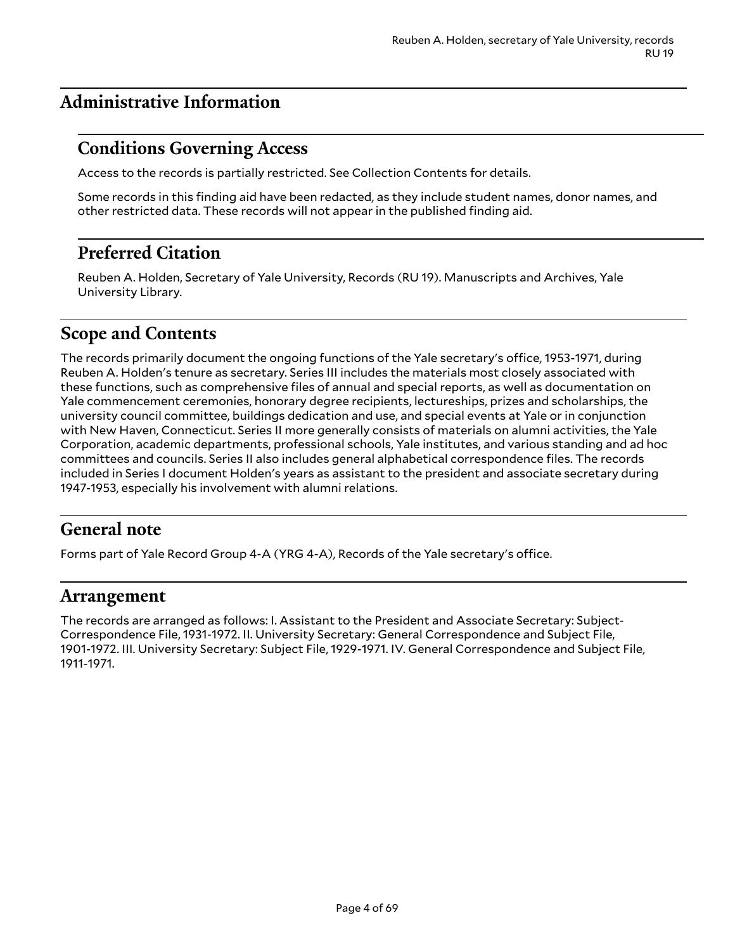# <span id="page-3-0"></span>**Administrative Information**

# <span id="page-3-1"></span>**Conditions Governing Access**

Access to the records is partially restricted. See Collection Contents for details.

Some records in this finding aid have been redacted, as they include student names, donor names, and other restricted data. These records will not appear in the published finding aid.

# <span id="page-3-2"></span>**Preferred Citation**

Reuben A. Holden, Secretary of Yale University, Records (RU 19). Manuscripts and Archives, Yale University Library.

# <span id="page-3-3"></span>**Scope and Contents**

The records primarily document the ongoing functions of the Yale secretary's office, 1953-1971, during Reuben A. Holden's tenure as secretary. Series III includes the materials most closely associated with these functions, such as comprehensive files of annual and special reports, as well as documentation on Yale commencement ceremonies, honorary degree recipients, lectureships, prizes and scholarships, the university council committee, buildings dedication and use, and special events at Yale or in conjunction with New Haven, Connecticut. Series II more generally consists of materials on alumni activities, the Yale Corporation, academic departments, professional schools, Yale institutes, and various standing and ad hoc committees and councils. Series II also includes general alphabetical correspondence files. The records included in Series I document Holden's years as assistant to the president and associate secretary during 1947-1953, especially his involvement with alumni relations.

# <span id="page-3-4"></span>**General note**

Forms part of Yale Record Group 4-A (YRG 4-A), Records of the Yale secretary's office.

### <span id="page-3-5"></span>**Arrangement**

The records are arranged as follows: I. Assistant to the President and Associate Secretary: Subject-Correspondence File, 1931-1972. II. University Secretary: General Correspondence and Subject File, 1901-1972. III. University Secretary: Subject File, 1929-1971. IV. General Correspondence and Subject File, 1911-1971.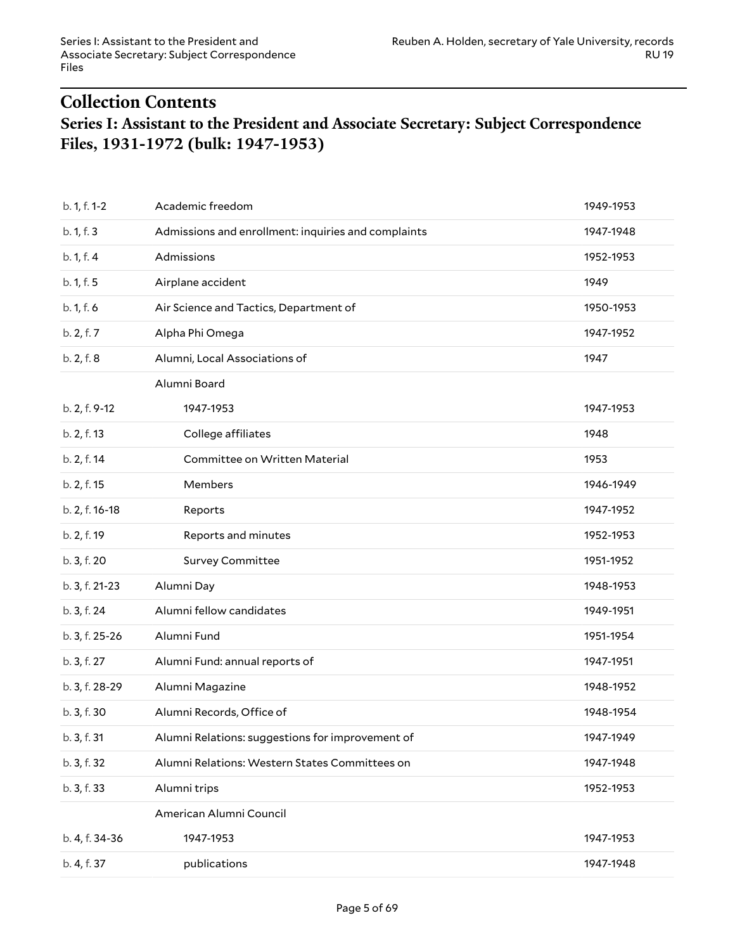# <span id="page-4-1"></span><span id="page-4-0"></span>**Collection Contents Series I: Assistant to the President and Associate Secretary: Subject Correspondence Files, 1931-1972 (bulk: 1947-1953)**

| b. 1, f. 1-2   | Academic freedom                                    | 1949-1953 |
|----------------|-----------------------------------------------------|-----------|
| b. 1, f. 3     | Admissions and enrollment: inquiries and complaints | 1947-1948 |
| b. 1, f. 4     | Admissions                                          | 1952-1953 |
| b. 1, f. 5     | Airplane accident                                   | 1949      |
| b. 1, f. 6     | Air Science and Tactics, Department of              | 1950-1953 |
| b. 2, f. 7     | Alpha Phi Omega                                     | 1947-1952 |
| b. 2, f. 8     | Alumni, Local Associations of                       | 1947      |
|                | Alumni Board                                        |           |
| b. 2, f. 9-12  | 1947-1953                                           | 1947-1953 |
| b. 2, f. 13    | College affiliates                                  | 1948      |
| b. 2, f. 14    | Committee on Written Material                       | 1953      |
| b. 2, f. 15    | Members                                             | 1946-1949 |
| b. 2, f. 16-18 | Reports                                             | 1947-1952 |
| b. 2, f. 19    | Reports and minutes                                 | 1952-1953 |
| b. 3, f. 20    | <b>Survey Committee</b>                             | 1951-1952 |
| b. 3, f. 21-23 | Alumni Day                                          | 1948-1953 |
| b. 3, f. 24    | Alumni fellow candidates                            | 1949-1951 |
| b. 3, f. 25-26 | Alumni Fund                                         | 1951-1954 |
| b. 3, f. 27    | Alumni Fund: annual reports of                      | 1947-1951 |
| b. 3, f. 28-29 | Alumni Magazine                                     | 1948-1952 |
| b. 3, f. 30    | Alumni Records, Office of                           | 1948-1954 |
| b. 3, f. 31    | Alumni Relations: suggestions for improvement of    | 1947-1949 |
| b. 3, f. 32    | Alumni Relations: Western States Committees on      | 1947-1948 |
| b. 3, f. 33    | Alumni trips                                        | 1952-1953 |
|                | American Alumni Council                             |           |
| b. 4, f. 34-36 | 1947-1953                                           | 1947-1953 |
| b. 4, f. 37    | publications                                        | 1947-1948 |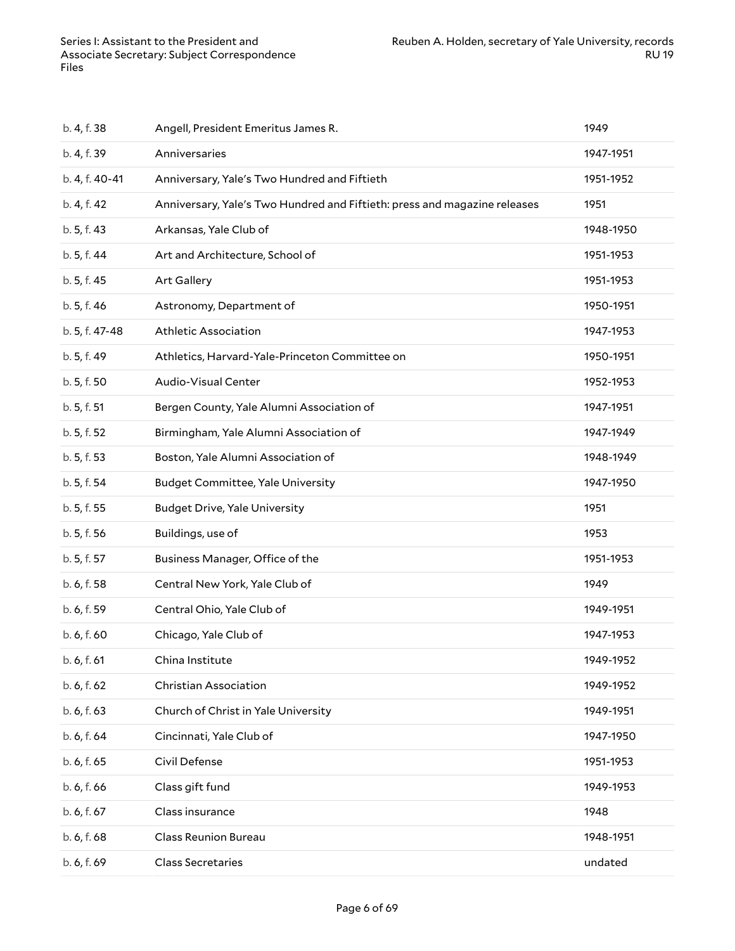| b. 4, f. 38    | Angell, President Emeritus James R.                                       | 1949      |
|----------------|---------------------------------------------------------------------------|-----------|
| b. 4, f. 39    | Anniversaries                                                             | 1947-1951 |
| b. 4, f. 40-41 | Anniversary, Yale's Two Hundred and Fiftieth                              | 1951-1952 |
| b. 4, f. 42    | Anniversary, Yale's Two Hundred and Fiftieth: press and magazine releases | 1951      |
| b. 5, f. 43    | Arkansas, Yale Club of                                                    | 1948-1950 |
| b. 5, f. 44    | Art and Architecture, School of                                           | 1951-1953 |
| b. 5, f. 45    | Art Gallery                                                               | 1951-1953 |
| b. 5, f. 46    | Astronomy, Department of                                                  | 1950-1951 |
| b. 5, f. 47-48 | Athletic Association                                                      | 1947-1953 |
| b. 5, f. 49    | Athletics, Harvard-Yale-Princeton Committee on                            | 1950-1951 |
| b. 5, f. 50    | Audio-Visual Center                                                       | 1952-1953 |
| b. 5, f. 51    | Bergen County, Yale Alumni Association of                                 | 1947-1951 |
| b. 5, f. 52    | Birmingham, Yale Alumni Association of                                    | 1947-1949 |
| b. 5, f. 53    | Boston, Yale Alumni Association of                                        | 1948-1949 |
| b. 5, f. 54    | <b>Budget Committee, Yale University</b>                                  | 1947-1950 |
| b. 5, f. 55    | <b>Budget Drive, Yale University</b>                                      | 1951      |
| b. 5, f. 56    | Buildings, use of                                                         | 1953      |
| b. 5, f. 57    | Business Manager, Office of the                                           | 1951-1953 |
| b. 6, f. 58    | Central New York, Yale Club of                                            | 1949      |
| b. 6, f. 59    | Central Ohio, Yale Club of                                                | 1949-1951 |
| b. 6, f. 60    | Chicago, Yale Club of                                                     | 1947-1953 |
| b. 6, f. 61    | China Institute                                                           | 1949-1952 |
| b. 6, f. 62    | Christian Association                                                     | 1949-1952 |
| b. 6, f. 63    | Church of Christ in Yale University                                       | 1949-1951 |
| b. 6, f. 64    | Cincinnati, Yale Club of                                                  | 1947-1950 |
| b. 6, f. 65    | Civil Defense                                                             | 1951-1953 |
| b. 6, f. 66    | Class gift fund                                                           | 1949-1953 |
| b. 6, f. 67    | Class insurance                                                           | 1948      |
| b. 6, f. 68    | <b>Class Reunion Bureau</b>                                               | 1948-1951 |
| b. 6, f. 69    | <b>Class Secretaries</b>                                                  | undated   |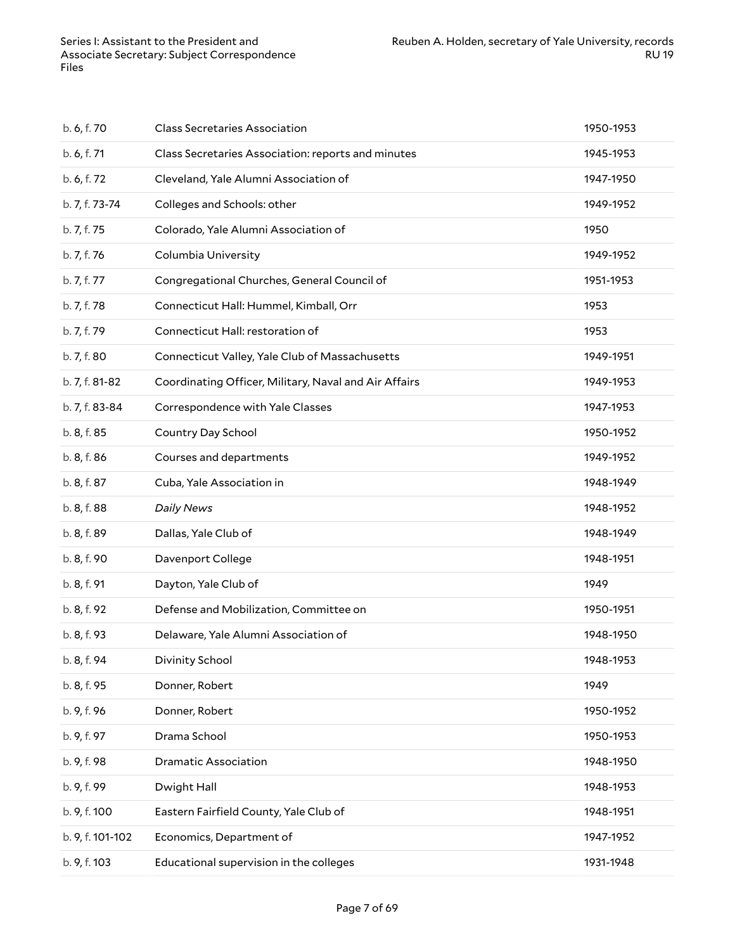| b. 6, f. 70      | <b>Class Secretaries Association</b>                  | 1950-1953 |
|------------------|-------------------------------------------------------|-----------|
| b. 6, f. 71      | Class Secretaries Association: reports and minutes    | 1945-1953 |
| b. 6, f. 72      | Cleveland, Yale Alumni Association of                 | 1947-1950 |
| b. 7, f. 73-74   | Colleges and Schools: other                           | 1949-1952 |
| b. 7, f. 75      | Colorado, Yale Alumni Association of                  | 1950      |
| b. 7, f. 76      | Columbia University                                   | 1949-1952 |
| b. 7, f. 77      | Congregational Churches, General Council of           | 1951-1953 |
| b. 7, f. 78      | Connecticut Hall: Hummel, Kimball, Orr                | 1953      |
| b. 7, f. 79      | Connecticut Hall: restoration of                      | 1953      |
| b. 7, f. 80      | Connecticut Valley, Yale Club of Massachusetts        | 1949-1951 |
| b. 7, f. 81-82   | Coordinating Officer, Military, Naval and Air Affairs | 1949-1953 |
| b. 7, f. 83-84   | Correspondence with Yale Classes                      | 1947-1953 |
| b. 8, f. 85      | Country Day School                                    | 1950-1952 |
| b. 8, f. 86      | Courses and departments                               | 1949-1952 |
| b. 8, f. 87      | Cuba, Yale Association in                             | 1948-1949 |
| b. 8, f. 88      | <b>Daily News</b>                                     | 1948-1952 |
| b. 8, f. 89      | Dallas, Yale Club of                                  | 1948-1949 |
| b. 8, f. 90      | Davenport College                                     | 1948-1951 |
| b. 8, f. 91      | Dayton, Yale Club of                                  | 1949      |
| b. 8, f. 92      | Defense and Mobilization, Committee on                | 1950-1951 |
| b. 8, f. 93      | Delaware, Yale Alumni Association of                  | 1948-1950 |
| b. 8, f. 94      | Divinity School                                       | 1948-1953 |
| b. 8, f. 95      | Donner, Robert                                        | 1949      |
| b. 9, f. 96      | Donner, Robert                                        | 1950-1952 |
| b. 9, f. 97      | Drama School                                          | 1950-1953 |
| b. 9, f. 98      | <b>Dramatic Association</b>                           | 1948-1950 |
| b. 9, f. 99      | Dwight Hall                                           | 1948-1953 |
| b. 9, f. 100     | Eastern Fairfield County, Yale Club of                | 1948-1951 |
| b. 9, f. 101-102 | Economics, Department of                              | 1947-1952 |
| b. 9, f. 103     | Educational supervision in the colleges               | 1931-1948 |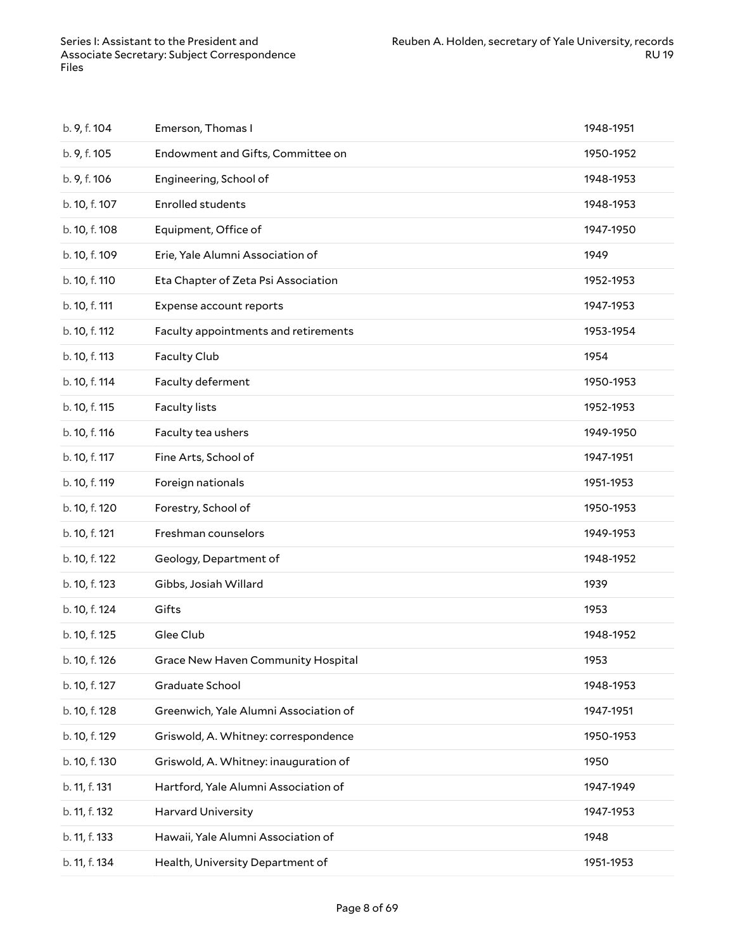| b. 9, f. 104  | Emerson, Thomas I                     | 1948-1951 |
|---------------|---------------------------------------|-----------|
| b. 9, f. 105  | Endowment and Gifts, Committee on     | 1950-1952 |
| b. 9, f. 106  | Engineering, School of                | 1948-1953 |
| b. 10, f. 107 | <b>Enrolled students</b>              | 1948-1953 |
| b. 10, f. 108 | Equipment, Office of                  | 1947-1950 |
| b. 10, f. 109 | Erie, Yale Alumni Association of      | 1949      |
| b. 10, f. 110 | Eta Chapter of Zeta Psi Association   | 1952-1953 |
| b. 10, f. 111 | Expense account reports               | 1947-1953 |
| b. 10, f. 112 | Faculty appointments and retirements  | 1953-1954 |
| b. 10, f. 113 | Faculty Club                          | 1954      |
| b. 10, f. 114 | Faculty deferment                     | 1950-1953 |
| b. 10, f. 115 | <b>Faculty lists</b>                  | 1952-1953 |
| b. 10, f. 116 | Faculty tea ushers                    | 1949-1950 |
| b. 10, f. 117 | Fine Arts, School of                  | 1947-1951 |
| b. 10, f. 119 | Foreign nationals                     | 1951-1953 |
| b. 10, f. 120 | Forestry, School of                   | 1950-1953 |
| b. 10, f. 121 | Freshman counselors                   | 1949-1953 |
| b. 10, f. 122 | Geology, Department of                | 1948-1952 |
| b. 10, f. 123 | Gibbs, Josiah Willard                 | 1939      |
| b. 10, f. 124 | Gifts                                 | 1953      |
| b. 10, f. 125 | Glee Club                             | 1948-1952 |
| b. 10, f. 126 | Grace New Haven Community Hospital    | 1953      |
| b. 10, f. 127 | Graduate School                       | 1948-1953 |
| b. 10, f. 128 | Greenwich, Yale Alumni Association of | 1947-1951 |
| b. 10, f. 129 | Griswold, A. Whitney: correspondence  | 1950-1953 |
| b. 10, f. 130 | Griswold, A. Whitney: inauguration of | 1950      |
| b. 11, f. 131 | Hartford, Yale Alumni Association of  | 1947-1949 |
| b. 11, f. 132 | <b>Harvard University</b>             | 1947-1953 |
| b. 11, f. 133 | Hawaii, Yale Alumni Association of    | 1948      |
| b. 11, f. 134 | Health, University Department of      | 1951-1953 |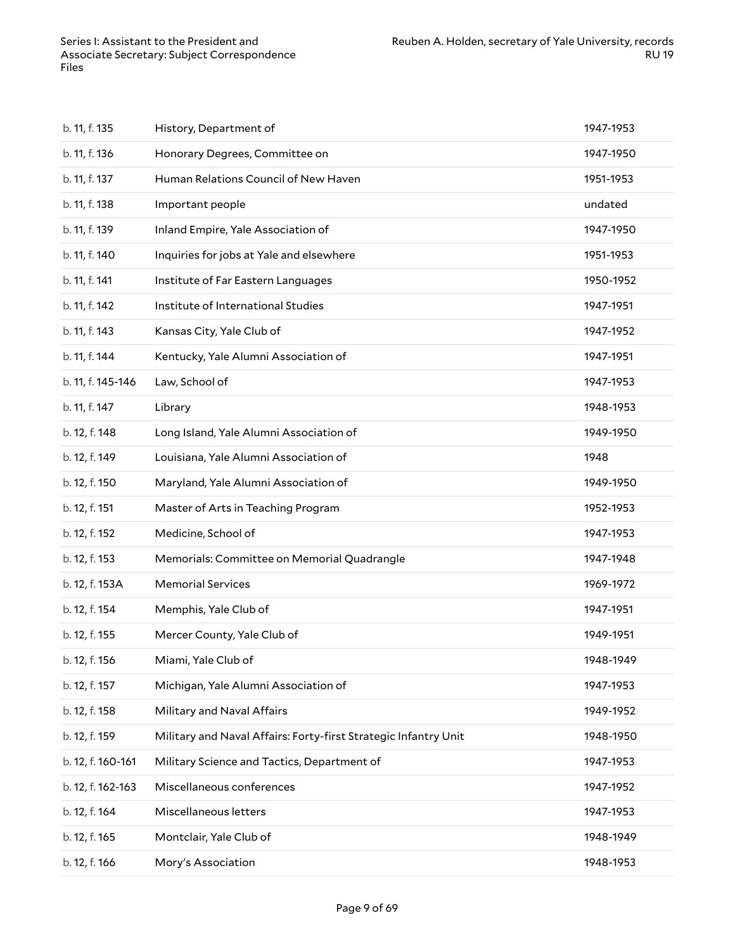| b. 11, f. 135     | History, Department of                                          | 1947-1953 |
|-------------------|-----------------------------------------------------------------|-----------|
| b. 11, f. 136     | Honorary Degrees, Committee on                                  | 1947-1950 |
| b. 11, f. 137     | Human Relations Council of New Haven                            | 1951-1953 |
| b. 11, f. 138     | Important people                                                | undated   |
| b. 11, f. 139     | Inland Empire, Yale Association of                              | 1947-1950 |
| b. 11, f. 140     | Inquiries for jobs at Yale and elsewhere                        | 1951-1953 |
| b. 11, f. 141     | Institute of Far Eastern Languages                              | 1950-1952 |
| b. 11, f. 142     | Institute of International Studies                              | 1947-1951 |
| b. 11, f. 143     | Kansas City, Yale Club of                                       | 1947-1952 |
| b. 11, f. 144     | Kentucky, Yale Alumni Association of                            | 1947-1951 |
| b. 11, f. 145-146 | Law, School of                                                  | 1947-1953 |
| b. 11, f. 147     | Library                                                         | 1948-1953 |
| b. 12, f. 148     | Long Island, Yale Alumni Association of                         | 1949-1950 |
| b. 12, f. 149     | Louisiana, Yale Alumni Association of                           | 1948      |
| b. 12, f. 150     | Maryland, Yale Alumni Association of                            | 1949-1950 |
| b. 12, f. 151     | Master of Arts in Teaching Program                              | 1952-1953 |
| b. 12, f. 152     | Medicine, School of                                             | 1947-1953 |
| b. 12, f. 153     | Memorials: Committee on Memorial Quadrangle                     | 1947-1948 |
| b. 12, f. 153A    | <b>Memorial Services</b>                                        | 1969-1972 |
| b. 12, f. 154     | Memphis, Yale Club of                                           | 1947-1951 |
| b. 12, f. 155     | Mercer County, Yale Club of                                     | 1949-1951 |
| b. 12, f. 156     | Miami, Yale Club of                                             | 1948-1949 |
| b. 12, f. 157     | Michigan, Yale Alumni Association of                            | 1947-1953 |
| b. 12, f. 158     | Military and Naval Affairs                                      | 1949-1952 |
| b. 12, f. 159     | Military and Naval Affairs: Forty-first Strategic Infantry Unit | 1948-1950 |
| b. 12, f. 160-161 | Military Science and Tactics, Department of                     | 1947-1953 |
| b. 12, f. 162-163 | Miscellaneous conferences                                       | 1947-1952 |
| b. 12, f. 164     | Miscellaneous letters                                           | 1947-1953 |
| b. 12, f. 165     | Montclair, Yale Club of                                         | 1948-1949 |
| b. 12, f. 166     | Mory's Association                                              | 1948-1953 |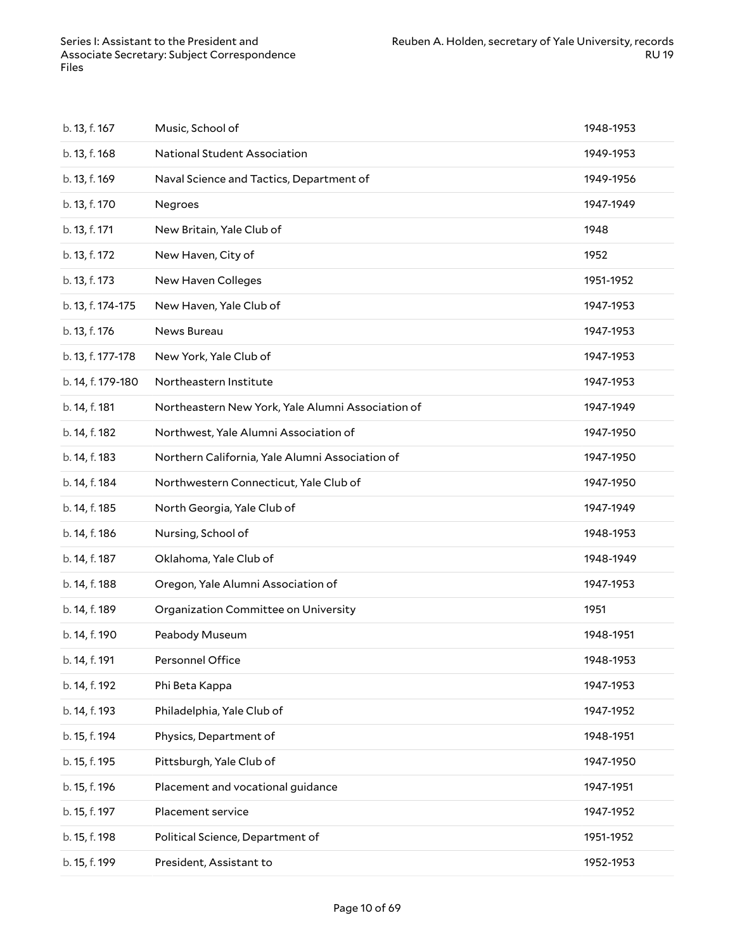| b. 13, f. 167     | Music, School of                                  | 1948-1953 |
|-------------------|---------------------------------------------------|-----------|
| b. 13, f. 168     | National Student Association                      | 1949-1953 |
| b. 13, f. 169     | Naval Science and Tactics, Department of          | 1949-1956 |
| b. 13, f. 170     | Negroes                                           | 1947-1949 |
| b. 13, f. 171     | New Britain, Yale Club of                         | 1948      |
| b. 13, f. 172     | New Haven, City of                                | 1952      |
| b. 13, f. 173     | New Haven Colleges                                | 1951-1952 |
| b. 13, f. 174-175 | New Haven, Yale Club of                           | 1947-1953 |
| b. 13, f. 176     | News Bureau                                       | 1947-1953 |
| b. 13, f. 177-178 | New York, Yale Club of                            | 1947-1953 |
| b. 14, f. 179-180 | Northeastern Institute                            | 1947-1953 |
| b. 14, f. 181     | Northeastern New York, Yale Alumni Association of | 1947-1949 |
| b. 14, f. 182     | Northwest, Yale Alumni Association of             | 1947-1950 |
| b. 14, f. 183     | Northern California, Yale Alumni Association of   | 1947-1950 |
| b. 14, f. 184     | Northwestern Connecticut, Yale Club of            | 1947-1950 |
| b. 14, f. 185     | North Georgia, Yale Club of                       | 1947-1949 |
| b. 14, f. 186     | Nursing, School of                                | 1948-1953 |
| b. 14, f. 187     | Oklahoma, Yale Club of                            | 1948-1949 |
| b. 14, f. 188     | Oregon, Yale Alumni Association of                | 1947-1953 |
| b. 14, f. 189     | Organization Committee on University              | 1951      |
| b. 14, f. 190     | Peabody Museum                                    | 1948-1951 |
| b. 14, f. 191     | Personnel Office                                  | 1948-1953 |
| b. 14, f. 192     | Phi Beta Kappa                                    | 1947-1953 |
| b. 14, f. 193     | Philadelphia, Yale Club of                        | 1947-1952 |
| b. 15, f. 194     | Physics, Department of                            | 1948-1951 |
| b. 15, f. 195     | Pittsburgh, Yale Club of                          | 1947-1950 |
| b. 15, f. 196     | Placement and vocational guidance                 | 1947-1951 |
| b. 15, f. 197     | Placement service                                 | 1947-1952 |
| b. 15, f. 198     | Political Science, Department of                  | 1951-1952 |
| b. 15, f. 199     | President, Assistant to                           | 1952-1953 |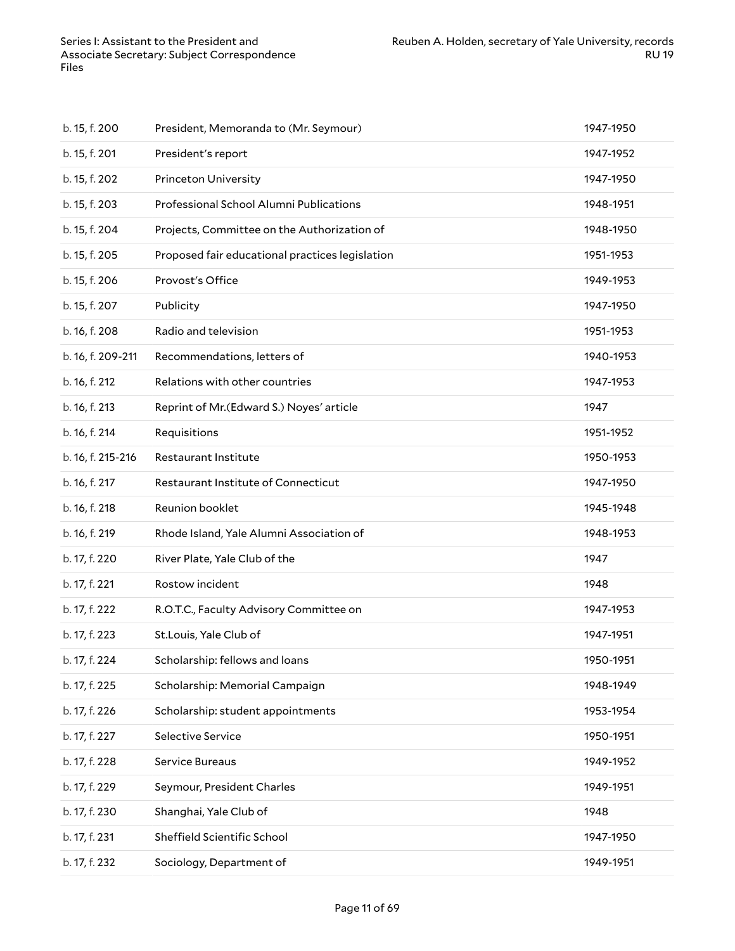| b. 15, f. 200     | President, Memoranda to (Mr. Seymour)           | 1947-1950 |
|-------------------|-------------------------------------------------|-----------|
| b. 15, f. 201     | President's report                              | 1947-1952 |
| b. 15, f. 202     | <b>Princeton University</b>                     | 1947-1950 |
| b. 15, f. 203     | Professional School Alumni Publications         | 1948-1951 |
| b. 15, f. 204     | Projects, Committee on the Authorization of     | 1948-1950 |
| b. 15, f. 205     | Proposed fair educational practices legislation | 1951-1953 |
| b. 15, f. 206     | Provost's Office                                | 1949-1953 |
| b. 15, f. 207     | Publicity                                       | 1947-1950 |
| b. 16, f. 208     | Radio and television                            | 1951-1953 |
| b. 16, f. 209-211 | Recommendations, letters of                     | 1940-1953 |
| b. 16, f. 212     | Relations with other countries                  | 1947-1953 |
| b. 16, f. 213     | Reprint of Mr. (Edward S.) Noyes' article       | 1947      |
| b. 16, f. 214     | Requisitions                                    | 1951-1952 |
| b. 16, f. 215-216 | <b>Restaurant Institute</b>                     | 1950-1953 |
| b. 16, f. 217     | Restaurant Institute of Connecticut             | 1947-1950 |
| b. 16, f. 218     | Reunion booklet                                 | 1945-1948 |
| b. 16, f. 219     | Rhode Island, Yale Alumni Association of        | 1948-1953 |
| b. 17, f. 220     | River Plate, Yale Club of the                   | 1947      |
| b. 17, f. 221     | Rostow incident                                 | 1948      |
| b. 17, f. 222     | R.O.T.C., Faculty Advisory Committee on         | 1947-1953 |
| b. 17, f. 223     | St.Louis, Yale Club of                          | 1947-1951 |
| b. 17, f. 224     | Scholarship: fellows and loans                  | 1950-1951 |
| b. 17, f. 225     | Scholarship: Memorial Campaign                  | 1948-1949 |
| b. 17, f. 226     | Scholarship: student appointments               | 1953-1954 |
| b. 17, f. 227     | Selective Service                               | 1950-1951 |
| b. 17, f. 228     | Service Bureaus                                 | 1949-1952 |
| b. 17, f. 229     | Seymour, President Charles                      | 1949-1951 |
| b. 17, f. 230     | Shanghai, Yale Club of                          | 1948      |
| b. 17, f. 231     | Sheffield Scientific School                     | 1947-1950 |
| b. 17, f. 232     | Sociology, Department of                        | 1949-1951 |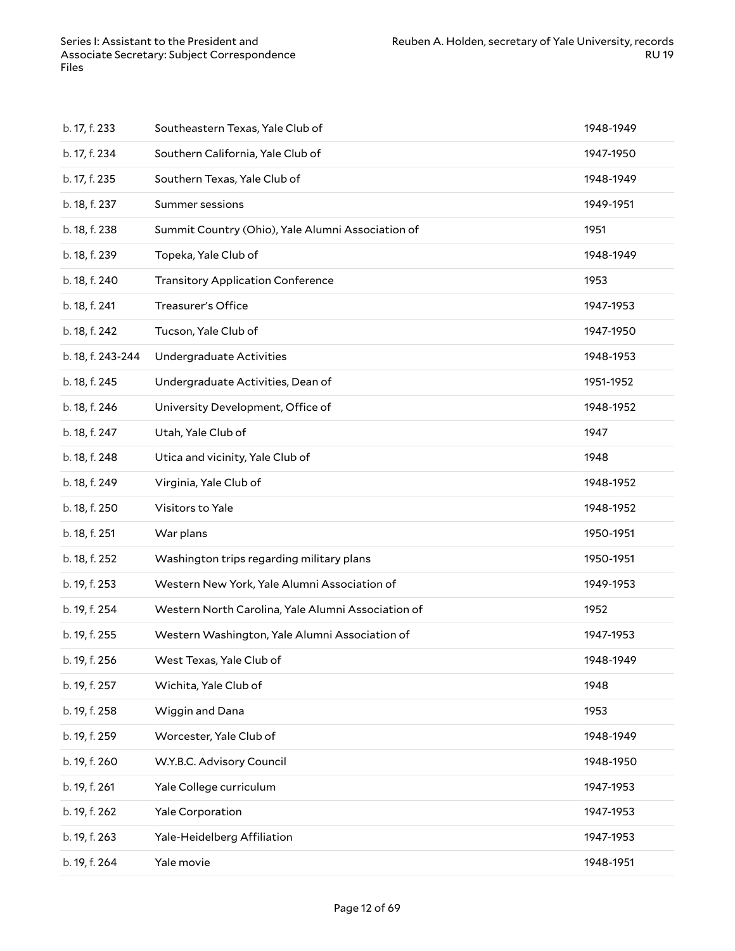| b. 17, f. 233     | Southeastern Texas, Yale Club of                   | 1948-1949 |
|-------------------|----------------------------------------------------|-----------|
| b. 17, f. 234     | Southern California, Yale Club of                  | 1947-1950 |
| b. 17, f. 235     | Southern Texas, Yale Club of                       | 1948-1949 |
| b. 18, f. 237     | Summer sessions                                    | 1949-1951 |
| b. 18, f. 238     | Summit Country (Ohio), Yale Alumni Association of  | 1951      |
| b. 18, f. 239     | Topeka, Yale Club of                               | 1948-1949 |
| b. 18, f. 240     | <b>Transitory Application Conference</b>           | 1953      |
| b. 18, f. 241     | Treasurer's Office                                 | 1947-1953 |
| b. 18, f. 242     | Tucson, Yale Club of                               | 1947-1950 |
| b. 18, f. 243-244 | Undergraduate Activities                           | 1948-1953 |
| b. 18, f. 245     | Undergraduate Activities, Dean of                  | 1951-1952 |
| b. 18, f. 246     | University Development, Office of                  | 1948-1952 |
| b. 18, f. 247     | Utah, Yale Club of                                 | 1947      |
| b. 18, f. 248     | Utica and vicinity, Yale Club of                   | 1948      |
| b. 18, f. 249     | Virginia, Yale Club of                             | 1948-1952 |
| b. 18, f. 250     | Visitors to Yale                                   | 1948-1952 |
| b. 18, f. 251     | War plans                                          | 1950-1951 |
| b. 18, f. 252     | Washington trips regarding military plans          | 1950-1951 |
| b. 19, f. 253     | Western New York, Yale Alumni Association of       | 1949-1953 |
| b. 19, f. 254     | Western North Carolina, Yale Alumni Association of | 1952      |
| b. 19, f. 255     | Western Washington, Yale Alumni Association of     | 1947-1953 |
| b. 19, f. 256     | West Texas, Yale Club of                           | 1948-1949 |
| b. 19, f. 257     | Wichita, Yale Club of                              | 1948      |
| b. 19, f. 258     | Wiggin and Dana                                    | 1953      |
| b. 19, f. 259     | Worcester, Yale Club of                            | 1948-1949 |
| b. 19, f. 260     | W.Y.B.C. Advisory Council                          | 1948-1950 |
| b. 19, f. 261     | Yale College curriculum                            | 1947-1953 |
| b. 19, f. 262     | Yale Corporation                                   | 1947-1953 |
| b. 19, f. 263     | Yale-Heidelberg Affiliation                        | 1947-1953 |
| b. 19, f. 264     | Yale movie                                         | 1948-1951 |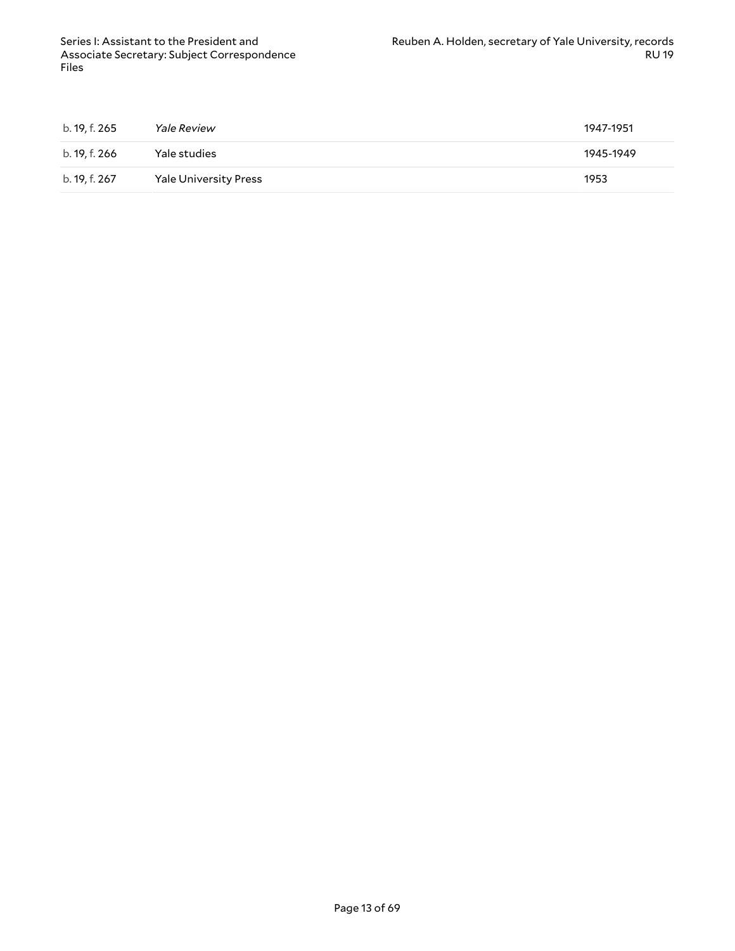| b. 19, f. 265 | <i>Yale Review</i>           | 1947-1951 |
|---------------|------------------------------|-----------|
| b. 19, f. 266 | Yale studies                 | 1945-1949 |
| b. 19, f. 267 | <b>Yale University Press</b> | 1953      |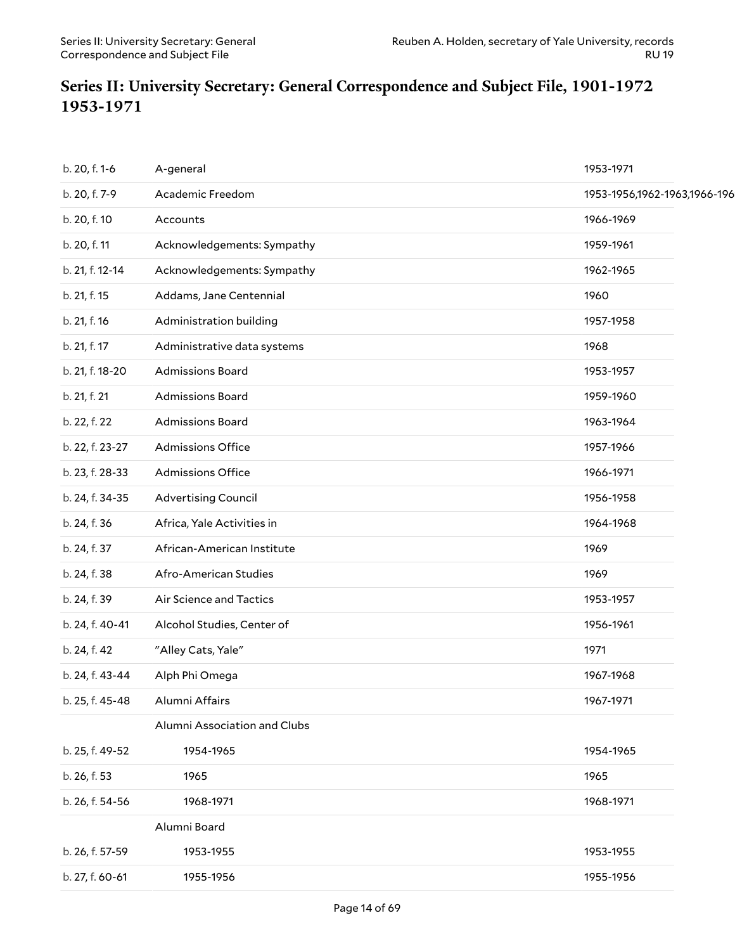### <span id="page-13-0"></span>**Series II: University Secretary: General Correspondence and Subject File, 1901-1972 1953-1971**

| b. 20, f. 1-6   | A-general                    | 1953-1971                    |
|-----------------|------------------------------|------------------------------|
| b. 20, f. 7-9   | Academic Freedom             | 1953-1956,1962-1963,1966-196 |
| b. 20, f. 10    | Accounts                     | 1966-1969                    |
| b. 20, f. 11    | Acknowledgements: Sympathy   | 1959-1961                    |
| b. 21, f. 12-14 | Acknowledgements: Sympathy   | 1962-1965                    |
| b. 21, f. 15    | Addams, Jane Centennial      | 1960                         |
| b. 21, f. 16    | Administration building      | 1957-1958                    |
| b. 21, f. 17    | Administrative data systems  | 1968                         |
| b. 21, f. 18-20 | Admissions Board             | 1953-1957                    |
| b. 21, f. 21    | Admissions Board             | 1959-1960                    |
| b. 22, f. 22    | Admissions Board             | 1963-1964                    |
| b. 22, f. 23-27 | <b>Admissions Office</b>     | 1957-1966                    |
| b. 23, f. 28-33 | <b>Admissions Office</b>     | 1966-1971                    |
| b. 24, f. 34-35 | <b>Advertising Council</b>   | 1956-1958                    |
| b. 24, f. 36    | Africa, Yale Activities in   | 1964-1968                    |
| b. 24, f. 37    | African-American Institute   | 1969                         |
| b. 24, f. 38    | Afro-American Studies        | 1969                         |
| b. 24, f. 39    | Air Science and Tactics      | 1953-1957                    |
| b. 24, f. 40-41 | Alcohol Studies, Center of   | 1956-1961                    |
| b. 24, f. 42    | "Alley Cats, Yale"           | 1971                         |
| b. 24, f. 43-44 | Alph Phi Omega               | 1967-1968                    |
| b. 25, f. 45-48 | Alumni Affairs               | 1967-1971                    |
|                 | Alumni Association and Clubs |                              |
| b. 25, f. 49-52 | 1954-1965                    | 1954-1965                    |
| b. 26, f. 53    | 1965                         | 1965                         |
| b. 26, f. 54-56 | 1968-1971                    | 1968-1971                    |
|                 | Alumni Board                 |                              |
| b. 26, f. 57-59 | 1953-1955                    | 1953-1955                    |
| b. 27, f. 60-61 | 1955-1956                    | 1955-1956                    |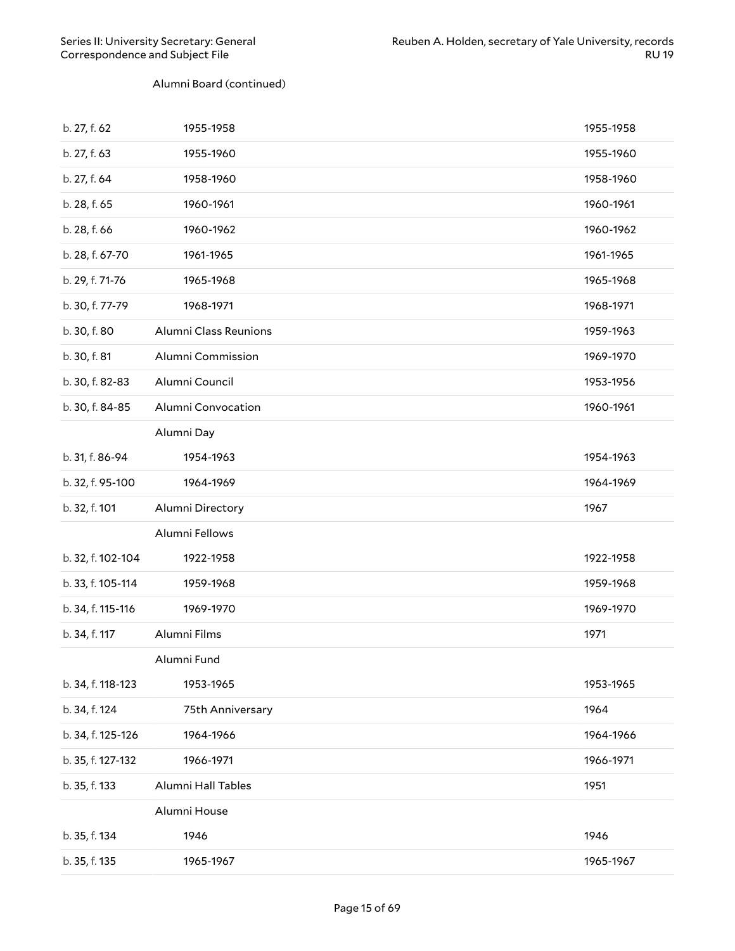#### Alumni Board (continued)

| b. 27, f. 62      | 1955-1958             | 1955-1958 |
|-------------------|-----------------------|-----------|
| b. 27, f. 63      | 1955-1960             | 1955-1960 |
| b. 27, f. 64      | 1958-1960             | 1958-1960 |
| b. 28, f. 65      | 1960-1961             | 1960-1961 |
| b. 28, f. 66      | 1960-1962             | 1960-1962 |
| b. 28, f. 67-70   | 1961-1965             | 1961-1965 |
| b. 29, f. 71-76   | 1965-1968             | 1965-1968 |
| b. 30, f. 77-79   | 1968-1971             | 1968-1971 |
| b. 30, f. 80      | Alumni Class Reunions | 1959-1963 |
| b. 30, f. 81      | Alumni Commission     | 1969-1970 |
| b. 30, f. 82-83   | Alumni Council        | 1953-1956 |
| b. 30, f. 84-85   | Alumni Convocation    | 1960-1961 |
|                   | Alumni Day            |           |
| b. 31, f. 86-94   | 1954-1963             | 1954-1963 |
| b. 32, f. 95-100  | 1964-1969             | 1964-1969 |
|                   |                       |           |
| b. 32, f. 101     | Alumni Directory      | 1967      |
|                   | Alumni Fellows        |           |
| b. 32, f. 102-104 | 1922-1958             | 1922-1958 |
| b. 33, f. 105-114 | 1959-1968             | 1959-1968 |
| b. 34, f. 115-116 | 1969-1970             | 1969-1970 |
| b. 34, f. 117     | Alumni Films          | 1971      |
|                   | Alumni Fund           |           |
| b. 34, f. 118-123 | 1953-1965             | 1953-1965 |
| b. 34, f. 124     | 75th Anniversary      | 1964      |
| b. 34, f. 125-126 | 1964-1966             | 1964-1966 |
| b. 35, f. 127-132 | 1966-1971             | 1966-1971 |
| b. 35, f. 133     | Alumni Hall Tables    | 1951      |
|                   | Alumni House          |           |
| b. 35, f. 134     | 1946                  | 1946      |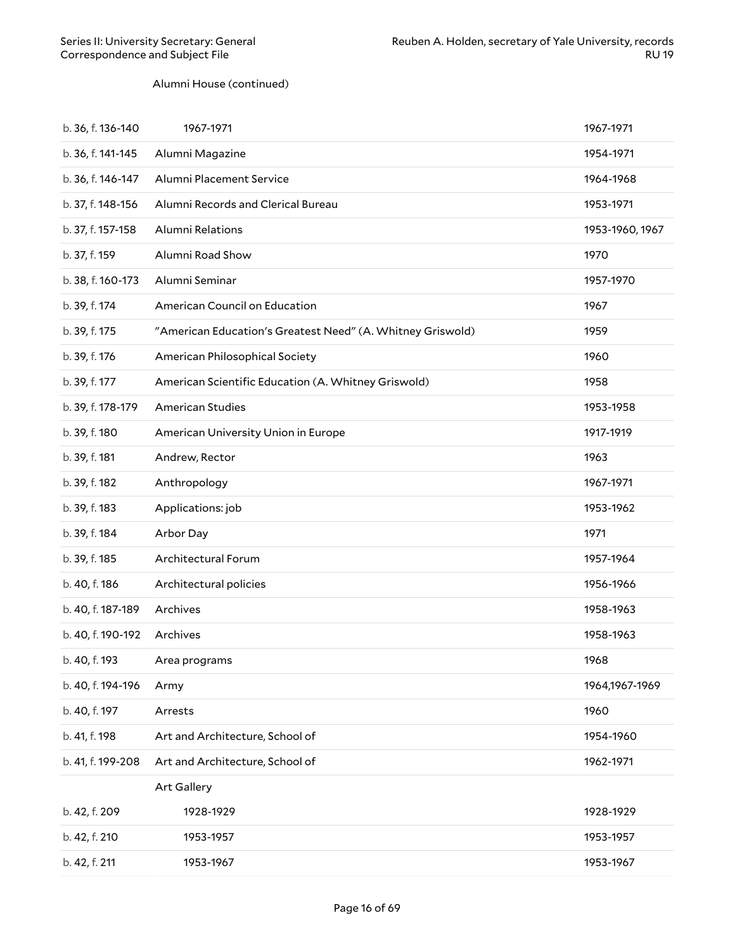#### Alumni House (continued)

| b. 36, f. 136-140 | 1967-1971                                                  | 1967-1971       |
|-------------------|------------------------------------------------------------|-----------------|
| b. 36, f. 141-145 | Alumni Magazine                                            | 1954-1971       |
| b. 36, f. 146-147 | Alumni Placement Service                                   | 1964-1968       |
| b. 37, f. 148-156 | Alumni Records and Clerical Bureau                         | 1953-1971       |
| b. 37, f. 157-158 | <b>Alumni Relations</b>                                    | 1953-1960, 1967 |
| b. 37, f. 159     | Alumni Road Show                                           | 1970            |
| b. 38, f. 160-173 | Alumni Seminar                                             | 1957-1970       |
| b. 39, f. 174     | American Council on Education                              | 1967            |
| b. 39, f. 175     | "American Education's Greatest Need" (A. Whitney Griswold) | 1959            |
| b. 39, f. 176     | American Philosophical Society                             | 1960            |
| b. 39, f. 177     | American Scientific Education (A. Whitney Griswold)        | 1958            |
| b. 39, f. 178-179 | <b>American Studies</b>                                    | 1953-1958       |
| b. 39, f. 180     | American University Union in Europe                        | 1917-1919       |
| b. 39, f. 181     | Andrew, Rector                                             | 1963            |
| b. 39, f. 182     | Anthropology                                               | 1967-1971       |
| b. 39, f. 183     | Applications: job                                          | 1953-1962       |
| b. 39, f. 184     | Arbor Day                                                  | 1971            |
| b. 39, f. 185     | Architectural Forum                                        | 1957-1964       |
| b. 40, f. 186     | Architectural policies                                     | 1956-1966       |
| b. 40, f. 187-189 | Archives                                                   | 1958-1963       |
| b. 40, f. 190-192 | Archives                                                   | 1958-1963       |
| b. 40, f. 193     | Area programs                                              | 1968            |
| b. 40, f. 194-196 | Army                                                       | 1964,1967-1969  |
| b. 40, f. 197     | Arrests                                                    | 1960            |
| b. 41, f. 198     | Art and Architecture, School of                            | 1954-1960       |
| b. 41, f. 199-208 | Art and Architecture, School of                            | 1962-1971       |
|                   | Art Gallery                                                |                 |
| b. 42, f. 209     | 1928-1929                                                  | 1928-1929       |
| b. 42, f. 210     | 1953-1957                                                  | 1953-1957       |
| b. 42, f. 211     | 1953-1967                                                  | 1953-1967       |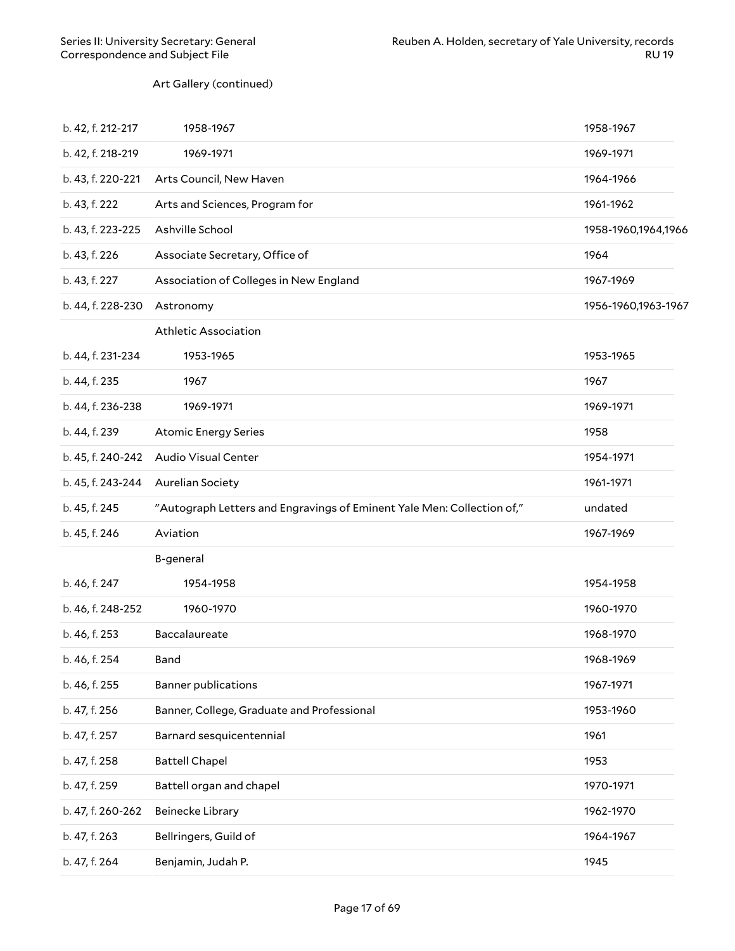#### Art Gallery (continued)

| b. 42, f. 212-217 | 1958-1967                                                              | 1958-1967           |
|-------------------|------------------------------------------------------------------------|---------------------|
| b. 42, f. 218-219 | 1969-1971                                                              | 1969-1971           |
| b. 43, f. 220-221 | Arts Council, New Haven                                                | 1964-1966           |
| b. 43, f. 222     | Arts and Sciences, Program for                                         | 1961-1962           |
| b. 43, f. 223-225 | Ashville School                                                        | 1958-1960,1964,1966 |
| b. 43, f. 226     | Associate Secretary, Office of                                         | 1964                |
| b. 43, f. 227     | Association of Colleges in New England                                 | 1967-1969           |
| b. 44, f. 228-230 | Astronomy                                                              | 1956-1960,1963-1967 |
|                   | <b>Athletic Association</b>                                            |                     |
| b. 44, f. 231-234 | 1953-1965                                                              | 1953-1965           |
| b. 44, f. 235     | 1967                                                                   | 1967                |
| b. 44, f. 236-238 | 1969-1971                                                              | 1969-1971           |
| b. 44, f. 239     | <b>Atomic Energy Series</b>                                            | 1958                |
| b. 45, f. 240-242 | Audio Visual Center                                                    | 1954-1971           |
| b. 45, f. 243-244 | <b>Aurelian Society</b>                                                | 1961-1971           |
| b. 45, f. 245     | "Autograph Letters and Engravings of Eminent Yale Men: Collection of," | undated             |
| b. 45, f. 246     | Aviation                                                               | 1967-1969           |
|                   | B-general                                                              |                     |
| b. 46, f. 247     | 1954-1958                                                              | 1954-1958           |
| b. 46, f. 248-252 | 1960-1970                                                              | 1960-1970           |
| b. 46, f. 253     | Baccalaureate                                                          | 1968-1970           |
| b. 46, f. 254     | Band                                                                   | 1968-1969           |
| b. 46, f. 255     | <b>Banner publications</b>                                             | 1967-1971           |
| b. 47, f. 256     | Banner, College, Graduate and Professional                             | 1953-1960           |
| b. 47, f. 257     | Barnard sesquicentennial                                               | 1961                |
| b. 47, f. 258     | <b>Battell Chapel</b>                                                  | 1953                |
| b. 47, f. 259     | Battell organ and chapel                                               | 1970-1971           |
| b. 47, f. 260-262 | Beinecke Library                                                       | 1962-1970           |
| b. 47, f. 263     | Bellringers, Guild of                                                  | 1964-1967           |
| b. 47, f. 264     | Benjamin, Judah P.                                                     | 1945                |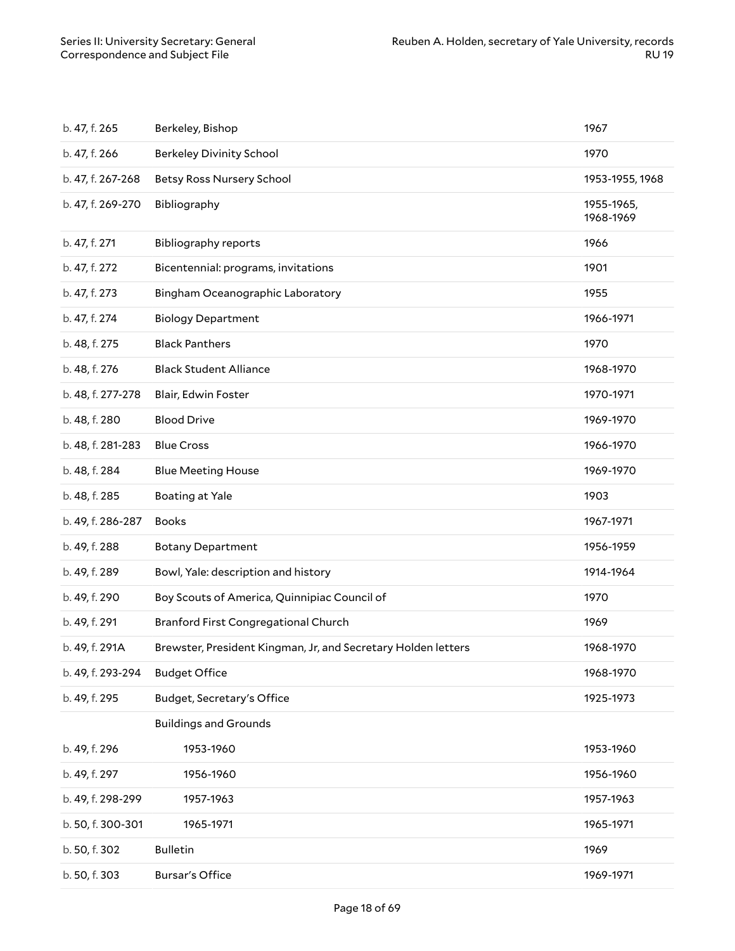<span id="page-17-0"></span>

| b. 47, f. 265     | Berkeley, Bishop                                              | 1967                    |
|-------------------|---------------------------------------------------------------|-------------------------|
| b. 47, f. 266     | <b>Berkeley Divinity School</b>                               | 1970                    |
| b. 47, f. 267-268 | <b>Betsy Ross Nursery School</b>                              | 1953-1955, 1968         |
| b. 47, f. 269-270 | Bibliography                                                  | 1955-1965,<br>1968-1969 |
| b. 47, f. 271     | <b>Bibliography reports</b>                                   | 1966                    |
| b. 47, f. 272     | Bicentennial: programs, invitations                           | 1901                    |
| b. 47, f. 273     | Bingham Oceanographic Laboratory                              | 1955                    |
| b. 47, f. 274     | <b>Biology Department</b>                                     | 1966-1971               |
| b. 48, f. 275     | <b>Black Panthers</b>                                         | 1970                    |
| b. 48, f. 276     | <b>Black Student Alliance</b>                                 | 1968-1970               |
| b. 48, f. 277-278 | Blair, Edwin Foster                                           | 1970-1971               |
| b. 48, f. 280     | <b>Blood Drive</b>                                            | 1969-1970               |
| b. 48, f. 281-283 | <b>Blue Cross</b>                                             | 1966-1970               |
| b. 48, f. 284     | <b>Blue Meeting House</b>                                     | 1969-1970               |
| b. 48, f. 285     | <b>Boating at Yale</b>                                        | 1903                    |
| b. 49, f. 286-287 | <b>Books</b>                                                  | 1967-1971               |
| b. 49, f. 288     | <b>Botany Department</b>                                      | 1956-1959               |
| b. 49, f. 289     | Bowl, Yale: description and history                           | 1914-1964               |
| b. 49, f. 290     | Boy Scouts of America, Quinnipiac Council of                  | 1970                    |
| b. 49, f. 291     | Branford First Congregational Church                          | 1969                    |
| b. 49, f. 291A    | Brewster, President Kingman, Jr, and Secretary Holden letters | 1968-1970               |
| b. 49, f. 293-294 | <b>Budget Office</b>                                          | 1968-1970               |
| b. 49, f. 295     | Budget, Secretary's Office                                    | 1925-1973               |
|                   | <b>Buildings and Grounds</b>                                  |                         |
| b. 49, f. 296     | 1953-1960                                                     | 1953-1960               |
| b. 49, f. 297     | 1956-1960                                                     | 1956-1960               |
| b. 49, f. 298-299 | 1957-1963                                                     | 1957-1963               |
| b. 50, f. 300-301 | 1965-1971                                                     | 1965-1971               |
| b. 50, f. 302     | <b>Bulletin</b>                                               | 1969                    |
| b. 50, f. 303     | <b>Bursar's Office</b>                                        | 1969-1971               |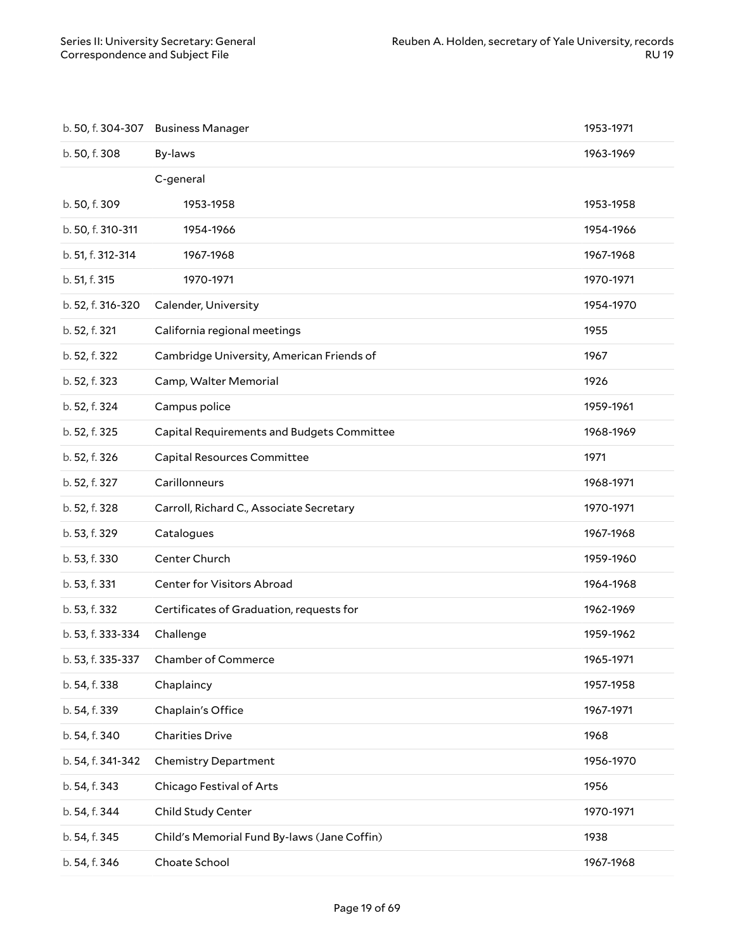| b. 50, f. 304-307 | <b>Business Manager</b>                     | 1953-1971 |
|-------------------|---------------------------------------------|-----------|
| b. 50, f. 308     | By-laws                                     | 1963-1969 |
|                   | C-general                                   |           |
| b. 50, f. 309     | 1953-1958                                   | 1953-1958 |
| b. 50, f. 310-311 | 1954-1966                                   | 1954-1966 |
| b. 51, f. 312-314 | 1967-1968                                   | 1967-1968 |
| b. 51, f. 315     | 1970-1971                                   | 1970-1971 |
| b. 52, f. 316-320 | Calender, University                        | 1954-1970 |
| b. 52, f. 321     | California regional meetings                | 1955      |
| b. 52, f. 322     | Cambridge University, American Friends of   | 1967      |
| b. 52, f. 323     | Camp, Walter Memorial                       | 1926      |
| b. 52, f. 324     | Campus police                               | 1959-1961 |
| b. 52, f. 325     | Capital Requirements and Budgets Committee  | 1968-1969 |
| b. 52, f. 326     | Capital Resources Committee                 | 1971      |
| b. 52, f. 327     | Carillonneurs                               | 1968-1971 |
| b. 52, f. 328     | Carroll, Richard C., Associate Secretary    | 1970-1971 |
| b. 53, f. 329     | Catalogues                                  | 1967-1968 |
| b. 53, f. 330     | Center Church                               | 1959-1960 |
| b. 53, f. 331     | Center for Visitors Abroad                  | 1964-1968 |
| b. 53, f. 332     | Certificates of Graduation, requests for    | 1962-1969 |
| b. 53, f. 333-334 | Challenge                                   | 1959-1962 |
|                   | b. 53, f. 335-337 Chamber of Commerce       | 1965-1971 |
| b. 54, f. 338     | Chaplaincy                                  | 1957-1958 |
| b. 54, f. 339     | Chaplain's Office                           | 1967-1971 |
| b. 54, f. 340     | <b>Charities Drive</b>                      | 1968      |
| b. 54, f. 341-342 | <b>Chemistry Department</b>                 | 1956-1970 |
| b. 54, f. 343     | Chicago Festival of Arts                    | 1956      |
| b. 54, f. 344     | Child Study Center                          | 1970-1971 |
| b. 54, f. 345     | Child's Memorial Fund By-laws (Jane Coffin) | 1938      |
| b. 54, f. 346     | Choate School                               | 1967-1968 |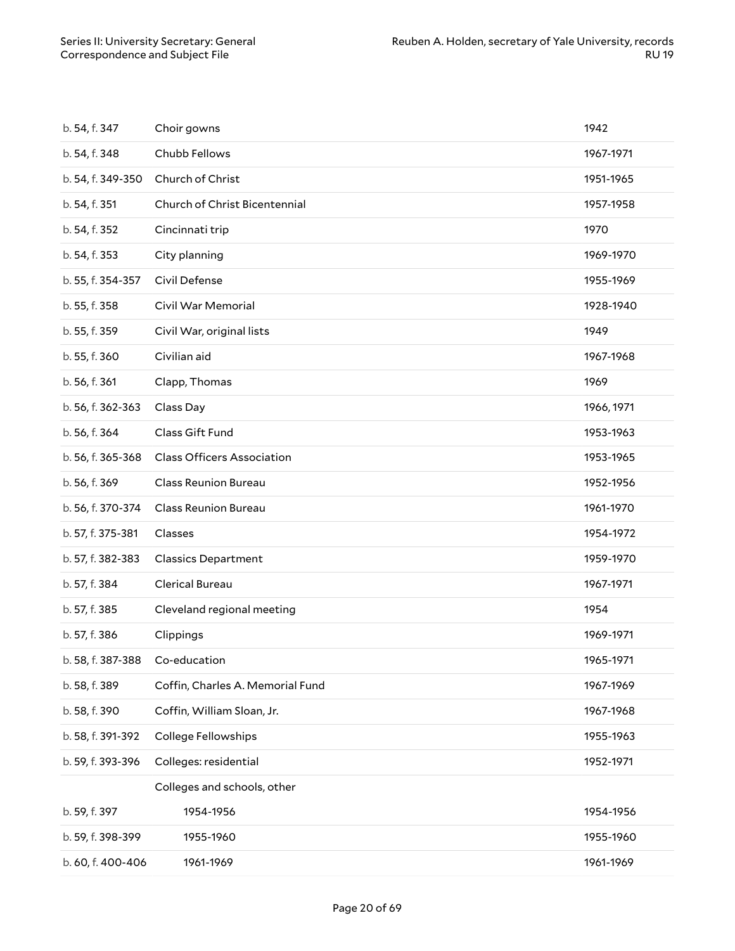| b. 54, f. 347     | Choir gowns                       | 1942       |
|-------------------|-----------------------------------|------------|
| b. 54, f. 348     | Chubb Fellows                     | 1967-1971  |
| b. 54, f. 349-350 | Church of Christ                  | 1951-1965  |
| b. 54, f. 351     | Church of Christ Bicentennial     | 1957-1958  |
| b. 54, f. 352     | Cincinnati trip                   | 1970       |
| b. 54, f. 353     | City planning                     | 1969-1970  |
| b. 55, f. 354-357 | Civil Defense                     | 1955-1969  |
| b. 55, f. 358     | Civil War Memorial                | 1928-1940  |
| b. 55, f. 359     | Civil War, original lists         | 1949       |
| b. 55, f. 360     | Civilian aid                      | 1967-1968  |
| b. 56, f. 361     | Clapp, Thomas                     | 1969       |
| b. 56, f. 362-363 | Class Day                         | 1966, 1971 |
| b. 56, f. 364     | Class Gift Fund                   | 1953-1963  |
| b. 56, f. 365-368 | <b>Class Officers Association</b> | 1953-1965  |
| b. 56, f. 369     | <b>Class Reunion Bureau</b>       | 1952-1956  |
| b. 56, f. 370-374 | <b>Class Reunion Bureau</b>       | 1961-1970  |
| b. 57, f. 375-381 | Classes                           | 1954-1972  |
| b. 57, f. 382-383 | <b>Classics Department</b>        | 1959-1970  |
| b. 57, f. 384     | <b>Clerical Bureau</b>            | 1967-1971  |
| b. 57, f. 385     | Cleveland regional meeting        | 1954       |
| b. 57, f. 386     | Clippings                         | 1969-1971  |
| b. 58, f. 387-388 | Co-education                      | 1965-1971  |
| b. 58, f. 389     | Coffin, Charles A. Memorial Fund  | 1967-1969  |
| b. 58, f. 390     | Coffin, William Sloan, Jr.        | 1967-1968  |
| b. 58, f. 391-392 | College Fellowships               | 1955-1963  |
| b. 59, f. 393-396 | Colleges: residential             | 1952-1971  |
|                   | Colleges and schools, other       |            |
| b. 59, f. 397     | 1954-1956                         | 1954-1956  |
| b. 59, f. 398-399 | 1955-1960                         | 1955-1960  |
| b. 60, f. 400-406 | 1961-1969                         | 1961-1969  |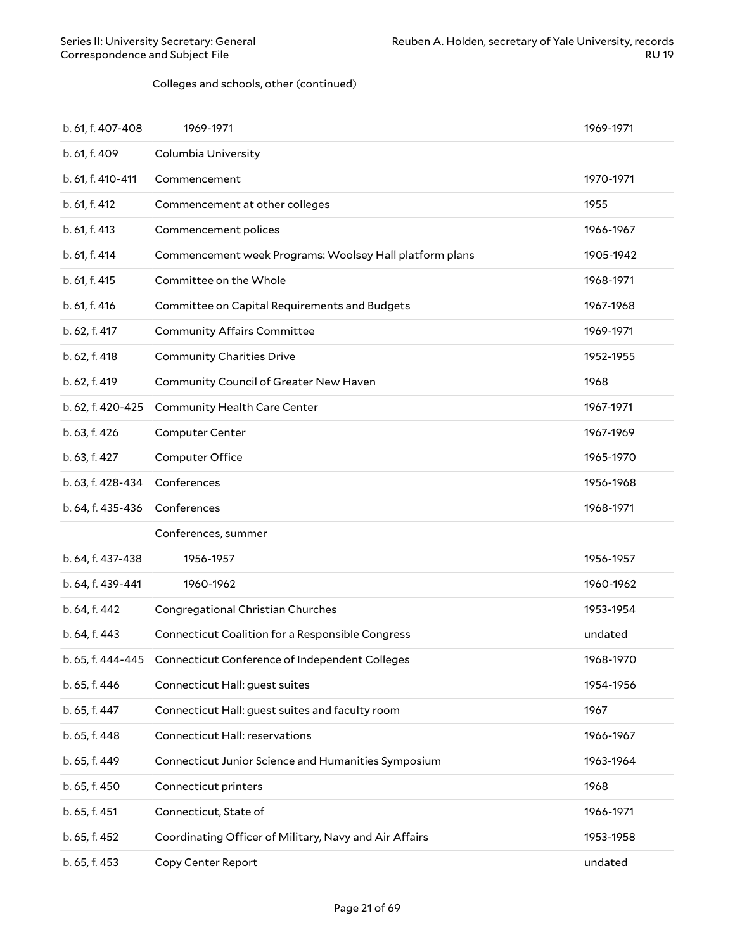#### Colleges and schools, other (continued)

| b. 61, f. 407-408 | 1969-1971                                                        | 1969-1971 |
|-------------------|------------------------------------------------------------------|-----------|
| b. 61, f. 409     | Columbia University                                              |           |
| b. 61, f. 410-411 | Commencement                                                     | 1970-1971 |
| b. 61, f. 412     | Commencement at other colleges                                   | 1955      |
| b. 61, f. 413     | Commencement polices                                             | 1966-1967 |
| b. 61, f. 414     | Commencement week Programs: Woolsey Hall platform plans          | 1905-1942 |
| b. 61, f. 415     | Committee on the Whole                                           | 1968-1971 |
| b. 61, f. 416     | Committee on Capital Requirements and Budgets                    | 1967-1968 |
| b. 62, f. 417     | <b>Community Affairs Committee</b>                               | 1969-1971 |
| b. 62, f. 418     | <b>Community Charities Drive</b>                                 | 1952-1955 |
| b. 62, f. 419     | Community Council of Greater New Haven                           | 1968      |
| b. 62, f. 420-425 | Community Health Care Center                                     | 1967-1971 |
| b. 63, f. 426     | Computer Center                                                  | 1967-1969 |
| b. 63, f. 427     | <b>Computer Office</b>                                           | 1965-1970 |
| b. 63, f. 428-434 | Conferences                                                      | 1956-1968 |
| b. 64, f. 435-436 | Conferences                                                      | 1968-1971 |
|                   | Conferences, summer                                              |           |
| b. 64, f. 437-438 | 1956-1957                                                        | 1956-1957 |
| b. 64, f. 439-441 | 1960-1962                                                        | 1960-1962 |
| b. 64, f. 442     | Congregational Christian Churches                                | 1953-1954 |
| b. 64, f. 443     | Connecticut Coalition for a Responsible Congress                 | undated   |
|                   | b. 65, f. 444-445 Connecticut Conference of Independent Colleges | 1968-1970 |
| b. 65, f. 446     | Connecticut Hall: guest suites                                   | 1954-1956 |
| b. 65, f. 447     | Connecticut Hall: guest suites and faculty room                  | 1967      |
| b. 65, f. 448     | <b>Connecticut Hall: reservations</b>                            | 1966-1967 |
| b. 65, f. 449     | Connecticut Junior Science and Humanities Symposium              | 1963-1964 |
| b. 65, f. 450     | Connecticut printers                                             | 1968      |
| b. 65, f. 451     | Connecticut, State of                                            | 1966-1971 |
| b. 65, f. 452     | Coordinating Officer of Military, Navy and Air Affairs           | 1953-1958 |
| b. 65, f. 453     | Copy Center Report                                               | undated   |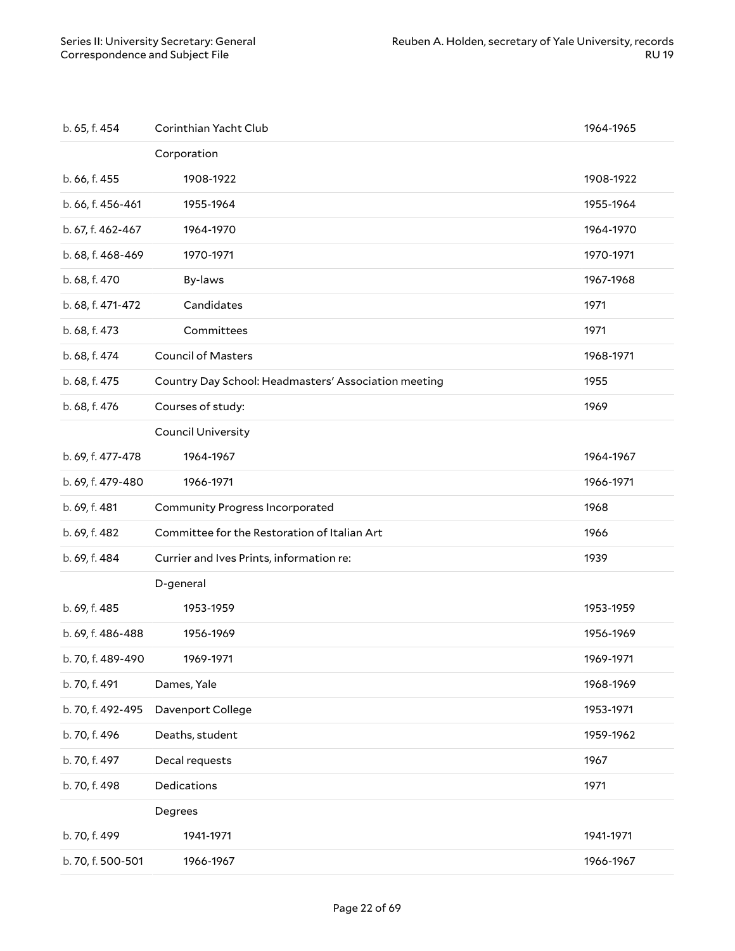| b. 65, f. 454     | Corinthian Yacht Club                                | 1964-1965 |
|-------------------|------------------------------------------------------|-----------|
|                   | Corporation                                          |           |
| b. 66, f. 455     | 1908-1922                                            | 1908-1922 |
| b. 66, f. 456-461 | 1955-1964                                            | 1955-1964 |
| b. 67, f. 462-467 | 1964-1970                                            | 1964-1970 |
| b. 68, f. 468-469 | 1970-1971                                            | 1970-1971 |
| b. 68, f. 470     | By-laws                                              | 1967-1968 |
| b. 68, f. 471-472 | Candidates                                           | 1971      |
| b. 68, f. 473     | Committees                                           | 1971      |
| b. 68, f. 474     | <b>Council of Masters</b>                            | 1968-1971 |
| b. 68, f. 475     | Country Day School: Headmasters' Association meeting | 1955      |
| b. 68, f. 476     | Courses of study:                                    | 1969      |
|                   | <b>Council University</b>                            |           |
| b. 69, f. 477-478 | 1964-1967                                            | 1964-1967 |
| b. 69, f. 479-480 | 1966-1971                                            | 1966-1971 |
|                   |                                                      |           |
| b. 69, f. 481     | <b>Community Progress Incorporated</b>               | 1968      |
| b. 69, f. 482     | Committee for the Restoration of Italian Art         | 1966      |
| b. 69, f. 484     | Currier and Ives Prints, information re:             | 1939      |
|                   | D-general                                            |           |
| b. 69, f. 485     | 1953-1959                                            | 1953-1959 |
| b. 69, f. 486-488 | 1956-1969                                            | 1956-1969 |
| b. 70, f. 489-490 | 1969-1971                                            | 1969-1971 |
| b. 70, f. 491     | Dames, Yale                                          | 1968-1969 |
| b. 70, f. 492-495 | Davenport College                                    | 1953-1971 |
| b. 70, f. 496     | Deaths, student                                      | 1959-1962 |
| b. 70, f. 497     | Decal requests                                       | 1967      |
| b. 70, f. 498     | Dedications                                          | 1971      |
|                   | Degrees                                              |           |
| b. 70, f. 499     | 1941-1971                                            | 1941-1971 |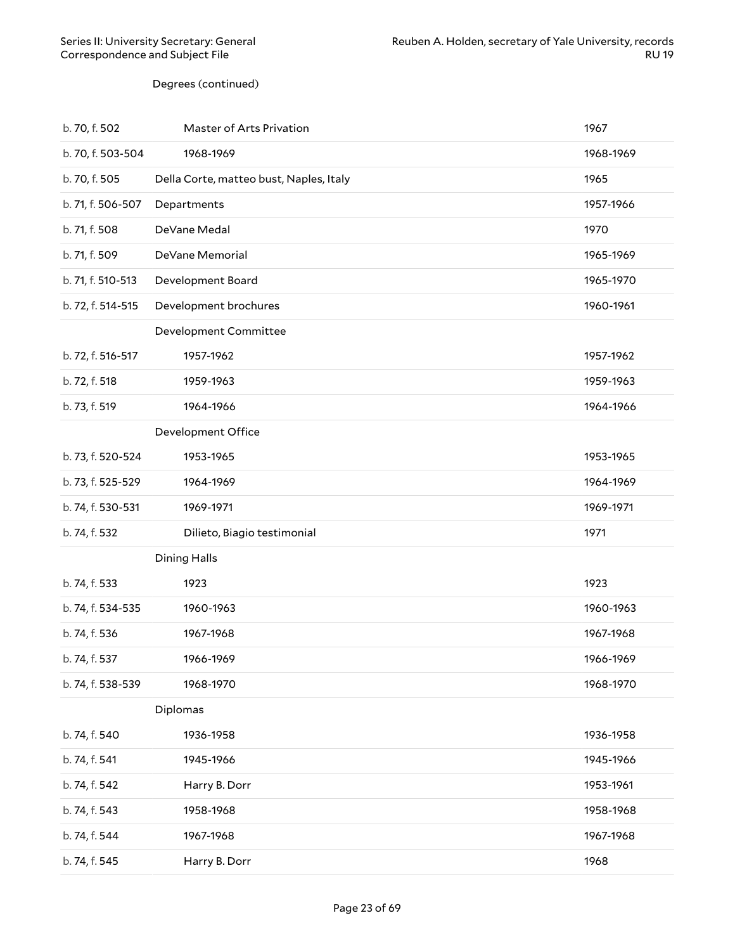#### Degrees (continued)

| b. 70, f. 502     | Master of Arts Privation                | 1967      |
|-------------------|-----------------------------------------|-----------|
| b. 70, f. 503-504 | 1968-1969                               | 1968-1969 |
| b. 70, f. 505     | Della Corte, matteo bust, Naples, Italy | 1965      |
| b. 71, f. 506-507 | Departments                             | 1957-1966 |
| b. 71, f. 508     | DeVane Medal                            | 1970      |
| b. 71, f. 509     | DeVane Memorial                         | 1965-1969 |
| b. 71, f. 510-513 | Development Board                       | 1965-1970 |
| b. 72, f. 514-515 | Development brochures                   | 1960-1961 |
|                   | Development Committee                   |           |
| b. 72, f. 516-517 | 1957-1962                               | 1957-1962 |
| b. 72, f. 518     | 1959-1963                               | 1959-1963 |
| b. 73, f. 519     | 1964-1966                               | 1964-1966 |
|                   | Development Office                      |           |
| b. 73, f. 520-524 | 1953-1965                               | 1953-1965 |
| b. 73, f. 525-529 | 1964-1969                               | 1964-1969 |
| b. 74, f. 530-531 | 1969-1971                               | 1969-1971 |
| b. 74, f. 532     | Dilieto, Biagio testimonial             | 1971      |
|                   | <b>Dining Halls</b>                     |           |
| b. 74, f. 533     | 1923                                    | 1923      |
| b. 74, f. 534-535 | 1960-1963                               | 1960-1963 |
| b. 74, f. 536     | 1967-1968                               | 1967-1968 |
| b. 74, f. 537     | 1966-1969                               | 1966-1969 |
| b. 74, f. 538-539 | 1968-1970                               | 1968-1970 |
|                   | Diplomas                                |           |
| b. 74, f. 540     | 1936-1958                               | 1936-1958 |
| b. 74, f. 541     | 1945-1966                               | 1945-1966 |
| b. 74, f. 542     | Harry B. Dorr                           | 1953-1961 |
| b. 74, f. 543     | 1958-1968                               | 1958-1968 |
| b. 74, f. 544     | 1967-1968                               | 1967-1968 |
| b. 74, f. 545     | Harry B. Dorr                           | 1968      |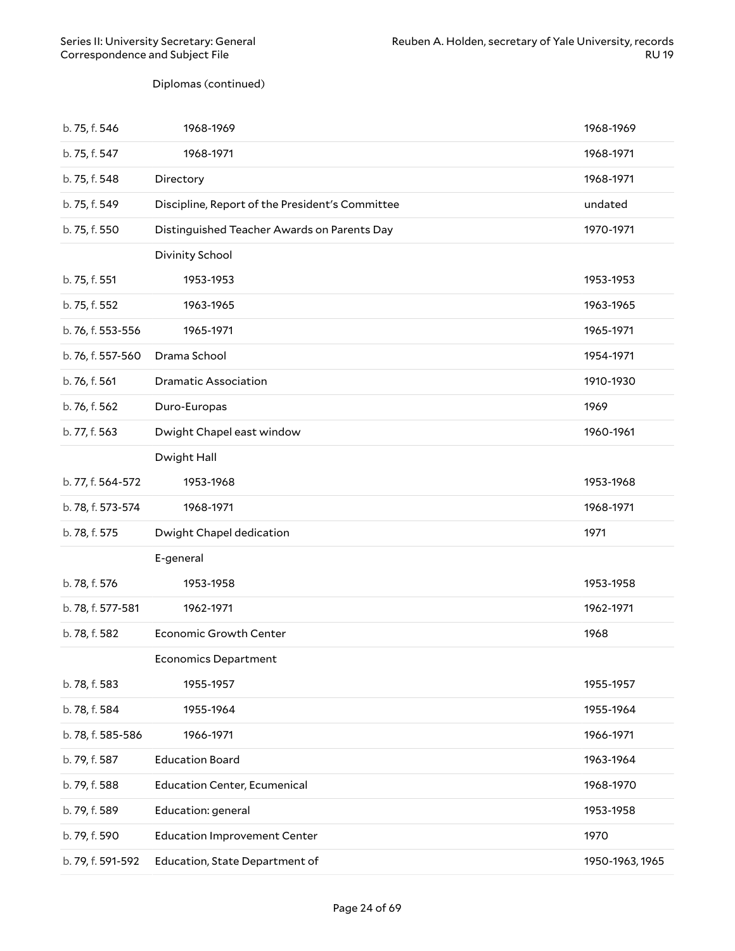Diplomas (continued)

| b. 75, f. 546     | 1968-1969                                       | 1968-1969       |
|-------------------|-------------------------------------------------|-----------------|
| b. 75, f. 547     | 1968-1971                                       | 1968-1971       |
| b. 75, f. 548     | Directory                                       | 1968-1971       |
| b. 75, f. 549     | Discipline, Report of the President's Committee | undated         |
| b. 75, f. 550     | Distinguished Teacher Awards on Parents Day     | 1970-1971       |
|                   | Divinity School                                 |                 |
| b. 75, f. 551     | 1953-1953                                       | 1953-1953       |
| b. 75, f. 552     | 1963-1965                                       | 1963-1965       |
| b. 76, f. 553-556 | 1965-1971                                       | 1965-1971       |
| b. 76, f. 557-560 | Drama School                                    | 1954-1971       |
| b. 76, f. 561     | <b>Dramatic Association</b>                     | 1910-1930       |
| b. 76, f. 562     | Duro-Europas                                    | 1969            |
| b. 77, f. 563     | Dwight Chapel east window                       | 1960-1961       |
|                   | Dwight Hall                                     |                 |
| b. 77, f. 564-572 | 1953-1968                                       | 1953-1968       |
| b. 78, f. 573-574 | 1968-1971                                       | 1968-1971       |
| b. 78, f. 575     | Dwight Chapel dedication                        | 1971            |
|                   | E-general                                       |                 |
| b. 78, f. 576     | 1953-1958                                       | 1953-1958       |
| b. 78, f. 577-581 | 1962-1971                                       | 1962-1971       |
| b. 78, f. 582     | <b>Economic Growth Center</b>                   | 1968            |
|                   | <b>Economics Department</b>                     |                 |
| b. 78, f. 583     | 1955-1957                                       | 1955-1957       |
| b. 78, f. 584     | 1955-1964                                       | 1955-1964       |
| b. 78, f. 585-586 | 1966-1971                                       | 1966-1971       |
| b. 79, f. 587     | <b>Education Board</b>                          | 1963-1964       |
| b. 79, f. 588     | <b>Education Center, Ecumenical</b>             | 1968-1970       |
| b. 79, f. 589     | Education: general                              | 1953-1958       |
| b. 79, f. 590     | <b>Education Improvement Center</b>             | 1970            |
| b. 79, f. 591-592 | Education, State Department of                  | 1950-1963, 1965 |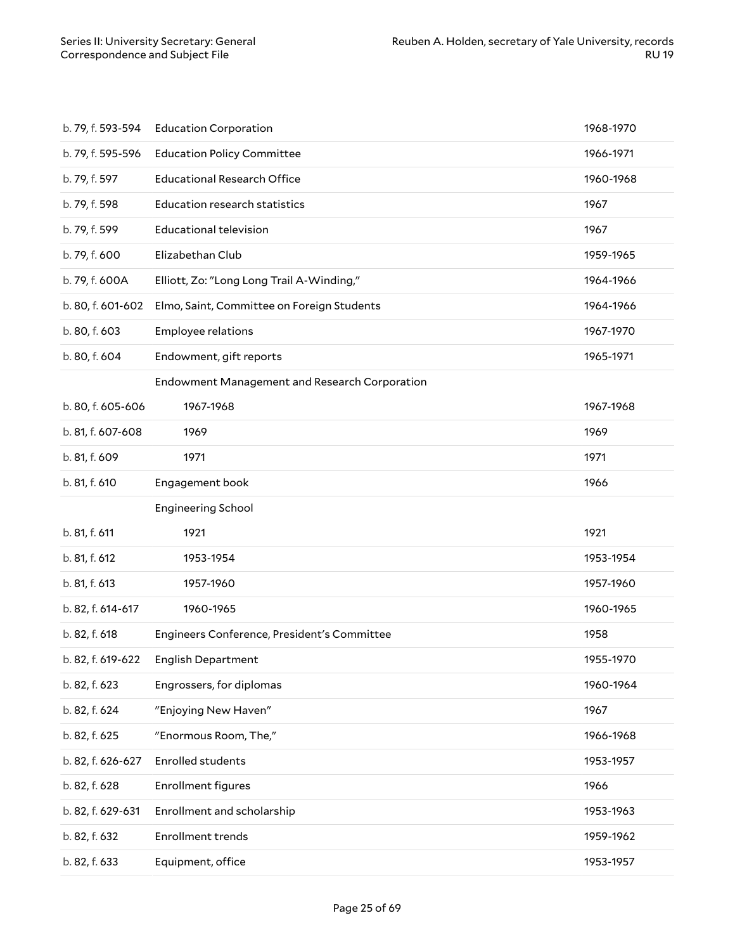| b. 79, f. 593-594 | <b>Education Corporation</b>                  | 1968-1970 |
|-------------------|-----------------------------------------------|-----------|
| b. 79, f. 595-596 | <b>Education Policy Committee</b>             | 1966-1971 |
| b. 79, f. 597     | <b>Educational Research Office</b>            | 1960-1968 |
| b. 79, f. 598     | <b>Education research statistics</b>          | 1967      |
| b. 79, f. 599     | <b>Educational television</b>                 | 1967      |
| b. 79, f. 600     | Elizabethan Club                              | 1959-1965 |
| b. 79, f. 600A    | Elliott, Zo: "Long Long Trail A-Winding,"     | 1964-1966 |
| b. 80, f. 601-602 | Elmo, Saint, Committee on Foreign Students    | 1964-1966 |
| b. 80, f. 603     | Employee relations                            | 1967-1970 |
| b. 80, f. 604     | Endowment, gift reports                       | 1965-1971 |
|                   | Endowment Management and Research Corporation |           |
| b. 80, f. 605-606 | 1967-1968                                     | 1967-1968 |
| b. 81, f. 607-608 | 1969                                          | 1969      |
| b. 81, f. 609     | 1971                                          | 1971      |
| b. 81, f. 610     | Engagement book                               | 1966      |
|                   | <b>Engineering School</b>                     |           |
|                   |                                               |           |
| b. 81, f. 611     | 1921                                          | 1921      |
| b. 81, f. 612     | 1953-1954                                     | 1953-1954 |
| b. 81, f. 613     | 1957-1960                                     | 1957-1960 |
| b. 82, f. 614-617 | 1960-1965                                     | 1960-1965 |
| b. 82, f. 618     | Engineers Conference, President's Committee   | 1958      |
| b. 82, f. 619-622 | English Department                            | 1955-1970 |
| b. 82, f. 623     | Engrossers, for diplomas                      | 1960-1964 |
| b. 82, f. 624     | "Enjoying New Haven"                          | 1967      |
| b. 82, f. 625     | "Enormous Room, The,"                         | 1966-1968 |
| b. 82, f. 626-627 | <b>Enrolled students</b>                      | 1953-1957 |
| b. 82, f. 628     | <b>Enrollment figures</b>                     | 1966      |
| b. 82, f. 629-631 | Enrollment and scholarship                    | 1953-1963 |
| b. 82, f. 632     | <b>Enrollment trends</b>                      | 1959-1962 |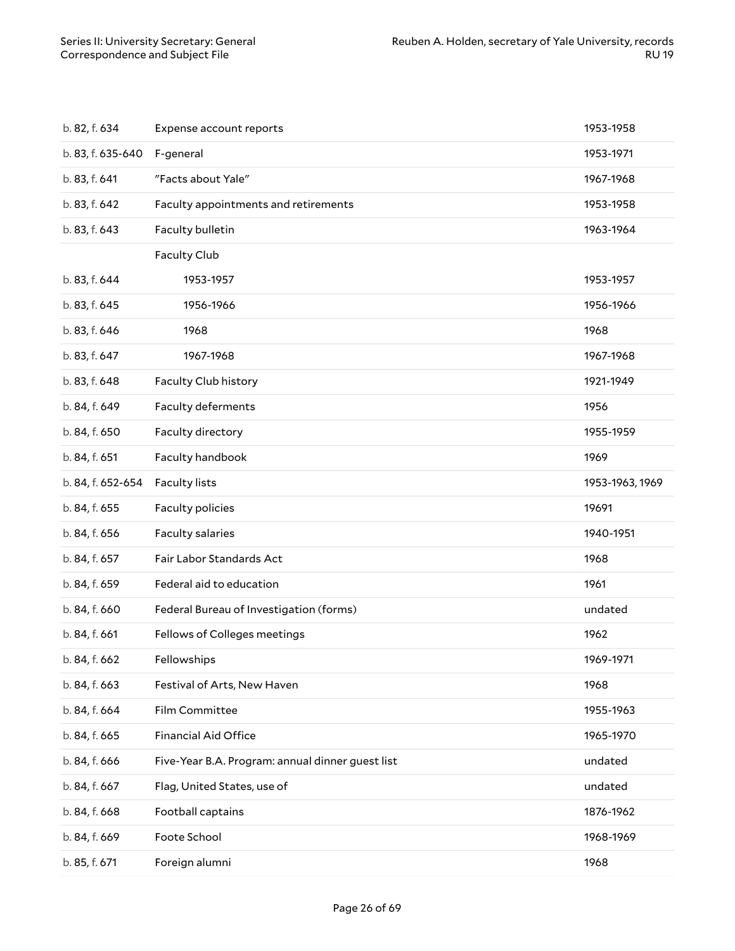| b. 82, f. 634     | Expense account reports                          | 1953-1958       |
|-------------------|--------------------------------------------------|-----------------|
| b. 83, f. 635-640 | F-general                                        | 1953-1971       |
| b. 83, f. 641     | "Facts about Yale"                               | 1967-1968       |
| b. 83, f. 642     | Faculty appointments and retirements             | 1953-1958       |
| b. 83, f. 643     | Faculty bulletin                                 | 1963-1964       |
|                   | <b>Faculty Club</b>                              |                 |
| b. 83, f. 644     | 1953-1957                                        | 1953-1957       |
| b. 83, f. 645     | 1956-1966                                        | 1956-1966       |
| b. 83, f. 646     | 1968                                             | 1968            |
| b. 83, f. 647     | 1967-1968                                        | 1967-1968       |
| b. 83, f. 648     | Faculty Club history                             | 1921-1949       |
| b. 84, f. 649     | Faculty deferments                               | 1956            |
| b. 84, f. 650     | Faculty directory                                | 1955-1959       |
| b. 84, f. 651     | Faculty handbook                                 | 1969            |
| b. 84, f. 652-654 | <b>Faculty lists</b>                             | 1953-1963, 1969 |
|                   |                                                  |                 |
| b. 84, f. 655     | Faculty policies                                 | 19691           |
| b. 84, f. 656     | Faculty salaries                                 | 1940-1951       |
| b. 84, f. 657     | Fair Labor Standards Act                         | 1968            |
| b. 84, f. 659     | Federal aid to education                         | 1961            |
| b. 84, f. 660     | Federal Bureau of Investigation (forms)          | undated         |
| b. 84, f. 661     | Fellows of Colleges meetings                     | 1962            |
| b. 84, f. 662     | Fellowships                                      | 1969-1971       |
| b. 84, f. 663     | Festival of Arts, New Haven                      | 1968            |
| b. 84, f. 664     | Film Committee                                   | 1955-1963       |
| b. 84, f. 665     | <b>Financial Aid Office</b>                      | 1965-1970       |
| b. 84, f. 666     | Five-Year B.A. Program: annual dinner guest list | undated         |
| b. 84, f. 667     | Flag, United States, use of                      | undated         |
| b. 84, f. 668     | Football captains                                | 1876-1962       |
| b. 84, f. 669     | Foote School                                     | 1968-1969       |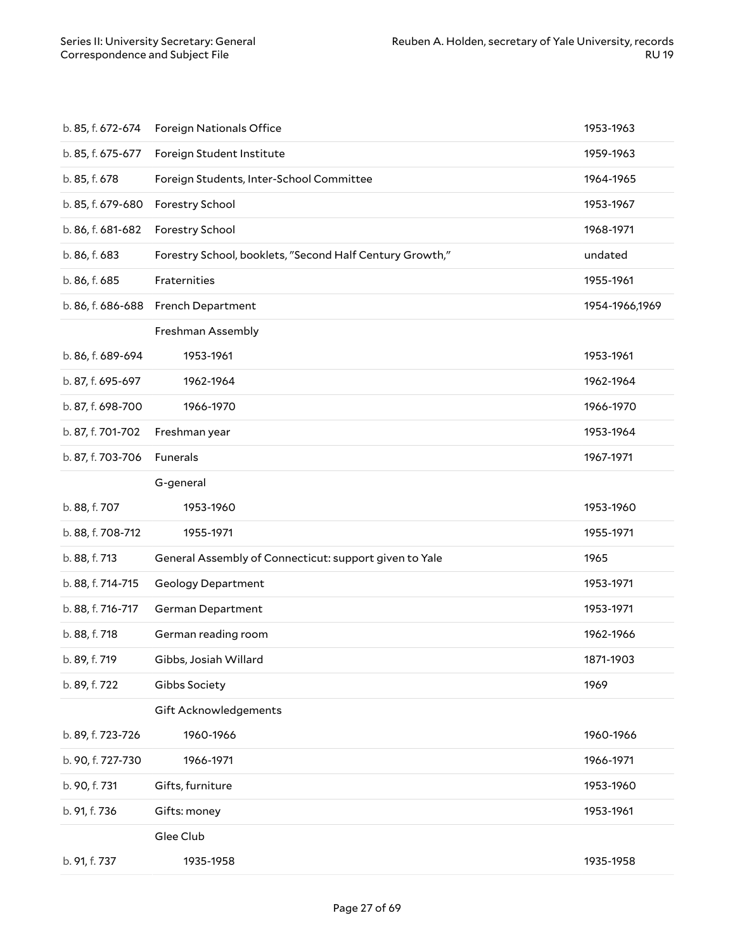| b. 85, f. 672-674 | <b>Foreign Nationals Office</b>                          | 1953-1963      |
|-------------------|----------------------------------------------------------|----------------|
| b. 85, f. 675-677 | Foreign Student Institute                                | 1959-1963      |
| b. 85, f. 678     | Foreign Students, Inter-School Committee                 | 1964-1965      |
| b. 85, f. 679-680 | Forestry School                                          | 1953-1967      |
| b. 86, f. 681-682 | Forestry School                                          | 1968-1971      |
| b. 86, f. 683     | Forestry School, booklets, "Second Half Century Growth," | undated        |
| b. 86, f. 685     | Fraternities                                             | 1955-1961      |
|                   | b. 86, f. 686-688 French Department                      | 1954-1966,1969 |
|                   | Freshman Assembly                                        |                |
| b. 86, f. 689-694 | 1953-1961                                                | 1953-1961      |
| b. 87, f. 695-697 | 1962-1964                                                | 1962-1964      |
| b. 87, f. 698-700 | 1966-1970                                                | 1966-1970      |
| b. 87, f. 701-702 | Freshman year                                            | 1953-1964      |
| b. 87, f. 703-706 | Funerals                                                 | 1967-1971      |
|                   | G-general                                                |                |
| b. 88, f. 707     | 1953-1960                                                | 1953-1960      |
| b. 88, f. 708-712 | 1955-1971                                                | 1955-1971      |
| b. 88, f. 713     | General Assembly of Connecticut: support given to Yale   | 1965           |
| b. 88, f. 714-715 | <b>Geology Department</b>                                | 1953-1971      |
| b. 88, f. 716-717 | German Department                                        | 1953-1971      |
| b. 88, f. 718     | German reading room                                      | 1962-1966      |
| b. 89, f. 719     | Gibbs, Josiah Willard                                    | 1871-1903      |
| b. 89, f. 722     | Gibbs Society                                            | 1969           |
|                   | Gift Acknowledgements                                    |                |
| b. 89, f. 723-726 | 1960-1966                                                | 1960-1966      |
| b. 90, f. 727-730 | 1966-1971                                                | 1966-1971      |
| b. 90, f. 731     | Gifts, furniture                                         | 1953-1960      |
| b. 91, f. 736     | Gifts: money                                             | 1953-1961      |
|                   | Glee Club                                                |                |
| b. 91, f. 737     | 1935-1958                                                | 1935-1958      |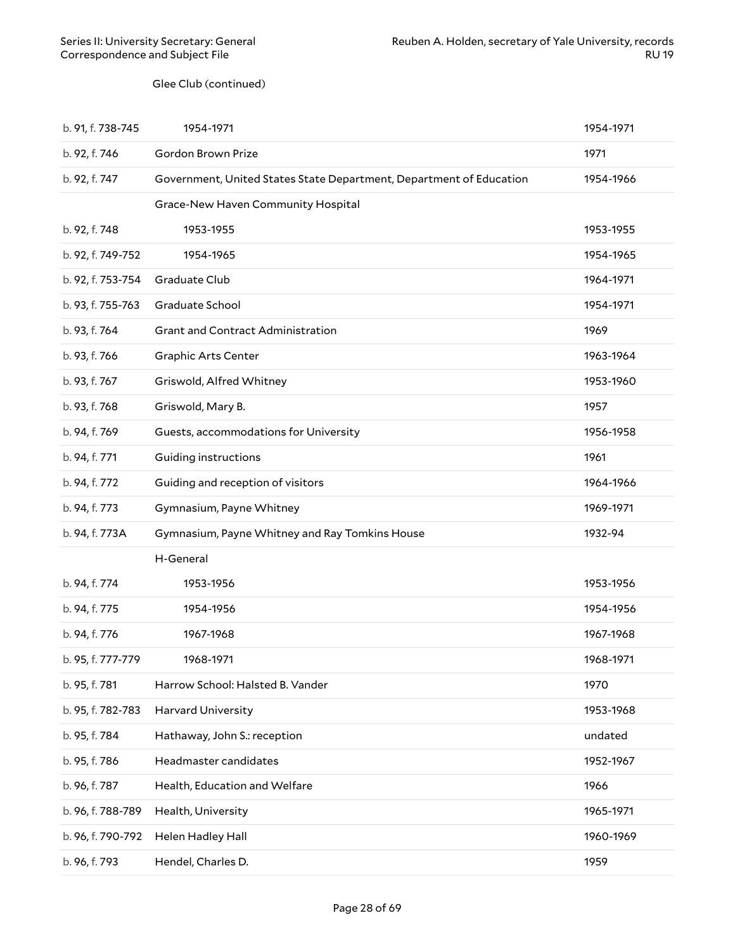#### Glee Club (continued)

<span id="page-27-0"></span>

| b. 91, f. 738-745 | 1954-1971                                                           | 1954-1971 |
|-------------------|---------------------------------------------------------------------|-----------|
| b. 92, f. 746     | Gordon Brown Prize                                                  | 1971      |
| b. 92, f. 747     | Government, United States State Department, Department of Education | 1954-1966 |
|                   | Grace-New Haven Community Hospital                                  |           |
| b. 92, f. 748     | 1953-1955                                                           | 1953-1955 |
| b. 92, f. 749-752 | 1954-1965                                                           | 1954-1965 |
| b. 92, f. 753-754 | Graduate Club                                                       | 1964-1971 |
| b. 93, f. 755-763 | Graduate School                                                     | 1954-1971 |
| b. 93, f. 764     | Grant and Contract Administration                                   | 1969      |
| b. 93, f. 766     | <b>Graphic Arts Center</b>                                          | 1963-1964 |
| b. 93, f. 767     | Griswold, Alfred Whitney                                            | 1953-1960 |
| b. 93, f. 768     | Griswold, Mary B.                                                   | 1957      |
| b. 94, f. 769     | Guests, accommodations for University                               | 1956-1958 |
| b. 94, f. 771     | <b>Guiding instructions</b>                                         | 1961      |
| b. 94, f. 772     | Guiding and reception of visitors                                   | 1964-1966 |
| b. 94, f. 773     | Gymnasium, Payne Whitney                                            | 1969-1971 |
| b. 94, f. 773A    | Gymnasium, Payne Whitney and Ray Tomkins House                      | 1932-94   |
|                   | H-General                                                           |           |
| b. 94, f. 774     | 1953-1956                                                           | 1953-1956 |
| b. 94, f. 775     | 1954-1956                                                           | 1954-1956 |
| b. 94, f. 776     | 1967-1968                                                           | 1967-1968 |
| b. 95, f. 777-779 | 1968-1971                                                           | 1968-1971 |
| b. 95, f. 781     | Harrow School: Halsted B. Vander                                    | 1970      |
| b. 95, f. 782-783 | Harvard University                                                  | 1953-1968 |
| b. 95, f. 784     | Hathaway, John S.: reception                                        | undated   |
| b. 95, f. 786     | Headmaster candidates                                               | 1952-1967 |
| b. 96, f. 787     | Health, Education and Welfare                                       | 1966      |
| b. 96, f. 788-789 | Health, University                                                  | 1965-1971 |
| b. 96, f. 790-792 | Helen Hadley Hall                                                   | 1960-1969 |
| b. 96, f. 793     | Hendel, Charles D.                                                  | 1959      |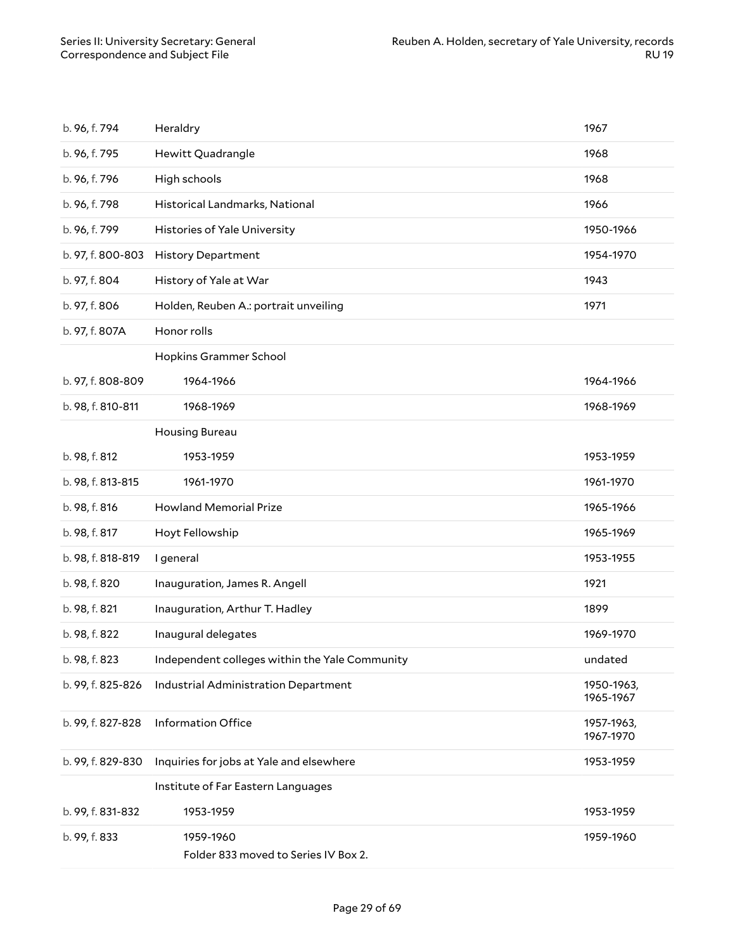| b. 96, f. 794     | Heraldry                                          | 1967                    |
|-------------------|---------------------------------------------------|-------------------------|
| b. 96, f. 795     | Hewitt Quadrangle                                 | 1968                    |
| b. 96, f. 796     | High schools                                      | 1968                    |
| b. 96, f. 798     | Historical Landmarks, National                    | 1966                    |
| b. 96, f. 799     | Histories of Yale University                      | 1950-1966               |
| b. 97, f. 800-803 | <b>History Department</b>                         | 1954-1970               |
| b. 97, f. 804     | History of Yale at War                            | 1943                    |
| b. 97, f. 806     | Holden, Reuben A.: portrait unveiling             | 1971                    |
| b. 97, f. 807A    | Honor rolls                                       |                         |
|                   | Hopkins Grammer School                            |                         |
| b. 97, f. 808-809 | 1964-1966                                         | 1964-1966               |
| b. 98, f. 810-811 | 1968-1969                                         | 1968-1969               |
|                   | Housing Bureau                                    |                         |
| b. 98, f. 812     | 1953-1959                                         | 1953-1959               |
| b. 98, f. 813-815 | 1961-1970                                         | 1961-1970               |
| b. 98, f. 816     | <b>Howland Memorial Prize</b>                     | 1965-1966               |
| b. 98, f. 817     | Hoyt Fellowship                                   | 1965-1969               |
| b. 98, f. 818-819 | I general                                         | 1953-1955               |
| b. 98, f. 820     | Inauguration, James R. Angell                     | 1921                    |
| b. 98, f. 821     | Inauguration, Arthur T. Hadley                    | 1899                    |
| b. 98, f. 822     | Inaugural delegates                               | 1969-1970               |
| b. 98, f. 823     | Independent colleges within the Yale Community    | undated                 |
| b. 99, f. 825-826 | Industrial Administration Department              | 1950-1963,<br>1965-1967 |
| b. 99, f. 827-828 | <b>Information Office</b>                         | 1957-1963,<br>1967-1970 |
| b. 99, f. 829-830 | Inquiries for jobs at Yale and elsewhere          | 1953-1959               |
|                   | Institute of Far Eastern Languages                |                         |
| b. 99, f. 831-832 | 1953-1959                                         | 1953-1959               |
| b. 99, f. 833     | 1959-1960<br>Folder 833 moved to Series IV Box 2. | 1959-1960               |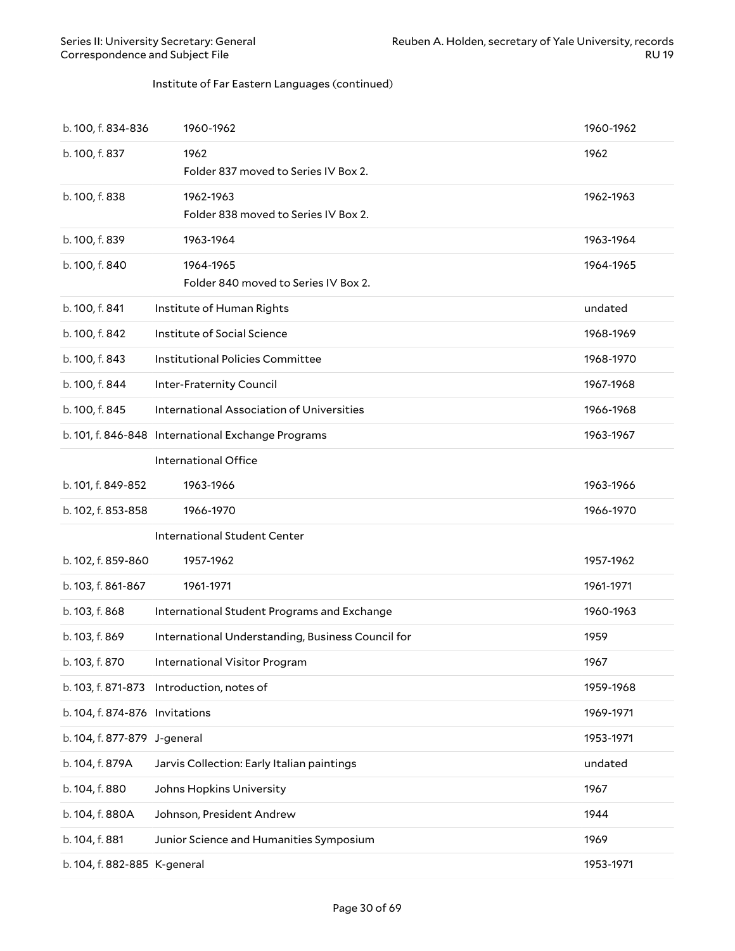#### Institute of Far Eastern Languages (continued)

| b. 100, f. 834-836             | 1960-1962                                          | 1960-1962 |
|--------------------------------|----------------------------------------------------|-----------|
| b. 100, f. 837                 | 1962<br>Folder 837 moved to Series IV Box 2.       | 1962      |
| b. 100, f. 838                 | 1962-1963<br>Folder 838 moved to Series IV Box 2.  | 1962-1963 |
| b. 100, f. 839                 | 1963-1964                                          | 1963-1964 |
| b. 100, f. 840                 | 1964-1965<br>Folder 840 moved to Series IV Box 2.  | 1964-1965 |
| b. 100, f. 841                 | Institute of Human Rights                          | undated   |
| b. 100, f. 842                 | Institute of Social Science                        | 1968-1969 |
| b. 100, f. 843                 | Institutional Policies Committee                   | 1968-1970 |
| b. 100, f. 844                 | Inter-Fraternity Council                           | 1967-1968 |
| b. 100, f. 845                 | International Association of Universities          | 1966-1968 |
|                                | b. 101, f. 846-848 International Exchange Programs | 1963-1967 |
|                                | International Office                               |           |
| b. 101, f. 849-852             | 1963-1966                                          | 1963-1966 |
| b. 102, f. 853-858             | 1966-1970                                          | 1966-1970 |
|                                | International Student Center                       |           |
| b. 102, f. 859-860             | 1957-1962                                          | 1957-1962 |
| b. 103, f. 861-867             | 1961-1971                                          | 1961-1971 |
| b. 103, f. 868                 | International Student Programs and Exchange        | 1960-1963 |
| b. 103, f. 869                 | International Understanding, Business Council for  | 1959      |
| b. 103, f. 870                 | International Visitor Program                      | 1967      |
|                                | b. 103, f. 871-873 Introduction, notes of          | 1959-1968 |
| b. 104, f. 874-876 Invitations |                                                    | 1969-1971 |
| b. 104, f. 877-879 J-general   |                                                    | 1953-1971 |
| b. 104, f. 879A                | Jarvis Collection: Early Italian paintings         | undated   |
| b. 104, f. 880                 | Johns Hopkins University                           | 1967      |
| b. 104, f. 880A                | Johnson, President Andrew                          | 1944      |
| b. 104, f. 881                 | Junior Science and Humanities Symposium            | 1969      |
| b. 104, f. 882-885 K-general   |                                                    | 1953-1971 |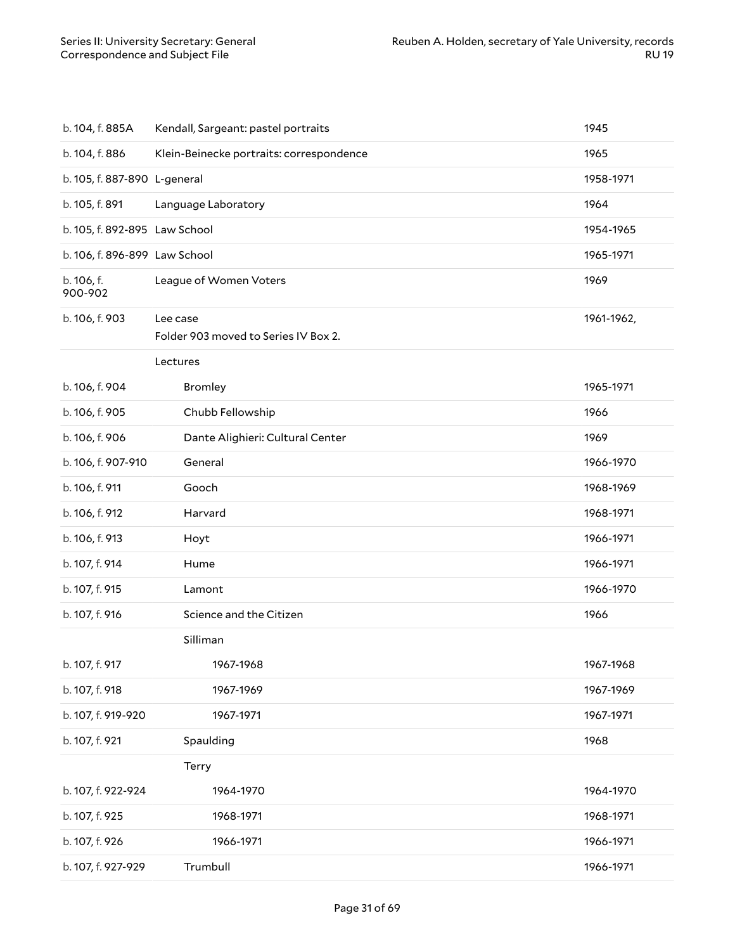| b. 104, f. 885A               | Kendall, Sargeant: pastel portraits              | 1945       |
|-------------------------------|--------------------------------------------------|------------|
| b. 104, f. 886                | Klein-Beinecke portraits: correspondence         | 1965       |
| b. 105, f. 887-890 L-general  |                                                  | 1958-1971  |
| b. 105, f. 891                | Language Laboratory                              | 1964       |
| b. 105, f. 892-895 Law School |                                                  | 1954-1965  |
| b. 106, f. 896-899 Law School |                                                  | 1965-1971  |
| b. 106, f.<br>900-902         | League of Women Voters                           | 1969       |
| b. 106, f. 903                | Lee case<br>Folder 903 moved to Series IV Box 2. | 1961-1962, |
|                               | Lectures                                         |            |
| b. 106, f. 904                | <b>Bromley</b>                                   | 1965-1971  |
| b. 106, f. 905                | Chubb Fellowship                                 | 1966       |
| b. 106, f. 906                | Dante Alighieri: Cultural Center                 | 1969       |
| b. 106, f. 907-910            | General                                          | 1966-1970  |
| b. 106, f. 911                | Gooch                                            | 1968-1969  |
| b. 106, f. 912                | Harvard                                          | 1968-1971  |
| b. 106, f. 913                | Hoyt                                             | 1966-1971  |
| b. 107, f. 914                | Hume                                             | 1966-1971  |
| b. 107, f. 915                | Lamont                                           | 1966-1970  |
| b. 107, f. 916                | Science and the Citizen                          | 1966       |
|                               | Silliman                                         |            |
| b. 107, f. 917                | 1967-1968                                        | 1967-1968  |
| b. 107, f. 918                | 1967-1969                                        | 1967-1969  |
| b. 107, f. 919-920            | 1967-1971                                        | 1967-1971  |
| b. 107, f. 921                | Spaulding                                        | 1968       |
|                               | Terry                                            |            |
| b. 107, f. 922-924            | 1964-1970                                        | 1964-1970  |
| b. 107, f. 925                | 1968-1971                                        | 1968-1971  |
| b. 107, f. 926                | 1966-1971                                        | 1966-1971  |
| b. 107, f. 927-929            | Trumbull                                         | 1966-1971  |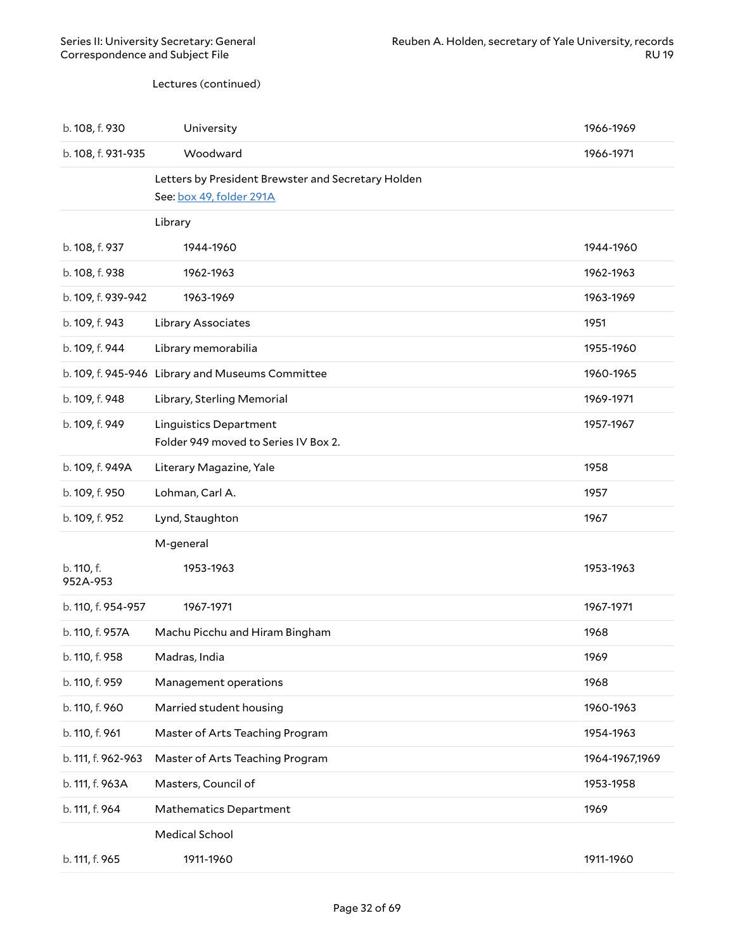Lectures (continued)

| b. 108, f. 930         | University                                                                     | 1966-1969      |
|------------------------|--------------------------------------------------------------------------------|----------------|
| b. 108, f. 931-935     | Woodward                                                                       | 1966-1971      |
|                        | Letters by President Brewster and Secretary Holden<br>See: box 49, folder 291A |                |
|                        | Library                                                                        |                |
| b. 108, f. 937         | 1944-1960                                                                      | 1944-1960      |
| b. 108, f. 938         | 1962-1963                                                                      | 1962-1963      |
| b. 109, f. 939-942     | 1963-1969                                                                      | 1963-1969      |
| b. 109, f. 943         | Library Associates                                                             | 1951           |
| b. 109, f. 944         | Library memorabilia                                                            | 1955-1960      |
|                        | b. 109, f. 945-946 Library and Museums Committee                               | 1960-1965      |
| b. 109, f. 948         | Library, Sterling Memorial                                                     | 1969-1971      |
| b. 109, f. 949         | <b>Linguistics Department</b><br>Folder 949 moved to Series IV Box 2.          | 1957-1967      |
| b. 109, f. 949A        | Literary Magazine, Yale                                                        | 1958           |
| b. 109, f. 950         | Lohman, Carl A.                                                                | 1957           |
| b. 109, f. 952         | Lynd, Staughton                                                                | 1967           |
|                        | M-general                                                                      |                |
| b. 110, f.<br>952A-953 | 1953-1963                                                                      | 1953-1963      |
| b. 110, f. 954-957     | 1967-1971                                                                      | 1967-1971      |
| b. 110, f. 957A        | Machu Picchu and Hiram Bingham                                                 | 1968           |
| b. 110, f. 958         | Madras, India                                                                  | 1969           |
| b. 110, f. 959         | Management operations                                                          | 1968           |
| b. 110, f. 960         | Married student housing                                                        | 1960-1963      |
| b. 110, f. 961         | Master of Arts Teaching Program                                                | 1954-1963      |
| b. 111, f. 962-963     | Master of Arts Teaching Program                                                | 1964-1967,1969 |
| b. 111, f. 963A        | Masters, Council of                                                            | 1953-1958      |
| b. 111, f. 964         | Mathematics Department                                                         | 1969           |
|                        | Medical School                                                                 |                |
| b. 111, f. 965         | 1911-1960                                                                      | 1911-1960      |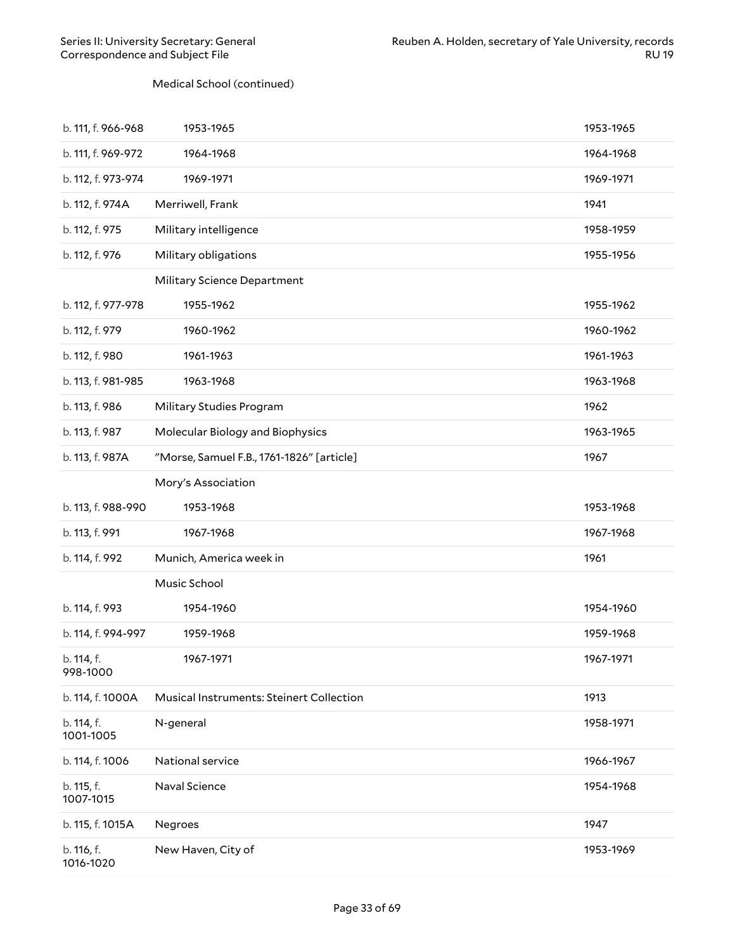#### Medical School (continued)

| b. 111, f. 966-968      | 1953-1965                                 | 1953-1965 |
|-------------------------|-------------------------------------------|-----------|
| b. 111, f. 969-972      | 1964-1968                                 | 1964-1968 |
| b. 112, f. 973-974      | 1969-1971                                 | 1969-1971 |
| b. 112, f. 974A         | Merriwell, Frank                          | 1941      |
| b. 112, f. 975          | Military intelligence                     | 1958-1959 |
| b. 112, f. 976          | Military obligations                      | 1955-1956 |
|                         | Military Science Department               |           |
| b. 112, f. 977-978      | 1955-1962                                 | 1955-1962 |
| b. 112, f. 979          | 1960-1962                                 | 1960-1962 |
| b. 112, f. 980          | 1961-1963                                 | 1961-1963 |
| b. 113, f. 981-985      | 1963-1968                                 | 1963-1968 |
| b. 113, f. 986          | Military Studies Program                  | 1962      |
| b. 113, f. 987          | Molecular Biology and Biophysics          | 1963-1965 |
| b. 113, f. 987A         | "Morse, Samuel F.B., 1761-1826" [article] | 1967      |
|                         | Mory's Association                        |           |
|                         |                                           |           |
| b. 113, f. 988-990      | 1953-1968                                 | 1953-1968 |
| b. 113, f. 991          | 1967-1968                                 | 1967-1968 |
| b. 114, f. 992          | Munich, America week in                   | 1961      |
|                         | Music School                              |           |
| b. 114, f. 993          | 1954-1960                                 | 1954-1960 |
| b. 114, f. 994-997      | 1959-1968                                 | 1959-1968 |
| b. 114, f.<br>998-1000  | 1967-1971                                 | 1967-1971 |
| b. 114, f. 1000A        | Musical Instruments: Steinert Collection  | 1913      |
| b. 114, f.<br>1001-1005 | N-general                                 | 1958-1971 |
| b. 114, f. 1006         | National service                          | 1966-1967 |
| b. 115, f.<br>1007-1015 | Naval Science                             | 1954-1968 |
| b. 115, f. 1015A        | Negroes                                   | 1947      |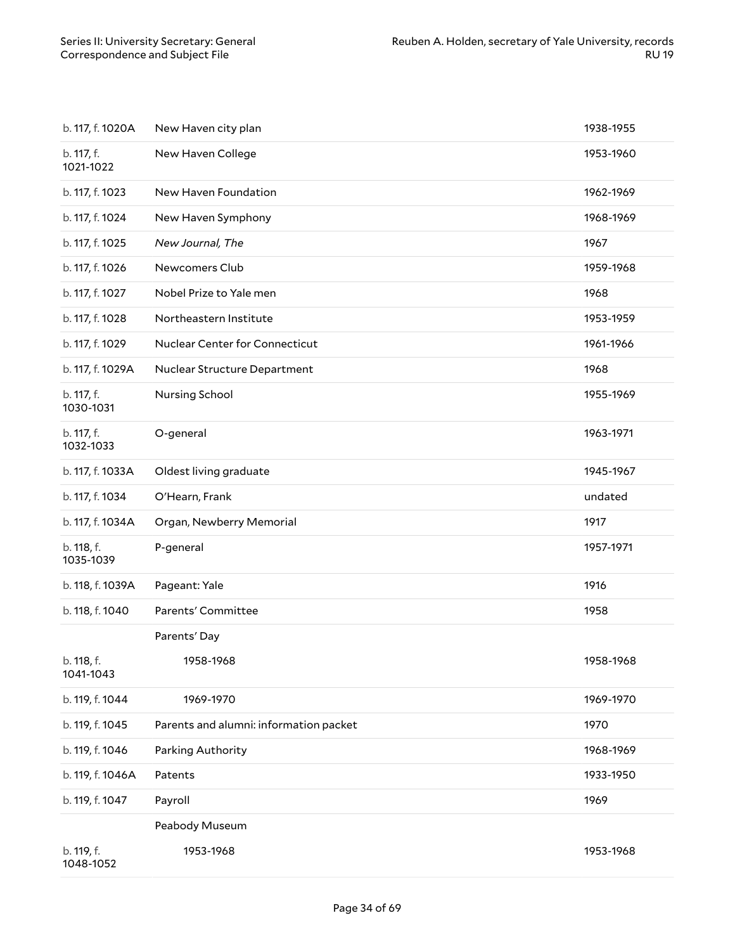| b. 117, f. 1020A        | New Haven city plan                    | 1938-1955 |
|-------------------------|----------------------------------------|-----------|
| b. 117, f.<br>1021-1022 | New Haven College                      | 1953-1960 |
| b. 117, f. 1023         | New Haven Foundation                   | 1962-1969 |
| b. 117, f. 1024         | New Haven Symphony                     | 1968-1969 |
| b. 117, f. 1025         | New Journal, The                       | 1967      |
| b. 117, f. 1026         | Newcomers Club                         | 1959-1968 |
| b. 117, f. 1027         | Nobel Prize to Yale men                | 1968      |
| b. 117, f. 1028         | Northeastern Institute                 | 1953-1959 |
| b. 117, f. 1029         | Nuclear Center for Connecticut         | 1961-1966 |
| b. 117, f. 1029A        | Nuclear Structure Department           | 1968      |
| b. 117, f.<br>1030-1031 | Nursing School                         | 1955-1969 |
| b. 117, f.<br>1032-1033 | O-general                              | 1963-1971 |
| b. 117, f. 1033A        | Oldest living graduate                 | 1945-1967 |
| b. 117, f. 1034         | O'Hearn, Frank                         | undated   |
| b. 117, f. 1034A        | Organ, Newberry Memorial               | 1917      |
| b. 118, f.<br>1035-1039 | P-general                              | 1957-1971 |
| b. 118, f. 1039A        | Pageant: Yale                          | 1916      |
| b. 118, f. 1040         | Parents' Committee                     | 1958      |
|                         | Parents' Day                           |           |
| b. 118, f.<br>1041-1043 | 1958-1968                              | 1958-1968 |
| b. 119, f. 1044         | 1969-1970                              | 1969-1970 |
| b. 119, f. 1045         | Parents and alumni: information packet | 1970      |
| b. 119, f. 1046         | Parking Authority                      | 1968-1969 |
| b. 119, f. 1046A        | Patents                                | 1933-1950 |
| b. 119, f. 1047         | Payroll                                | 1969      |
|                         | Peabody Museum                         |           |
| b. 119, f.<br>1048-1052 | 1953-1968                              | 1953-1968 |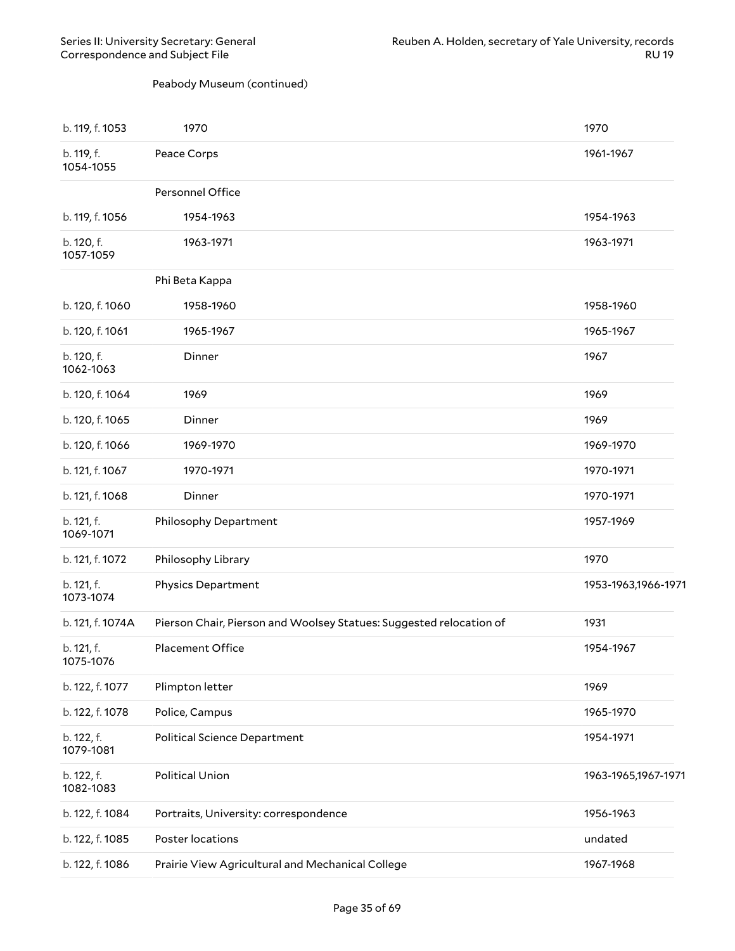#### Peabody Museum (continued)

| b. 119, f. 1053         | 1970                                                                | 1970                |
|-------------------------|---------------------------------------------------------------------|---------------------|
| b. 119, f.<br>1054-1055 | Peace Corps                                                         | 1961-1967           |
|                         | Personnel Office                                                    |                     |
| b. 119, f. 1056         | 1954-1963                                                           | 1954-1963           |
| b. 120, f.<br>1057-1059 | 1963-1971                                                           | 1963-1971           |
|                         | Phi Beta Kappa                                                      |                     |
| b. 120, f. 1060         | 1958-1960                                                           | 1958-1960           |
| b. 120, f. 1061         | 1965-1967                                                           | 1965-1967           |
| b. 120, f.<br>1062-1063 | Dinner                                                              | 1967                |
| b. 120, f. 1064         | 1969                                                                | 1969                |
| b. 120, f. 1065         | Dinner                                                              | 1969                |
| b. 120, f. 1066         | 1969-1970                                                           | 1969-1970           |
| b. 121, f. 1067         | 1970-1971                                                           | 1970-1971           |
| b. 121, f. 1068         | Dinner                                                              | 1970-1971           |
| b. 121, f.<br>1069-1071 | Philosophy Department                                               | 1957-1969           |
| b. 121, f. 1072         | Philosophy Library                                                  | 1970                |
| b. 121, f.<br>1073-1074 | <b>Physics Department</b>                                           | 1953-1963,1966-1971 |
| b. 121, f. 1074A        | Pierson Chair, Pierson and Woolsey Statues: Suggested relocation of | 1931                |
| b. 121, f.<br>1075-1076 | <b>Placement Office</b>                                             | 1954-1967           |
| b. 122, f. 1077         | Plimpton letter                                                     | 1969                |
| b. 122, f. 1078         | Police, Campus                                                      | 1965-1970           |
| b. 122, f.<br>1079-1081 | <b>Political Science Department</b>                                 | 1954-1971           |
| b. 122, f.<br>1082-1083 | <b>Political Union</b>                                              | 1963-1965,1967-1971 |
| b. 122, f. 1084         | Portraits, University: correspondence                               | 1956-1963           |
| b. 122, f. 1085         | Poster locations                                                    | undated             |
| b. 122, f. 1086         | Prairie View Agricultural and Mechanical College                    | 1967-1968           |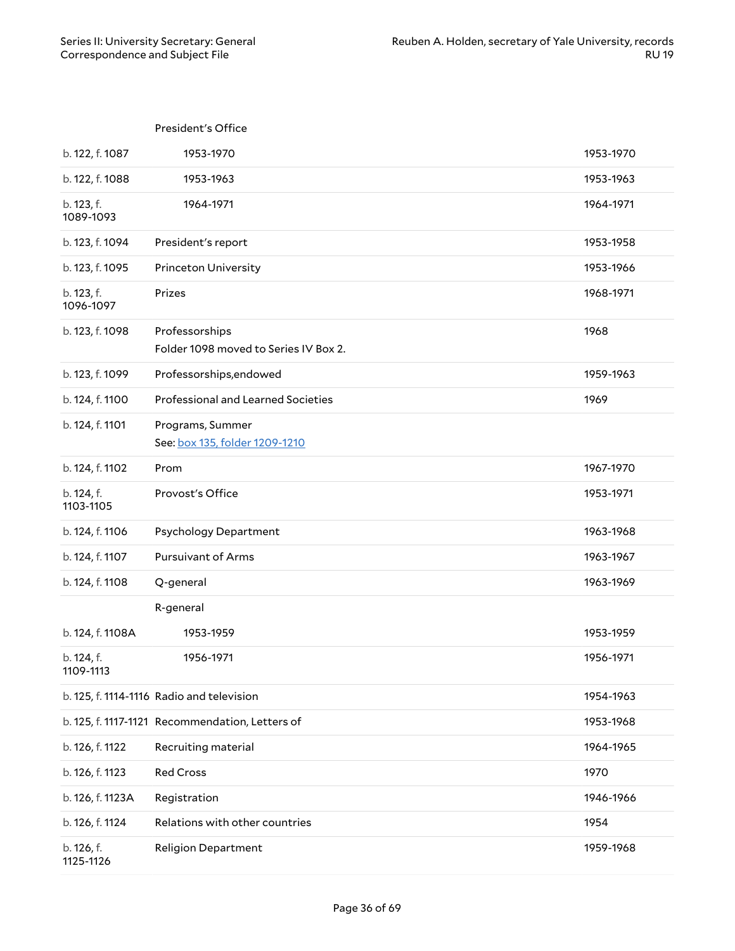### President's Office b. 122, f. 1087 1953-1970 1953-1970 b. 122, f. 1088 1953-1963 1953-1963 b. 123, f. 1089-1093 1964-1971 1964-1971 b. 123, f. 1094 President's report 1953-1958 b. 123, f. 1095 Princeton University 1953-1966 b. 123, f. 1096-1097 Prizes 1968-1971 b. 123, f. 1098 Professorships Folder 1098 moved to Series IV Box 2. 1968 b. 123, f. 1099 Professorships,endowed 1959-1963 b. 124, f. 1100 Professional and Learned Societies 1969 and 1969 b. 124, f. 1101 Programs, Summer See: box 135, folder [1209-1210](#page-38-0) b. 124, f. 1102 Prom 1967-1970 b. 124, f. 1103-1105 Provost's O6ce 1953-1971 b. 124, f. 1106 Psychology Department 1963-1968 b. 124, f. 1107 Pursuivant of Arms 1963-1967 b. 124, f. 1108 Q-general 1963-1969 R-general b. 124, f. 1108A 1953-1959 1953-1959 b. 124, f. 1109-1113 1956-1971 1956-1971 b. 125, f. 1114-1116 Radio and television 1954-1963 b. 125, f. 1117-1121 Recommendation, Letters of 1953-1968 b. 126, f. 1122 Recruiting material 1964-1965 b. 126, f. 1123 Red Cross 1970 b. 126, f. 1123A Registration 1946-1966 b. 126, f. 1124 Relations with other countries 1954 b. 126, f. 1125-1126 Religion Department 1959-1968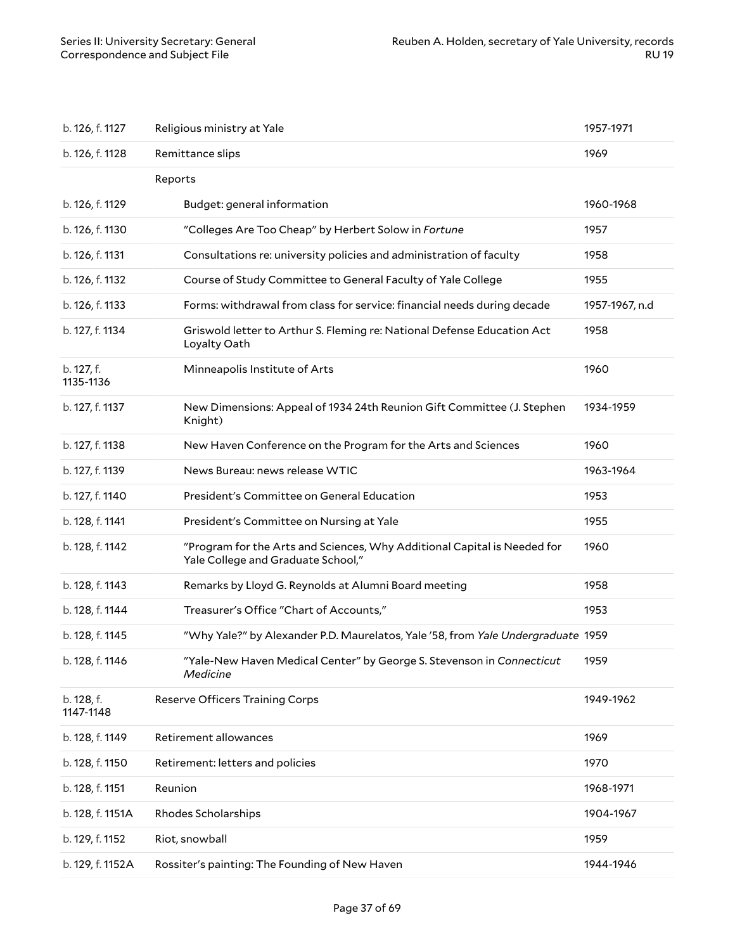| b. 126, f. 1127         | Religious ministry at Yale                                                                                     | 1957-1971      |
|-------------------------|----------------------------------------------------------------------------------------------------------------|----------------|
| b. 126, f. 1128         | Remittance slips                                                                                               | 1969           |
|                         | Reports                                                                                                        |                |
| b. 126, f. 1129         | Budget: general information                                                                                    | 1960-1968      |
| b. 126, f. 1130         | "Colleges Are Too Cheap" by Herbert Solow in Fortune                                                           | 1957           |
| b. 126, f. 1131         | Consultations re: university policies and administration of faculty                                            | 1958           |
| b. 126, f. 1132         | Course of Study Committee to General Faculty of Yale College                                                   | 1955           |
| b. 126, f. 1133         | Forms: withdrawal from class for service: financial needs during decade                                        | 1957-1967, n.d |
| b. 127, f. 1134         | Griswold letter to Arthur S. Fleming re: National Defense Education Act<br>Loyalty Oath                        | 1958           |
| b. 127, f.<br>1135-1136 | Minneapolis Institute of Arts                                                                                  | 1960           |
| b. 127, f. 1137         | New Dimensions: Appeal of 1934 24th Reunion Gift Committee (J. Stephen<br>Knight)                              | 1934-1959      |
| b. 127, f. 1138         | New Haven Conference on the Program for the Arts and Sciences                                                  | 1960           |
| b. 127, f. 1139         | News Bureau: news release WTIC                                                                                 | 1963-1964      |
| b. 127, f. 1140         | President's Committee on General Education                                                                     | 1953           |
| b. 128, f. 1141         | President's Committee on Nursing at Yale                                                                       | 1955           |
| b. 128, f. 1142         | "Program for the Arts and Sciences, Why Additional Capital is Needed for<br>Yale College and Graduate School," | 1960           |
| b. 128, f. 1143         | Remarks by Lloyd G. Reynolds at Alumni Board meeting                                                           | 1958           |
| b. 128, f. 1144         | Treasurer's Office "Chart of Accounts,"                                                                        | 1953           |
| b. 128, f. 1145         | "Why Yale?" by Alexander P.D. Maurelatos, Yale '58, from Yale Undergraduate 1959                               |                |
| b. 128, f. 1146         | "Yale-New Haven Medical Center" by George S. Stevenson in <i>Connecticut</i><br>Medicine                       | 1959           |
| b. 128, f.<br>1147-1148 | <b>Reserve Officers Training Corps</b>                                                                         | 1949-1962      |
| b. 128, f. 1149         | Retirement allowances                                                                                          | 1969           |
| b. 128, f. 1150         | Retirement: letters and policies                                                                               | 1970           |
| b. 128, f. 1151         | Reunion                                                                                                        | 1968-1971      |
| b. 128, f. 1151A        | Rhodes Scholarships                                                                                            | 1904-1967      |
| b. 129, f. 1152         | Riot, snowball                                                                                                 | 1959           |
| b. 129, f. 1152A        | Rossiter's painting: The Founding of New Haven                                                                 | 1944-1946      |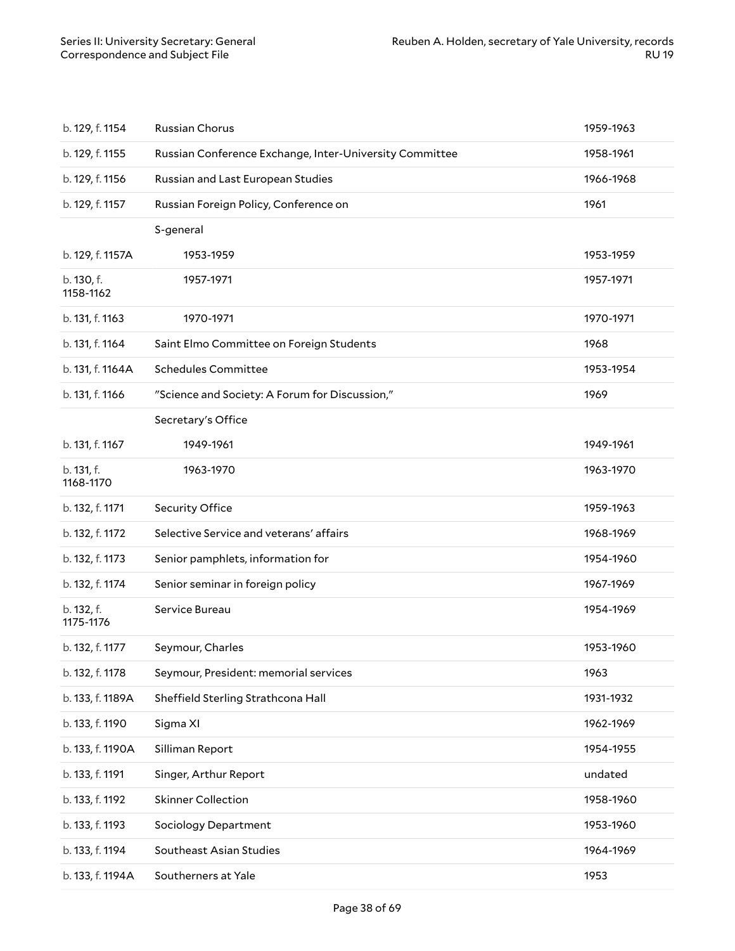| b. 129, f. 1154         | Russian Chorus                                          | 1959-1963 |
|-------------------------|---------------------------------------------------------|-----------|
| b. 129, f. 1155         | Russian Conference Exchange, Inter-University Committee | 1958-1961 |
| b. 129, f. 1156         | Russian and Last European Studies                       | 1966-1968 |
| b. 129, f. 1157         | Russian Foreign Policy, Conference on                   | 1961      |
|                         | S-general                                               |           |
| b. 129, f. 1157A        | 1953-1959                                               | 1953-1959 |
| b. 130, f.<br>1158-1162 | 1957-1971                                               | 1957-1971 |
| b. 131, f. 1163         | 1970-1971                                               | 1970-1971 |
| b. 131, f. 1164         | Saint Elmo Committee on Foreign Students                | 1968      |
| b. 131, f. 1164A        | <b>Schedules Committee</b>                              | 1953-1954 |
| b. 131, f. 1166         | "Science and Society: A Forum for Discussion,"          | 1969      |
|                         | Secretary's Office                                      |           |
| b. 131, f. 1167         | 1949-1961                                               | 1949-1961 |
| b. 131, f.<br>1168-1170 | 1963-1970                                               | 1963-1970 |
| b. 132, f. 1171         | Security Office                                         | 1959-1963 |
| b. 132, f. 1172         | Selective Service and veterans' affairs                 | 1968-1969 |
| b. 132, f. 1173         | Senior pamphlets, information for                       | 1954-1960 |
| b. 132, f. 1174         | Senior seminar in foreign policy                        | 1967-1969 |
| b. 132, f.<br>1175-1176 | Service Bureau                                          | 1954-1969 |
| b. 132, f. 1177         | Seymour, Charles                                        | 1953-1960 |
| b. 132, f. 1178         | Seymour, President: memorial services                   | 1963      |
| b. 133, f. 1189A        | Sheffield Sterling Strathcona Hall                      | 1931-1932 |
| b. 133, f. 1190         | Sigma XI                                                | 1962-1969 |
| b. 133, f. 1190A        | Silliman Report                                         | 1954-1955 |
| b. 133, f. 1191         | Singer, Arthur Report                                   | undated   |
| b. 133, f. 1192         | <b>Skinner Collection</b>                               | 1958-1960 |
| b. 133, f. 1193         | Sociology Department                                    | 1953-1960 |
| b. 133, f. 1194         | Southeast Asian Studies                                 | 1964-1969 |
| b. 133, f. 1194A        | Southerners at Yale                                     | 1953      |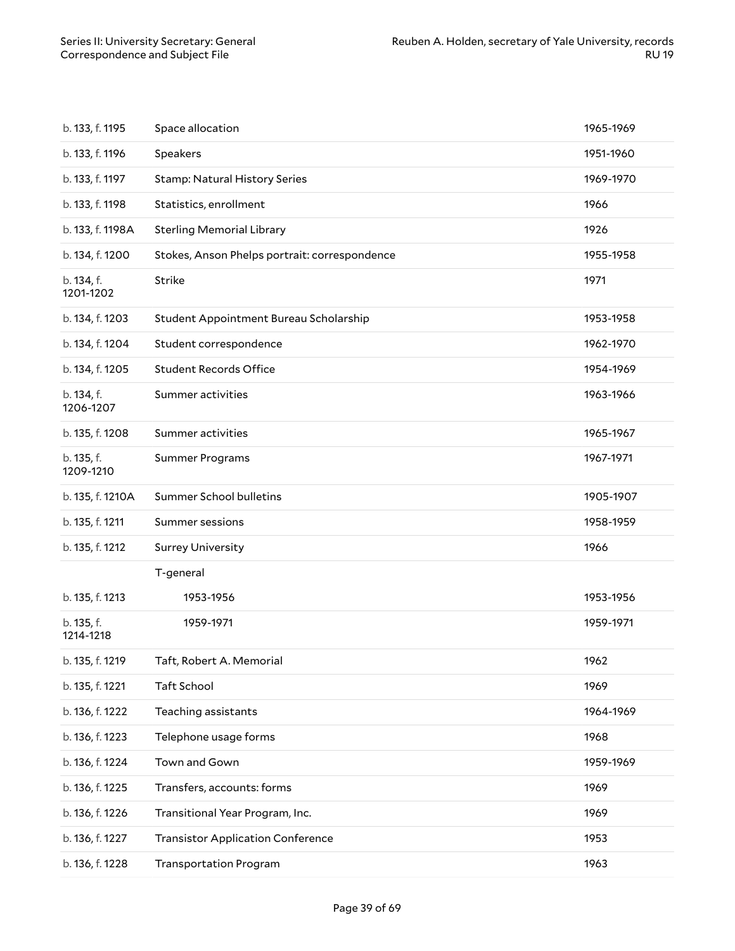<span id="page-38-0"></span>

| b. 133, f. 1195         | Space allocation                              | 1965-1969 |
|-------------------------|-----------------------------------------------|-----------|
| b. 133, f. 1196         | Speakers                                      | 1951-1960 |
| b. 133, f. 1197         | <b>Stamp: Natural History Series</b>          | 1969-1970 |
| b. 133, f. 1198         | Statistics, enrollment                        | 1966      |
| b. 133, f. 1198A        | <b>Sterling Memorial Library</b>              | 1926      |
| b. 134, f. 1200         | Stokes, Anson Phelps portrait: correspondence | 1955-1958 |
| b. 134, f.<br>1201-1202 | Strike                                        | 1971      |
| b. 134, f. 1203         | Student Appointment Bureau Scholarship        | 1953-1958 |
| b. 134, f. 1204         | Student correspondence                        | 1962-1970 |
| b. 134, f. 1205         | <b>Student Records Office</b>                 | 1954-1969 |
| b. 134, f.<br>1206-1207 | Summer activities                             | 1963-1966 |
| b. 135, f. 1208         | Summer activities                             | 1965-1967 |
| b. 135, f.<br>1209-1210 | Summer Programs                               | 1967-1971 |
| b. 135, f. 1210A        | Summer School bulletins                       | 1905-1907 |
| b. 135, f. 1211         | Summer sessions                               | 1958-1959 |
| b. 135, f. 1212         | <b>Surrey University</b>                      | 1966      |
|                         | T-general                                     |           |
| b. 135, f. 1213         | 1953-1956                                     | 1953-1956 |
| b. 135, f.<br>1214-1218 | 1959-1971                                     | 1959-1971 |
| b. 135, f. 1219         | Taft, Robert A. Memorial                      | 1962      |
| b. 135, f. 1221         | Taft School                                   | 1969      |
| b. 136, f. 1222         | Teaching assistants                           | 1964-1969 |
| b. 136, f. 1223         | Telephone usage forms                         | 1968      |
| b. 136, f. 1224         | Town and Gown                                 | 1959-1969 |
| b. 136, f. 1225         | Transfers, accounts: forms                    | 1969      |
| b. 136, f. 1226         | Transitional Year Program, Inc.               | 1969      |
| b. 136, f. 1227         | <b>Transistor Application Conference</b>      | 1953      |
| b. 136, f. 1228         | <b>Transportation Program</b>                 | 1963      |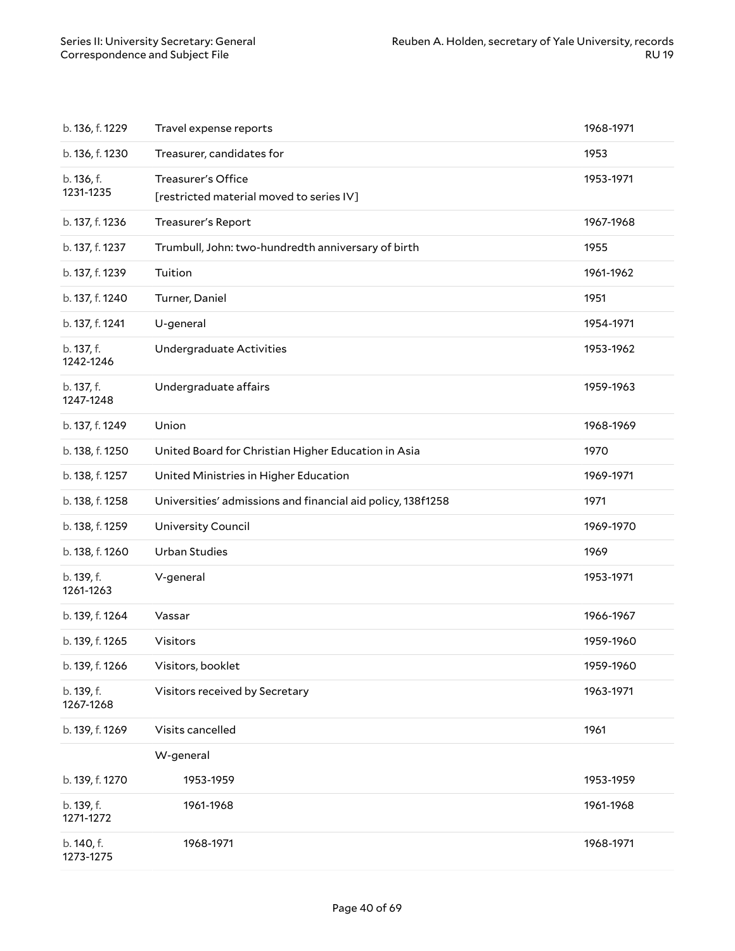| b. 136, f. 1229         | Travel expense reports                                                | 1968-1971 |
|-------------------------|-----------------------------------------------------------------------|-----------|
| b. 136, f. 1230         | Treasurer, candidates for                                             | 1953      |
| b. 136, f.<br>1231-1235 | <b>Treasurer's Office</b><br>[restricted material moved to series IV] | 1953-1971 |
| b. 137, f. 1236         | Treasurer's Report                                                    | 1967-1968 |
| b. 137, f. 1237         | Trumbull, John: two-hundredth anniversary of birth                    | 1955      |
| b. 137, f. 1239         | Tuition                                                               | 1961-1962 |
| b. 137, f. 1240         | Turner, Daniel                                                        | 1951      |
| b. 137, f. 1241         | U-general                                                             | 1954-1971 |
| b. 137, f.<br>1242-1246 | Undergraduate Activities                                              | 1953-1962 |
| b. 137, f.<br>1247-1248 | Undergraduate affairs                                                 | 1959-1963 |
| b. 137, f. 1249         | Union                                                                 | 1968-1969 |
| b. 138, f. 1250         | United Board for Christian Higher Education in Asia                   | 1970      |
| b. 138, f. 1257         | United Ministries in Higher Education                                 | 1969-1971 |
|                         |                                                                       |           |
| b. 138, f. 1258         | Universities' admissions and financial aid policy, 138f1258           | 1971      |
| b. 138, f. 1259         | University Council                                                    | 1969-1970 |
| b. 138, f. 1260         | <b>Urban Studies</b>                                                  | 1969      |
| b. 139, f.<br>1261-1263 | V-general                                                             | 1953-1971 |
| b. 139, f. 1264         | Vassar                                                                | 1966-1967 |
| b. 139, f. 1265         | Visitors                                                              | 1959-1960 |
| b. 139, f. 1266         | Visitors, booklet                                                     | 1959-1960 |
| b. 139, f.<br>1267-1268 | Visitors received by Secretary                                        | 1963-1971 |
| b. 139, f. 1269         | Visits cancelled                                                      | 1961      |
|                         | W-general                                                             |           |
| b. 139, f. 1270         | 1953-1959                                                             | 1953-1959 |
| b. 139, f.<br>1271-1272 | 1961-1968                                                             | 1961-1968 |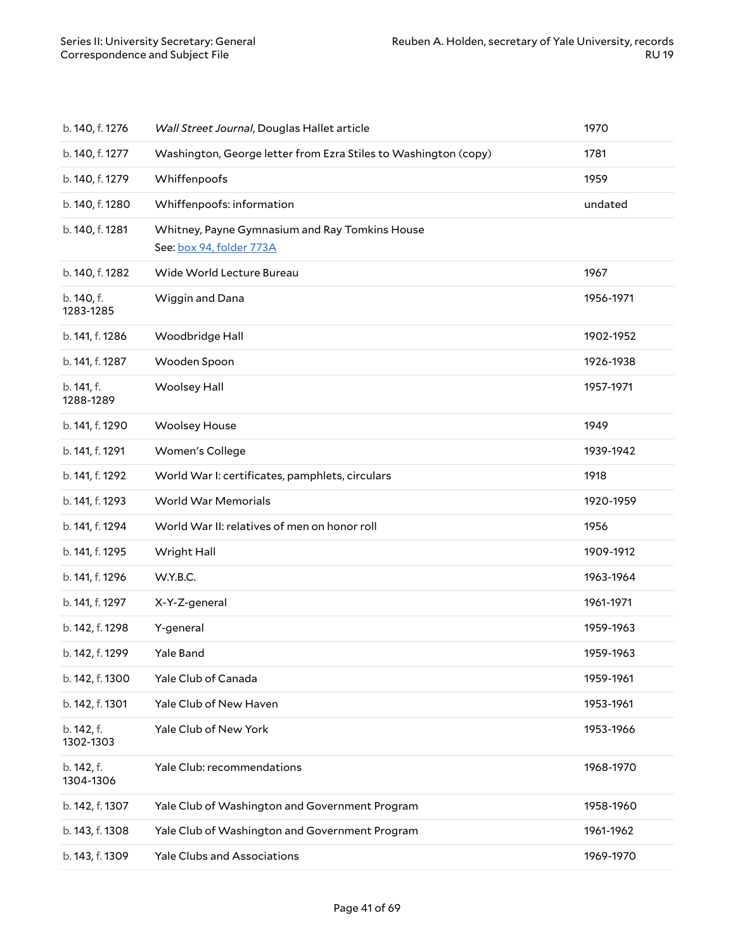| b. 140, f. 1276         | Wall Street Journal, Douglas Hallet article                                | 1970      |
|-------------------------|----------------------------------------------------------------------------|-----------|
| b. 140, f. 1277         | Washington, George letter from Ezra Stiles to Washington (copy)            | 1781      |
| b. 140, f. 1279         | Whiffenpoofs                                                               | 1959      |
| b. 140, f. 1280         | Whiffenpoofs: information                                                  | undated   |
| b. 140, f. 1281         | Whitney, Payne Gymnasium and Ray Tomkins House<br>See: box 94, folder 773A |           |
| b. 140, f. 1282         | Wide World Lecture Bureau                                                  | 1967      |
| b. 140, f.<br>1283-1285 | Wiggin and Dana                                                            | 1956-1971 |
| b. 141, f. 1286         | Woodbridge Hall                                                            | 1902-1952 |
| b. 141, f. 1287         | Wooden Spoon                                                               | 1926-1938 |
| b. 141, f.<br>1288-1289 | <b>Woolsey Hall</b>                                                        | 1957-1971 |
| b. 141, f. 1290         | <b>Woolsey House</b>                                                       | 1949      |
| b. 141, f. 1291         | Women's College                                                            | 1939-1942 |
| b. 141, f. 1292         | World War I: certificates, pamphlets, circulars                            | 1918      |
| b. 141, f. 1293         | World War Memorials                                                        | 1920-1959 |
| b. 141, f. 1294         | World War II: relatives of men on honor roll                               | 1956      |
| b. 141, f. 1295         | Wright Hall                                                                | 1909-1912 |
| b. 141, f. 1296         | W.Y.B.C.                                                                   | 1963-1964 |
| b. 141, f. 1297         | X-Y-Z-general                                                              | 1961-1971 |
| b. 142, f. 1298         | Y-general                                                                  | 1959-1963 |
| b. 142, f. 1299         | Yale Band                                                                  | 1959-1963 |
| b. 142, f. 1300         | Yale Club of Canada                                                        | 1959-1961 |
| b. 142, f. 1301         | Yale Club of New Haven                                                     | 1953-1961 |
| b. 142, f.<br>1302-1303 | Yale Club of New York                                                      | 1953-1966 |
| b. 142, f.<br>1304-1306 | Yale Club: recommendations                                                 | 1968-1970 |
| b. 142, f. 1307         | Yale Club of Washington and Government Program                             | 1958-1960 |
| b. 143, f. 1308         | Yale Club of Washington and Government Program                             | 1961-1962 |
| b. 143, f. 1309         | <b>Yale Clubs and Associations</b>                                         | 1969-1970 |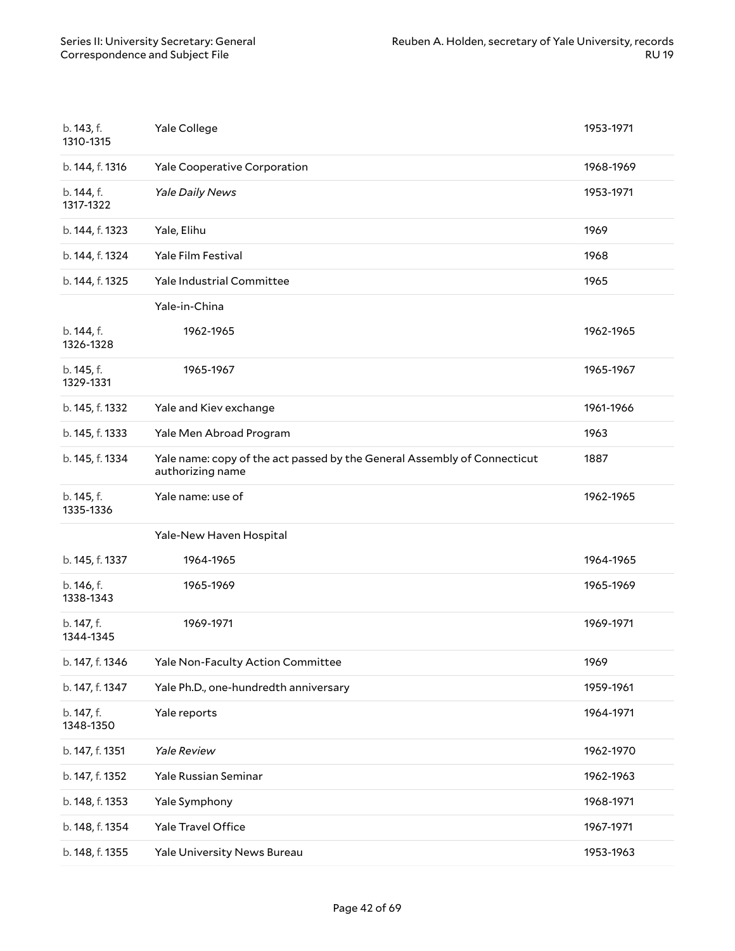| b. 143, f.<br>1310-1315 | Yale College                                                                                 | 1953-1971 |
|-------------------------|----------------------------------------------------------------------------------------------|-----------|
| b. 144, f. 1316         | Yale Cooperative Corporation                                                                 | 1968-1969 |
| b. 144, f.<br>1317-1322 | Yale Daily News                                                                              | 1953-1971 |
| b. 144, f. 1323         | Yale, Elihu                                                                                  | 1969      |
| b. 144, f. 1324         | Yale Film Festival                                                                           | 1968      |
| b. 144, f. 1325         | Yale Industrial Committee                                                                    | 1965      |
|                         | Yale-in-China                                                                                |           |
| b. 144, f.<br>1326-1328 | 1962-1965                                                                                    | 1962-1965 |
| b. 145, f.<br>1329-1331 | 1965-1967                                                                                    | 1965-1967 |
| b. 145, f. 1332         | Yale and Kiev exchange                                                                       | 1961-1966 |
| b. 145, f. 1333         | Yale Men Abroad Program                                                                      | 1963      |
| b. 145, f. 1334         | Yale name: copy of the act passed by the General Assembly of Connecticut<br>authorizing name | 1887      |
| b. 145, f.              | Yale name: use of                                                                            | 1962-1965 |
| 1335-1336               |                                                                                              |           |
|                         | Yale-New Haven Hospital                                                                      |           |
| b. 145, f. 1337         | 1964-1965                                                                                    | 1964-1965 |
| b. 146, f.<br>1338-1343 | 1965-1969                                                                                    | 1965-1969 |
| b. 147, f.<br>1344-1345 | 1969-1971                                                                                    | 1969-1971 |
| b. 147, f. 1346         | Yale Non-Faculty Action Committee                                                            | 1969      |
| b. 147, f. 1347         | Yale Ph.D., one-hundredth anniversary                                                        | 1959-1961 |
| b. 147, f.<br>1348-1350 | Yale reports                                                                                 | 1964-1971 |
| b. 147, f. 1351         | <b>Yale Review</b>                                                                           | 1962-1970 |
| b. 147, f. 1352         | Yale Russian Seminar                                                                         | 1962-1963 |
| b. 148, f. 1353         | Yale Symphony                                                                                | 1968-1971 |
| b. 148, f. 1354         | Yale Travel Office                                                                           | 1967-1971 |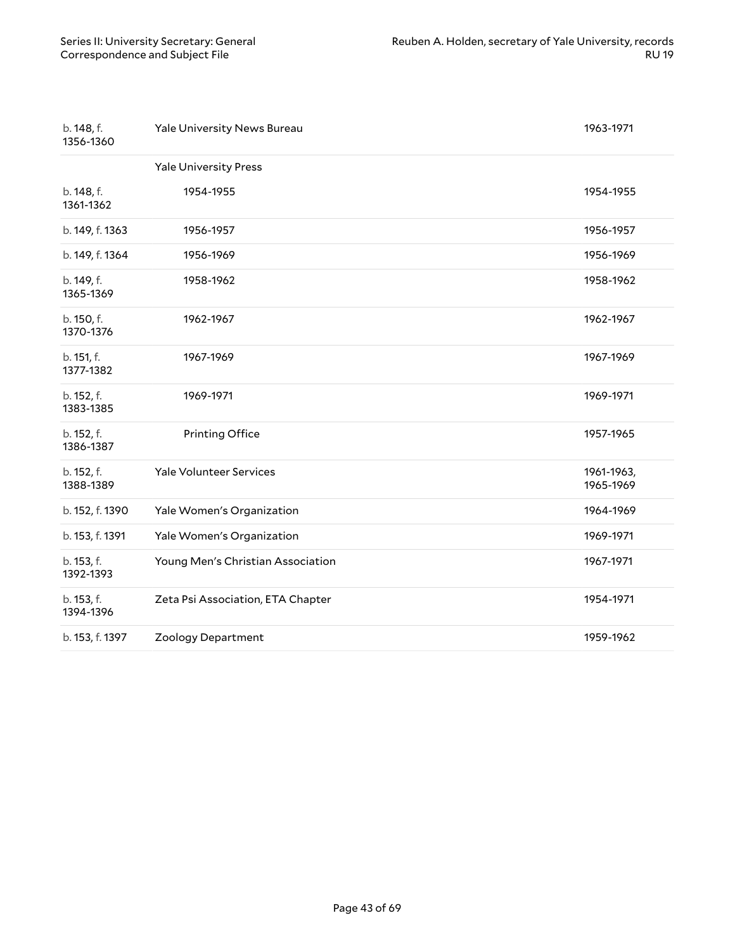| b. 148, f.<br>1356-1360 | Yale University News Bureau       | 1963-1971               |
|-------------------------|-----------------------------------|-------------------------|
|                         | <b>Yale University Press</b>      |                         |
| b. 148, f.<br>1361-1362 | 1954-1955                         | 1954-1955               |
| b. 149, f. 1363         | 1956-1957                         | 1956-1957               |
| b. 149, f. 1364         | 1956-1969                         | 1956-1969               |
| b. 149, f.<br>1365-1369 | 1958-1962                         | 1958-1962               |
| b. 150, f.<br>1370-1376 | 1962-1967                         | 1962-1967               |
| b. 151, f.<br>1377-1382 | 1967-1969                         | 1967-1969               |
| b. 152, f.<br>1383-1385 | 1969-1971                         | 1969-1971               |
| b. 152, f.<br>1386-1387 | <b>Printing Office</b>            | 1957-1965               |
| b. 152, f.<br>1388-1389 | <b>Yale Volunteer Services</b>    | 1961-1963,<br>1965-1969 |
| b. 152, f. 1390         | Yale Women's Organization         | 1964-1969               |
| b. 153, f. 1391         | Yale Women's Organization         | 1969-1971               |
| b. 153, f.<br>1392-1393 | Young Men's Christian Association | 1967-1971               |
| b. 153, f.<br>1394-1396 | Zeta Psi Association, ETA Chapter | 1954-1971               |
| b. 153, f. 1397         | Zoology Department                | 1959-1962               |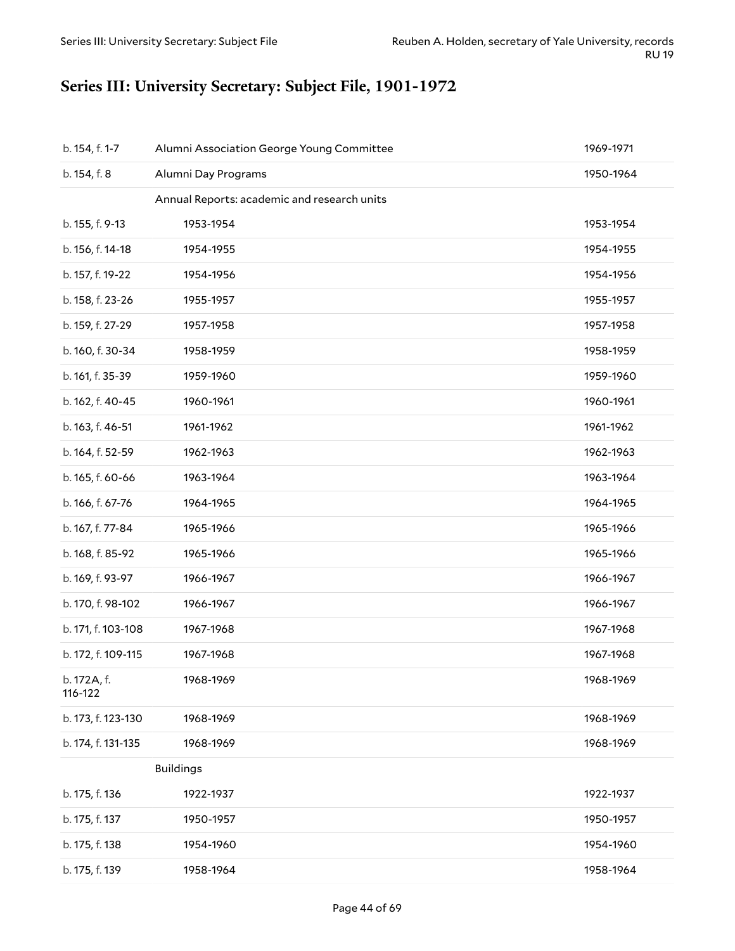# <span id="page-43-0"></span>**Series III: University Secretary: Subject File, 1901-1972**

| b. 154, f. 1-7         | Alumni Association George Young Committee   | 1969-1971 |
|------------------------|---------------------------------------------|-----------|
| b. 154, f. 8           | Alumni Day Programs                         | 1950-1964 |
|                        | Annual Reports: academic and research units |           |
| b. 155, f. 9-13        | 1953-1954                                   | 1953-1954 |
| b. 156, f. 14-18       | 1954-1955                                   | 1954-1955 |
| b. 157, f. 19-22       | 1954-1956                                   | 1954-1956 |
| b. 158, f. 23-26       | 1955-1957                                   | 1955-1957 |
| b. 159, f. 27-29       | 1957-1958                                   | 1957-1958 |
| b. 160, f. 30-34       | 1958-1959                                   | 1958-1959 |
| b. 161, f. 35-39       | 1959-1960                                   | 1959-1960 |
| b. 162, f. 40-45       | 1960-1961                                   | 1960-1961 |
| b. 163, f. 46-51       | 1961-1962                                   | 1961-1962 |
| b. 164, f. 52-59       | 1962-1963                                   | 1962-1963 |
| b. 165, f. 60-66       | 1963-1964                                   | 1963-1964 |
| b. 166, f. 67-76       | 1964-1965                                   | 1964-1965 |
| b. 167, f. 77-84       | 1965-1966                                   | 1965-1966 |
| b. 168, f. 85-92       | 1965-1966                                   | 1965-1966 |
| b. 169, f. 93-97       | 1966-1967                                   | 1966-1967 |
| b. 170, f. 98-102      | 1966-1967                                   | 1966-1967 |
| b. 171, f. 103-108     | 1967-1968                                   | 1967-1968 |
| b. 172, f. 109-115     | 1967-1968                                   | 1967-1968 |
| b. 172A, f.<br>116-122 | 1968-1969                                   | 1968-1969 |
| b. 173, f. 123-130     | 1968-1969                                   | 1968-1969 |
| b. 174, f. 131-135     | 1968-1969                                   | 1968-1969 |
|                        | <b>Buildings</b>                            |           |
| b. 175, f. 136         | 1922-1937                                   | 1922-1937 |
| b. 175, f. 137         | 1950-1957                                   | 1950-1957 |
| b. 175, f. 138         | 1954-1960                                   | 1954-1960 |
| b. 175, f. 139         | 1958-1964                                   | 1958-1964 |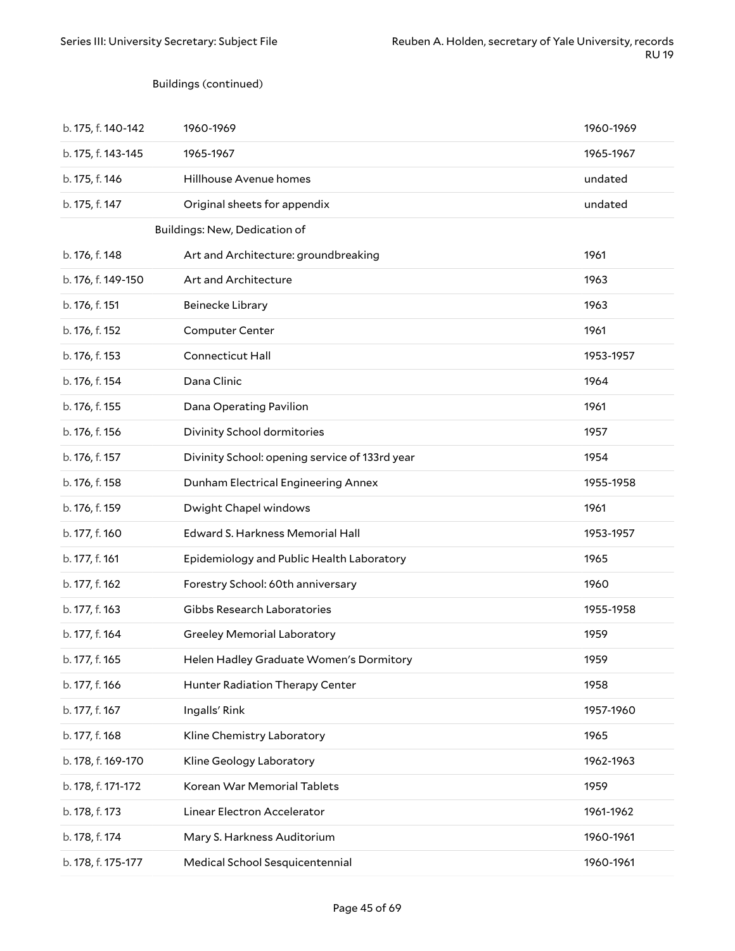### Buildings (continued)

| b. 175, f. 140-142 | 1960-1969                                      | 1960-1969 |
|--------------------|------------------------------------------------|-----------|
| b. 175, f. 143-145 | 1965-1967                                      | 1965-1967 |
| b. 175, f. 146     | Hillhouse Avenue homes                         | undated   |
| b. 175, f. 147     | Original sheets for appendix                   | undated   |
|                    | Buildings: New, Dedication of                  |           |
| b. 176, f. 148     | Art and Architecture: groundbreaking           | 1961      |
| b. 176, f. 149-150 | Art and Architecture                           | 1963      |
| b. 176, f. 151     | Beinecke Library                               | 1963      |
| b. 176, f. 152     | <b>Computer Center</b>                         | 1961      |
| b. 176, f. 153     | <b>Connecticut Hall</b>                        | 1953-1957 |
| b. 176, f. 154     | Dana Clinic                                    | 1964      |
| b. 176, f. 155     | Dana Operating Pavilion                        | 1961      |
| b. 176, f. 156     | Divinity School dormitories                    | 1957      |
| b. 176, f. 157     | Divinity School: opening service of 133rd year | 1954      |
| b. 176, f. 158     | Dunham Electrical Engineering Annex            | 1955-1958 |
| b. 176, f. 159     | Dwight Chapel windows                          | 1961      |
| b. 177, f. 160     | Edward S. Harkness Memorial Hall               | 1953-1957 |
| b. 177, f. 161     | Epidemiology and Public Health Laboratory      | 1965      |
| b. 177, f. 162     | Forestry School: 60th anniversary              | 1960      |
| b. 177, f. 163     | Gibbs Research Laboratories                    | 1955-1958 |
| b. 177, f. 164     | <b>Greeley Memorial Laboratory</b>             | 1959      |
| b. 177, f. 165     | Helen Hadley Graduate Women's Dormitory        | 1959      |
| b. 177, f. 166     | Hunter Radiation Therapy Center                | 1958      |
| b. 177, f. 167     | Ingalls' Rink                                  | 1957-1960 |
| b. 177, f. 168     | Kline Chemistry Laboratory                     | 1965      |
| b. 178, f. 169-170 | Kline Geology Laboratory                       | 1962-1963 |
| b. 178, f. 171-172 | Korean War Memorial Tablets                    | 1959      |
| b. 178, f. 173     | Linear Electron Accelerator                    | 1961-1962 |
| b. 178, f. 174     | Mary S. Harkness Auditorium                    | 1960-1961 |
| b. 178, f. 175-177 | Medical School Sesquicentennial                | 1960-1961 |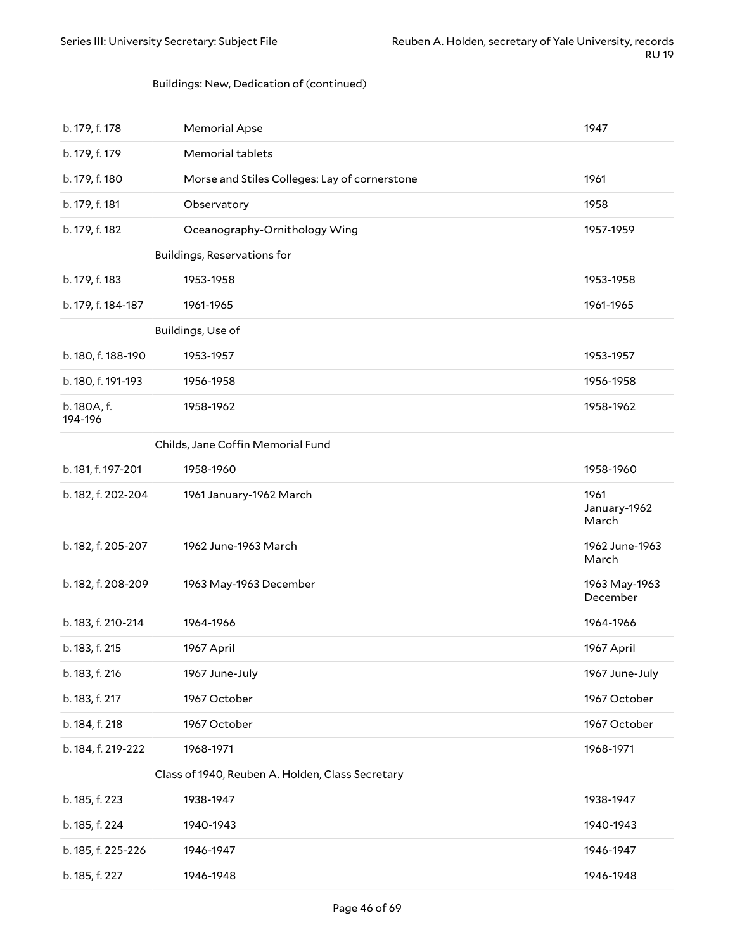#### Buildings: New, Dedication of (continued)

| b. 179, f. 178         | <b>Memorial Apse</b>                             | 1947                          |
|------------------------|--------------------------------------------------|-------------------------------|
| b. 179, f. 179         | Memorial tablets                                 |                               |
| b. 179, f. 180         | Morse and Stiles Colleges: Lay of cornerstone    | 1961                          |
| b. 179, f. 181         | Observatory                                      | 1958                          |
| b. 179, f. 182         | Oceanography-Ornithology Wing                    | 1957-1959                     |
|                        | Buildings, Reservations for                      |                               |
| b. 179, f. 183         | 1953-1958                                        | 1953-1958                     |
| b. 179, f. 184-187     | 1961-1965                                        | 1961-1965                     |
|                        | Buildings, Use of                                |                               |
| b. 180, f. 188-190     | 1953-1957                                        | 1953-1957                     |
| b. 180, f. 191-193     | 1956-1958                                        | 1956-1958                     |
| b. 180A, f.<br>194-196 | 1958-1962                                        | 1958-1962                     |
|                        | Childs, Jane Coffin Memorial Fund                |                               |
| b. 181, f. 197-201     | 1958-1960                                        | 1958-1960                     |
| b. 182, f. 202-204     | 1961 January-1962 March                          | 1961<br>January-1962<br>March |
| b. 182, f. 205-207     | 1962 June-1963 March                             | 1962 June-1963<br>March       |
| b. 182, f. 208-209     | 1963 May-1963 December                           | 1963 May-1963<br>December     |
| b. 183, f. 210-214     | 1964-1966                                        | 1964-1966                     |
| b. 183, f. 215         | 1967 April                                       | 1967 April                    |
| b. 183, f. 216         | 1967 June-July                                   | 1967 June-July                |
| b. 183, f. 217         | 1967 October                                     | 1967 October                  |
| b. 184, f. 218         | 1967 October                                     | 1967 October                  |
| b. 184, f. 219-222     | 1968-1971                                        | 1968-1971                     |
|                        | Class of 1940, Reuben A. Holden, Class Secretary |                               |
| b. 185, f. 223         | 1938-1947                                        | 1938-1947                     |
| b. 185, f. 224         | 1940-1943                                        | 1940-1943                     |
| b. 185, f. 225-226     | 1946-1947                                        | 1946-1947                     |
| b. 185, f. 227         | 1946-1948                                        | 1946-1948                     |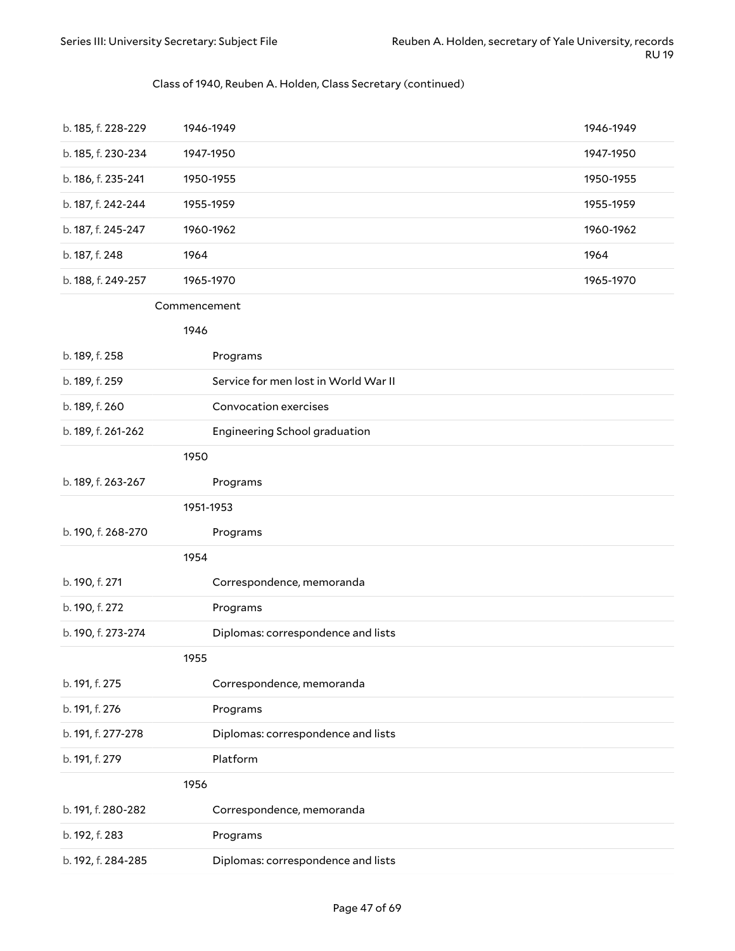### Class of 1940, Reuben A. Holden, Class Secretary (continued)

| b. 185, f. 228-229 | 1946-1949                            | 1946-1949 |
|--------------------|--------------------------------------|-----------|
| b. 185, f. 230-234 | 1947-1950                            | 1947-1950 |
| b. 186, f. 235-241 | 1950-1955                            | 1950-1955 |
| b. 187, f. 242-244 | 1955-1959                            | 1955-1959 |
| b. 187, f. 245-247 | 1960-1962                            | 1960-1962 |
| b. 187, f. 248     | 1964                                 | 1964      |
| b. 188, f. 249-257 | 1965-1970                            | 1965-1970 |
|                    | Commencement                         |           |
|                    | 1946                                 |           |
| b. 189, f. 258     | Programs                             |           |
| b. 189, f. 259     | Service for men lost in World War II |           |
| b. 189, f. 260     | Convocation exercises                |           |
| b. 189, f. 261-262 | Engineering School graduation        |           |
|                    | 1950                                 |           |
| b. 189, f. 263-267 | Programs                             |           |
|                    | 1951-1953                            |           |
| b. 190, f. 268-270 | Programs                             |           |
|                    | 1954                                 |           |
| b. 190, f. 271     | Correspondence, memoranda            |           |
| b. 190, f. 272     | Programs                             |           |
| b. 190, f. 273-274 | Diplomas: correspondence and lists   |           |
|                    | 1955                                 |           |
| b. 191, f. 275     | Correspondence, memoranda            |           |
| b. 191, f. 276     | Programs                             |           |
| b. 191, f. 277-278 | Diplomas: correspondence and lists   |           |
| b. 191, f. 279     | Platform                             |           |
|                    | 1956                                 |           |
| b. 191, f. 280-282 | Correspondence, memoranda            |           |
| b. 192, f. 283     | Programs                             |           |
| b. 192, f. 284-285 | Diplomas: correspondence and lists   |           |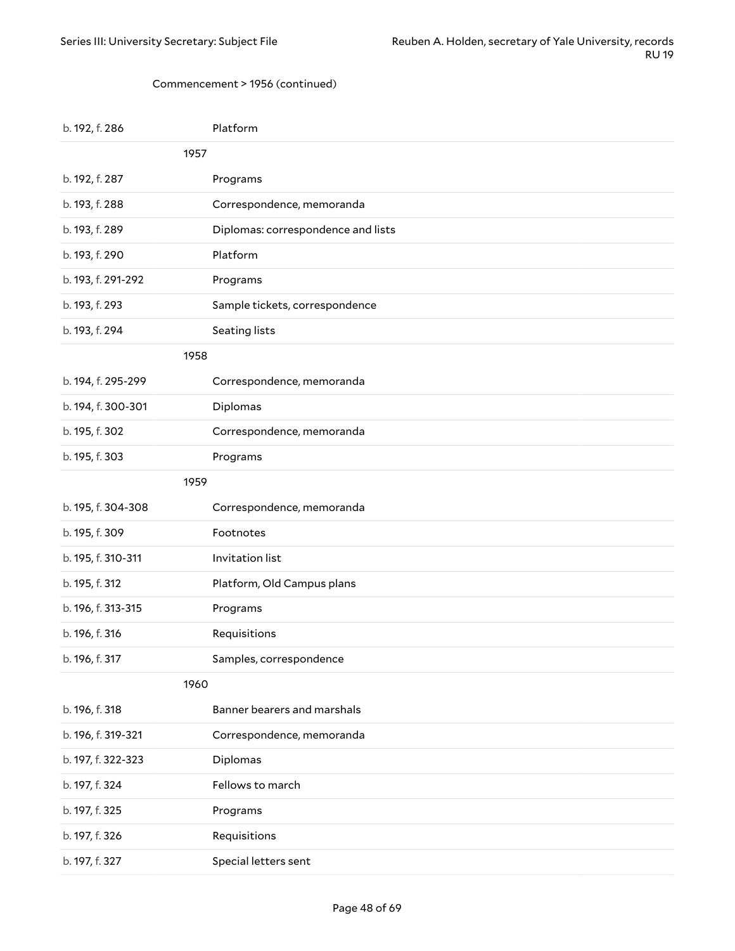#### Commencement > 1956 (continued)

| b. 192, f. 286     | Platform                           |
|--------------------|------------------------------------|
| 1957               |                                    |
| b. 192, f. 287     | Programs                           |
| b. 193, f. 288     | Correspondence, memoranda          |
| b. 193, f. 289     | Diplomas: correspondence and lists |
| b. 193, f. 290     | Platform                           |
| b. 193, f. 291-292 | Programs                           |
| b. 193, f. 293     | Sample tickets, correspondence     |
| b. 193, f. 294     | Seating lists                      |
| 1958               |                                    |
| b. 194, f. 295-299 | Correspondence, memoranda          |
| b. 194, f. 300-301 | Diplomas                           |
| b. 195, f. 302     | Correspondence, memoranda          |
| b. 195, f. 303     | Programs                           |
| 1959               |                                    |
|                    |                                    |
| b. 195, f. 304-308 | Correspondence, memoranda          |
| b. 195, f. 309     | Footnotes                          |
| b. 195, f. 310-311 | Invitation list                    |
| b. 195, f. 312     | Platform, Old Campus plans         |
| b. 196, f. 313-315 | Programs                           |
| b. 196, f. 316     | Requisitions                       |
| b. 196, f. 317     | Samples, correspondence            |
| 1960               |                                    |
| b. 196, f. 318     | Banner bearers and marshals        |
| b. 196, f. 319-321 | Correspondence, memoranda          |
| b. 197, f. 322-323 | Diplomas                           |
| b. 197, f. 324     | Fellows to march                   |
| b. 197, f. 325     | Programs                           |
| b. 197, f. 326     | Requisitions                       |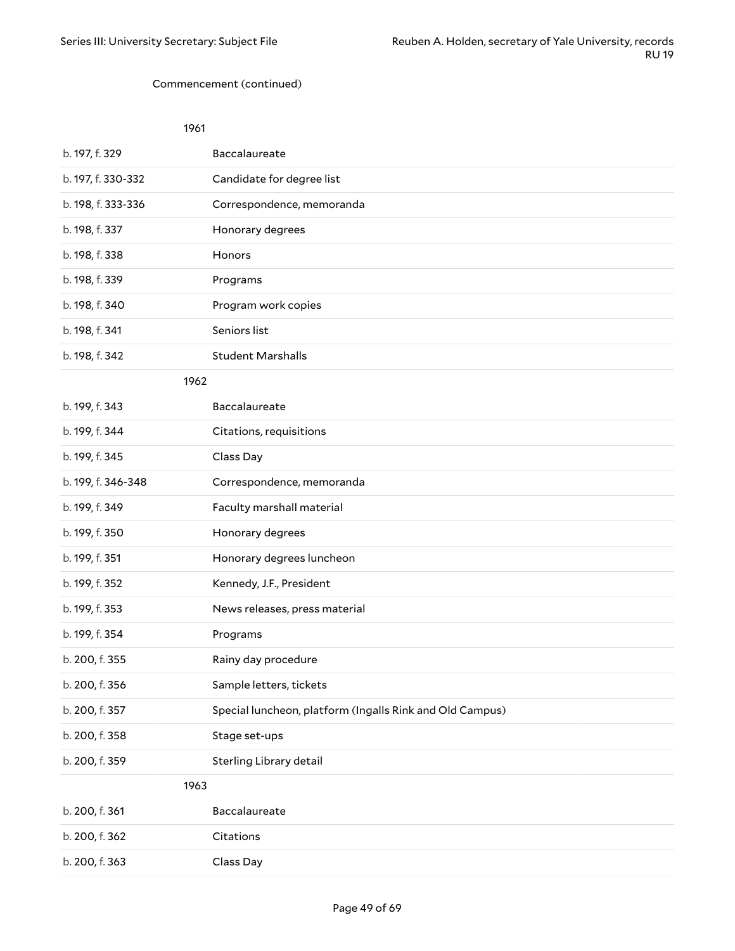#### Commencement (continued)

| 1961               |                                                          |
|--------------------|----------------------------------------------------------|
| b. 197, f. 329     | Baccalaureate                                            |
| b. 197, f. 330-332 | Candidate for degree list                                |
| b. 198, f. 333-336 | Correspondence, memoranda                                |
| b. 198, f. 337     | Honorary degrees                                         |
| b. 198, f. 338     | Honors                                                   |
| b. 198, f. 339     | Programs                                                 |
| b. 198, f. 340     | Program work copies                                      |
| b. 198, f. 341     | Seniors list                                             |
| b. 198, f. 342     | <b>Student Marshalls</b>                                 |
| 1962               |                                                          |
| b. 199, f. 343     | Baccalaureate                                            |
| b. 199, f. 344     | Citations, requisitions                                  |
| b. 199, f. 345     | Class Day                                                |
| b. 199, f. 346-348 | Correspondence, memoranda                                |
| b. 199, f. 349     | Faculty marshall material                                |
| b. 199, f. 350     | Honorary degrees                                         |
| b. 199, f. 351     | Honorary degrees luncheon                                |
| b. 199, f. 352     | Kennedy, J.F., President                                 |
| b. 199, f. 353     | News releases, press material                            |
| b. 199, f. 354     | Programs                                                 |
| b. 200, f. 355     | Rainy day procedure                                      |
| b. 200, f. 356     | Sample letters, tickets                                  |
| b. 200, f. 357     | Special luncheon, platform (Ingalls Rink and Old Campus) |
| b. 200, f. 358     | Stage set-ups                                            |
| b. 200, f. 359     | Sterling Library detail                                  |
| 1963               |                                                          |
| b. 200, f. 361     | Baccalaureate                                            |
| b. 200, f. 362     | Citations                                                |
| b. 200, f. 363     | Class Day                                                |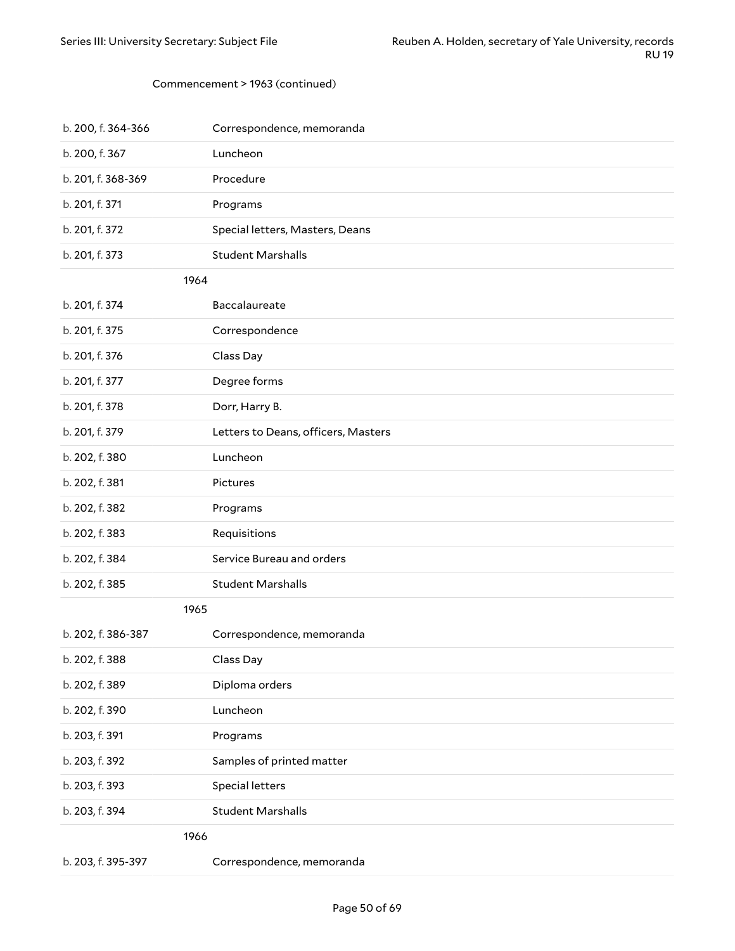#### Commencement > 1963 (continued)

| b. 200, f. 364-366 | Correspondence, memoranda           |
|--------------------|-------------------------------------|
| b. 200, f. 367     | Luncheon                            |
| b. 201, f. 368-369 | Procedure                           |
| b. 201, f. 371     | Programs                            |
| b. 201, f. 372     | Special letters, Masters, Deans     |
| b. 201, f. 373     | <b>Student Marshalls</b>            |
| 1964               |                                     |
| b. 201, f. 374     | Baccalaureate                       |
| b. 201, f. 375     | Correspondence                      |
| b. 201, f. 376     | Class Day                           |
| b. 201, f. 377     | Degree forms                        |
| b. 201, f. 378     | Dorr, Harry B.                      |
| b. 201, f. 379     | Letters to Deans, officers, Masters |
| b. 202, f. 380     | Luncheon                            |
| b. 202, f. 381     | Pictures                            |
| b. 202, f. 382     | Programs                            |
| b. 202, f. 383     | Requisitions                        |
| b. 202, f. 384     | Service Bureau and orders           |
| b. 202, f. 385     | <b>Student Marshalls</b>            |
| 1965               |                                     |
| b. 202, f. 386-387 | Correspondence, memoranda           |
| b. 202, f. 388     | Class Day                           |
| b. 202, f. 389     | Diploma orders                      |
| b. 202, f. 390     | Luncheon                            |
| b. 203, f. 391     | Programs                            |
| b. 203, f. 392     | Samples of printed matter           |
| b. 203, f. 393     | Special letters                     |
| b. 203, f. 394     | <b>Student Marshalls</b>            |
| 1966               |                                     |
| b. 203, f. 395-397 | Correspondence, memoranda           |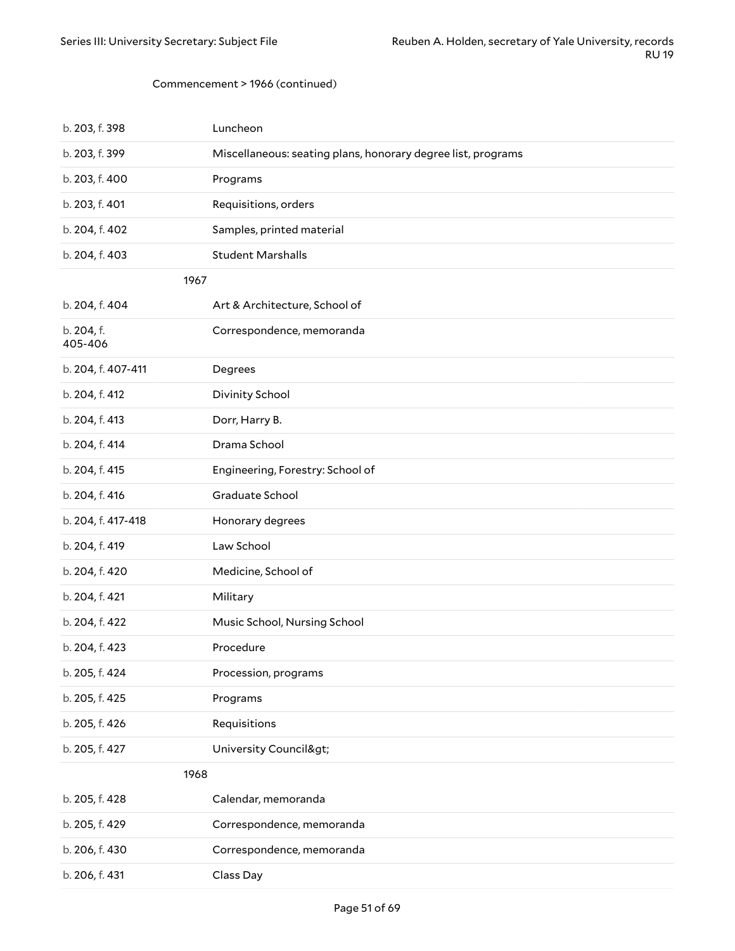#### Commencement > 1966 (continued)

| b. 203, f. 398        | Luncheon                                                     |
|-----------------------|--------------------------------------------------------------|
| b. 203, f. 399        | Miscellaneous: seating plans, honorary degree list, programs |
| b. 203, f. 400        | Programs                                                     |
| b. 203, f. 401        | Requisitions, orders                                         |
| b. 204, f. 402        | Samples, printed material                                    |
| b. 204, f. 403        | <b>Student Marshalls</b>                                     |
| 1967                  |                                                              |
| b. 204, f. 404        | Art & Architecture, School of                                |
| b. 204, f.<br>405-406 | Correspondence, memoranda                                    |
| b. 204, f. 407-411    | Degrees                                                      |
| b. 204, f. 412        | Divinity School                                              |
| b. 204, f. 413        | Dorr, Harry B.                                               |
| b. 204, f. 414        | Drama School                                                 |
| b. 204, f. 415        | Engineering, Forestry: School of                             |
| b. 204, f. 416        | Graduate School                                              |
| b. 204, f. 417-418    | Honorary degrees                                             |
| b. 204, f. 419        | Law School                                                   |
| b. 204, f. 420        | Medicine, School of                                          |
| b. 204, f. 421        | Military                                                     |
| b. 204, f. 422        | Music School, Nursing School                                 |
| b. 204, f. 423        | Procedure                                                    |
| b. 205, f. 424        | Procession, programs                                         |
| b. 205, f. 425        | Programs                                                     |
| b. 205, f. 426        | Requisitions                                                 |
| b. 205, f. 427        | University Council>                                          |
| 1968                  |                                                              |
| b. 205, f. 428        | Calendar, memoranda                                          |
| b. 205, f. 429        | Correspondence, memoranda                                    |
| b. 206, f. 430        | Correspondence, memoranda                                    |
| b. 206, f. 431        | Class Day                                                    |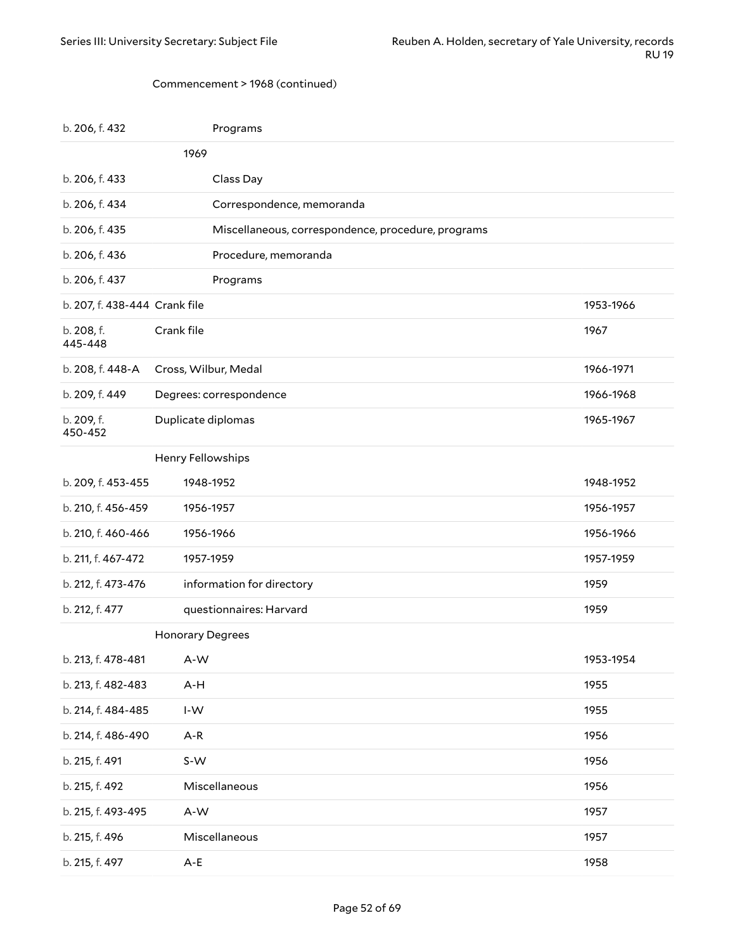#### Commencement > 1968 (continued)

| b. 206, f. 432                | Programs                                           |           |
|-------------------------------|----------------------------------------------------|-----------|
|                               | 1969                                               |           |
| b. 206, f. 433                | Class Day                                          |           |
| b. 206, f. 434                | Correspondence, memoranda                          |           |
| b. 206, f. 435                | Miscellaneous, correspondence, procedure, programs |           |
| b. 206, f. 436                | Procedure, memoranda                               |           |
| b. 206, f. 437                | Programs                                           |           |
| b. 207, f. 438-444 Crank file |                                                    | 1953-1966 |
| b. 208, f.<br>445-448         | Crank file                                         | 1967      |
| b. 208, f. 448-A              | Cross, Wilbur, Medal                               | 1966-1971 |
| b. 209, f. 449                | Degrees: correspondence                            | 1966-1968 |
| b. 209, f.<br>450-452         | Duplicate diplomas                                 | 1965-1967 |
|                               | Henry Fellowships                                  |           |
| b. 209, f. 453-455            | 1948-1952                                          | 1948-1952 |
| b. 210, f. 456-459            | 1956-1957                                          | 1956-1957 |
| b. 210, f. 460-466            | 1956-1966                                          | 1956-1966 |
| b. 211, f. 467-472            | 1957-1959                                          | 1957-1959 |
| b. 212, f. 473-476            | information for directory                          | 1959      |
| b. 212, f. 477                | questionnaires: Harvard                            | 1959      |
|                               | Honorary Degrees                                   |           |
| b. 213, f. 478-481            | A-W                                                | 1953-1954 |
| b. 213, f. 482-483            | A-H                                                | 1955      |
| b. 214, f. 484-485            | $\mathsf{I}\text{-}\mathsf{W}$                     | 1955      |
| b. 214, f. 486-490            | $A-R$                                              | 1956      |
| b. 215, f. 491                | S-W                                                | 1956      |
| b. 215, f. 492                | Miscellaneous                                      | 1956      |
| b. 215, f. 493-495            | A-W                                                | 1957      |
| b. 215, f. 496                | Miscellaneous                                      | 1957      |
| b. 215, f. 497                | $A-E$                                              | 1958      |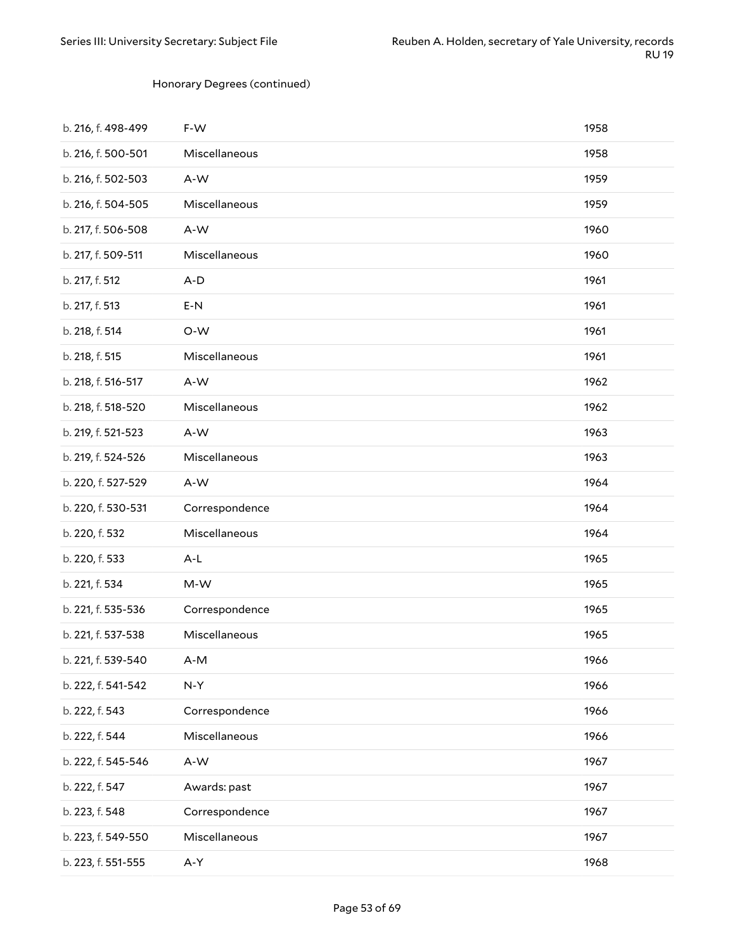#### Honorary Degrees (continued)

| b. 216, f. 498-499 | F-W            | 1958 |
|--------------------|----------------|------|
| b. 216, f. 500-501 | Miscellaneous  | 1958 |
| b. 216, f. 502-503 | A-W            | 1959 |
| b. 216, f. 504-505 | Miscellaneous  | 1959 |
| b. 217, f. 506-508 | A-W            | 1960 |
| b. 217, f. 509-511 | Miscellaneous  | 1960 |
| b. 217, f. 512     | $A-D$          | 1961 |
| b. 217, f. 513     | $E-N$          | 1961 |
| b. 218, f. 514     | O-W            | 1961 |
| b. 218, f. 515     | Miscellaneous  | 1961 |
| b. 218, f. 516-517 | A-W            | 1962 |
| b. 218, f. 518-520 | Miscellaneous  | 1962 |
| b. 219, f. 521-523 | A-W            | 1963 |
| b. 219, f. 524-526 | Miscellaneous  | 1963 |
| b. 220, f. 527-529 | A-W            | 1964 |
| b. 220, f. 530-531 | Correspondence | 1964 |
| b. 220, f. 532     | Miscellaneous  | 1964 |
| b. 220, f. 533     | $A-L$          | 1965 |
| b. 221, f. 534     | M-W            | 1965 |
| b. 221, f. 535-536 | Correspondence | 1965 |
| b. 221, f. 537-538 | Miscellaneous  | 1965 |
| b. 221, f. 539-540 | A-M            | 1966 |
| b. 222, f. 541-542 | $N-Y$          | 1966 |
| b. 222, f. 543     | Correspondence | 1966 |
| b. 222, f. 544     | Miscellaneous  | 1966 |
| b. 222, f. 545-546 | A-W            | 1967 |
| b. 222, f. 547     | Awards: past   | 1967 |
| b. 223, f. 548     | Correspondence | 1967 |
| b. 223, f. 549-550 | Miscellaneous  | 1967 |
| b. 223, f. 551-555 | A-Y            | 1968 |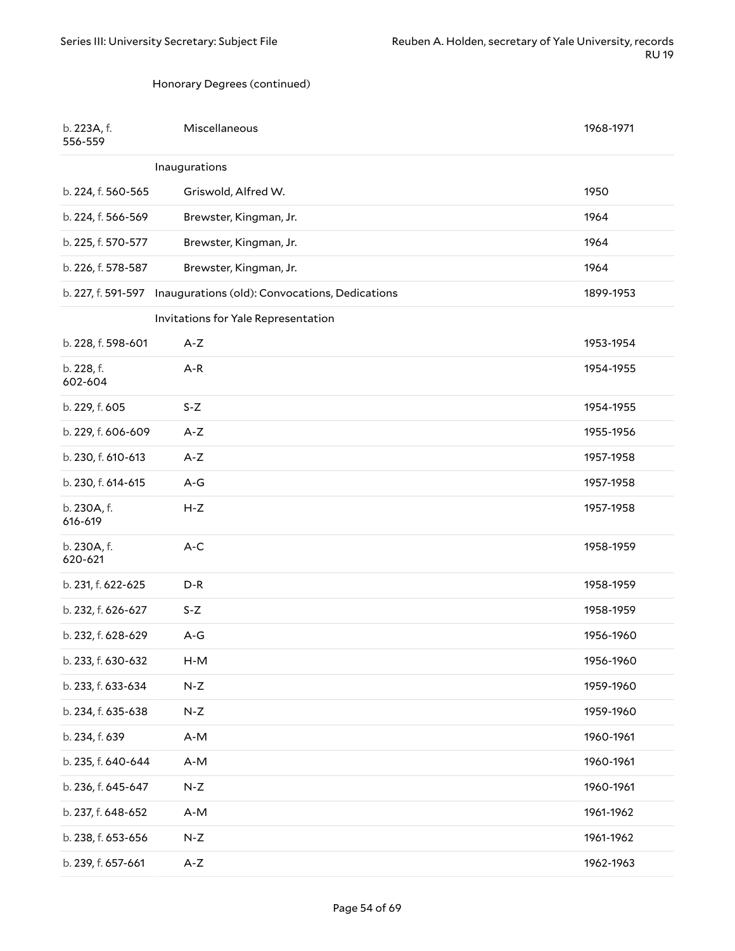#### Honorary Degrees (continued)

| b. 223A, f.<br>556-559 | Miscellaneous                                                     | 1968-1971 |
|------------------------|-------------------------------------------------------------------|-----------|
|                        | Inaugurations                                                     |           |
| b. 224, f. 560-565     | Griswold, Alfred W.                                               | 1950      |
| b. 224, f. 566-569     | Brewster, Kingman, Jr.                                            | 1964      |
| b. 225, f. 570-577     | Brewster, Kingman, Jr.                                            | 1964      |
| b. 226, f. 578-587     | Brewster, Kingman, Jr.                                            | 1964      |
|                        | b. 227, f. 591-597 Inaugurations (old): Convocations, Dedications | 1899-1953 |
|                        | Invitations for Yale Representation                               |           |
| b. 228, f. 598-601     | $A-Z$                                                             | 1953-1954 |
| b. 228, f.<br>602-604  | $A-R$                                                             | 1954-1955 |
| b. 229, f. 605         | $S-Z$                                                             | 1954-1955 |
| b. 229, f. 606-609     | $A-Z$                                                             | 1955-1956 |
| b. 230, f. 610-613     | $A-Z$                                                             | 1957-1958 |
| b. 230, f. 614-615     | $A-G$                                                             | 1957-1958 |
| b. 230A, f.<br>616-619 | $H-Z$                                                             | 1957-1958 |
| b. 230A, f.<br>620-621 | $A-C$                                                             | 1958-1959 |
| b. 231, f. 622-625     | $D-R$                                                             | 1958-1959 |
| b. 232, f. 626-627     | $S-Z$                                                             | 1958-1959 |
| b. 232, f. 628-629     | A-G                                                               | 1956-1960 |
| b. 233, f. 630-632     | $H-M$                                                             | 1956-1960 |
| b. 233, f. 633-634     | $N-Z$                                                             | 1959-1960 |
| b. 234, f. 635-638     | $N-Z$                                                             | 1959-1960 |
| b. 234, f. 639         | A-M                                                               | 1960-1961 |
| b. 235, f. 640-644     | A-M                                                               | 1960-1961 |
| b. 236, f. 645-647     | $N-Z$                                                             | 1960-1961 |
| b. 237, f. 648-652     | A-M                                                               | 1961-1962 |
| b. 238, f. 653-656     | $N-Z$                                                             | 1961-1962 |
| b. 239, f. 657-661     | $A-Z$                                                             | 1962-1963 |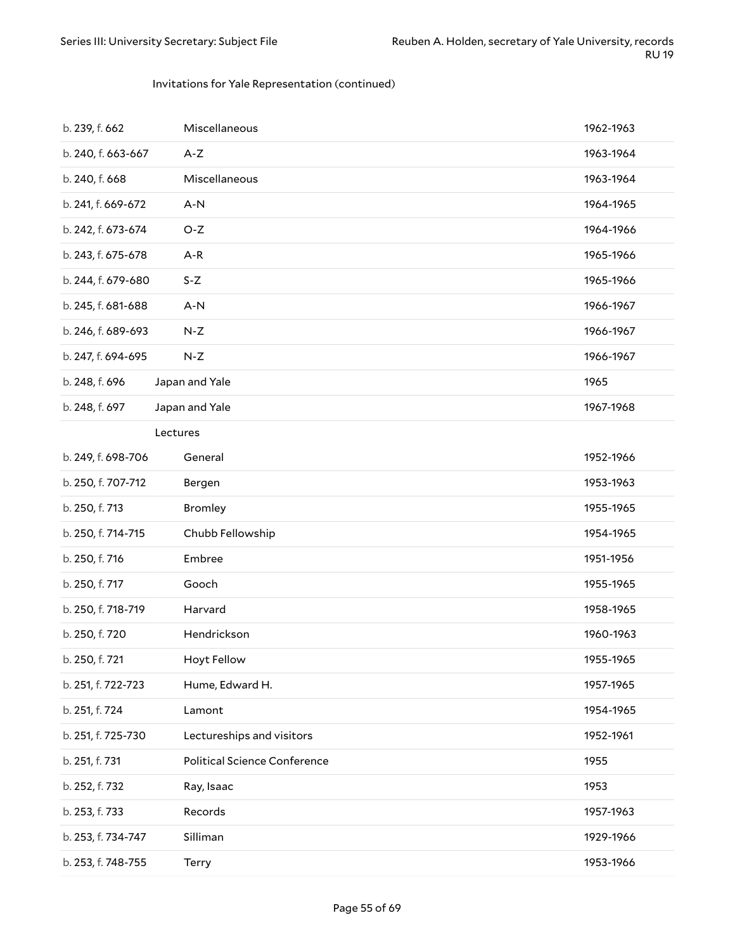#### Invitations for Yale Representation (continued)

| b. 239, f. 662     | Miscellaneous                       | 1962-1963 |
|--------------------|-------------------------------------|-----------|
| b. 240, f. 663-667 | $A-Z$                               | 1963-1964 |
| b. 240, f. 668     | Miscellaneous                       | 1963-1964 |
| b. 241, f. 669-672 | $A-N$                               | 1964-1965 |
| b. 242, f. 673-674 | $O-Z$                               | 1964-1966 |
| b. 243, f. 675-678 | $A-R$                               | 1965-1966 |
| b. 244, f. 679-680 | $S-Z$                               | 1965-1966 |
| b. 245, f. 681-688 | $A-N$                               | 1966-1967 |
| b. 246, f. 689-693 | $N-Z$                               | 1966-1967 |
| b. 247, f. 694-695 | $N-Z$                               | 1966-1967 |
| b. 248, f. 696     | Japan and Yale                      | 1965      |
| b. 248, f. 697     | Japan and Yale                      | 1967-1968 |
|                    | Lectures                            |           |
| b. 249, f. 698-706 | General                             | 1952-1966 |
| b. 250, f. 707-712 | Bergen                              | 1953-1963 |
| b. 250, f. 713     | <b>Bromley</b>                      | 1955-1965 |
| b. 250, f. 714-715 | Chubb Fellowship                    | 1954-1965 |
| b. 250, f. 716     | Embree                              | 1951-1956 |
| b. 250, f. 717     | Gooch                               | 1955-1965 |
| b. 250, f. 718-719 | Harvard                             | 1958-1965 |
| b. 250, f. 720     | Hendrickson                         | 1960-1963 |
| b. 250, f. 721     | Hoyt Fellow                         | 1955-1965 |
| b. 251, f. 722-723 | Hume, Edward H.                     | 1957-1965 |
| b. 251, f. 724     | Lamont                              | 1954-1965 |
| b. 251, f. 725-730 | Lectureships and visitors           | 1952-1961 |
| b. 251, f. 731     | <b>Political Science Conference</b> | 1955      |
| b. 252, f. 732     | Ray, Isaac                          | 1953      |
| b. 253, f. 733     | Records                             | 1957-1963 |
| b. 253, f. 734-747 | Silliman                            | 1929-1966 |
| b. 253, f. 748-755 | Terry                               | 1953-1966 |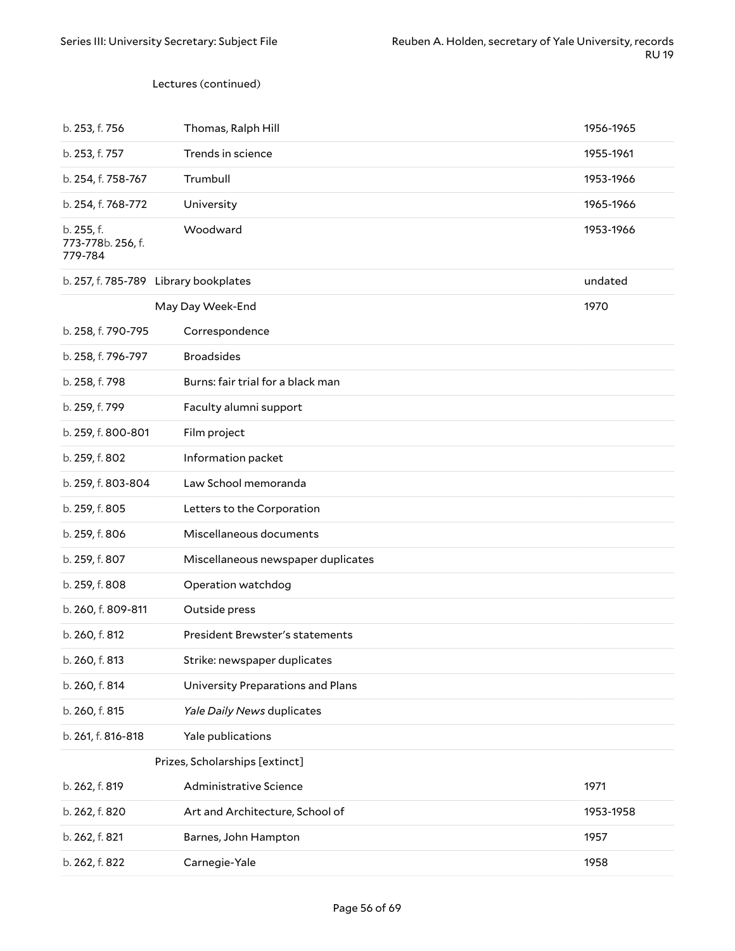#### Lectures (continued)

| b. 253, f. 756                             | Thomas, Ralph Hill                 | 1956-1965 |
|--------------------------------------------|------------------------------------|-----------|
| b. 253, f. 757                             | Trends in science                  | 1955-1961 |
| b. 254, f. 758-767                         | Trumbull                           | 1953-1966 |
| b. 254, f. 768-772                         | University                         | 1965-1966 |
| b. 255, f.<br>773-778b. 256, f.<br>779-784 | Woodward                           | 1953-1966 |
| b. 257, f. 785-789 Library bookplates      |                                    | undated   |
|                                            | May Day Week-End                   | 1970      |
| b. 258, f. 790-795                         | Correspondence                     |           |
| b. 258, f. 796-797                         | <b>Broadsides</b>                  |           |
| b. 258, f. 798                             | Burns: fair trial for a black man  |           |
| b. 259, f. 799                             | Faculty alumni support             |           |
| b. 259, f. 800-801                         | Film project                       |           |
| b. 259, f. 802                             | Information packet                 |           |
| b. 259, f. 803-804                         | Law School memoranda               |           |
| b. 259, f. 805                             | Letters to the Corporation         |           |
| b. 259, f. 806                             | Miscellaneous documents            |           |
| b. 259, f. 807                             | Miscellaneous newspaper duplicates |           |
| b. 259, f. 808                             | Operation watchdog                 |           |
| b. 260, f. 809-811                         | Outside press                      |           |
| b. 260, f. 812                             | President Brewster's statements    |           |
| b. 260, f. 813                             | Strike: newspaper duplicates       |           |
| b. 260, f. 814                             | University Preparations and Plans  |           |
| b. 260, f. 815                             | Yale Daily News duplicates         |           |
| b. 261, f. 816-818                         | Yale publications                  |           |
|                                            | Prizes, Scholarships [extinct]     |           |
| b. 262, f. 819                             | Administrative Science             | 1971      |
| b. 262, f. 820                             | Art and Architecture, School of    | 1953-1958 |
| b. 262, f. 821                             | Barnes, John Hampton               | 1957      |
| b. 262, f. 822                             | Carnegie-Yale                      | 1958      |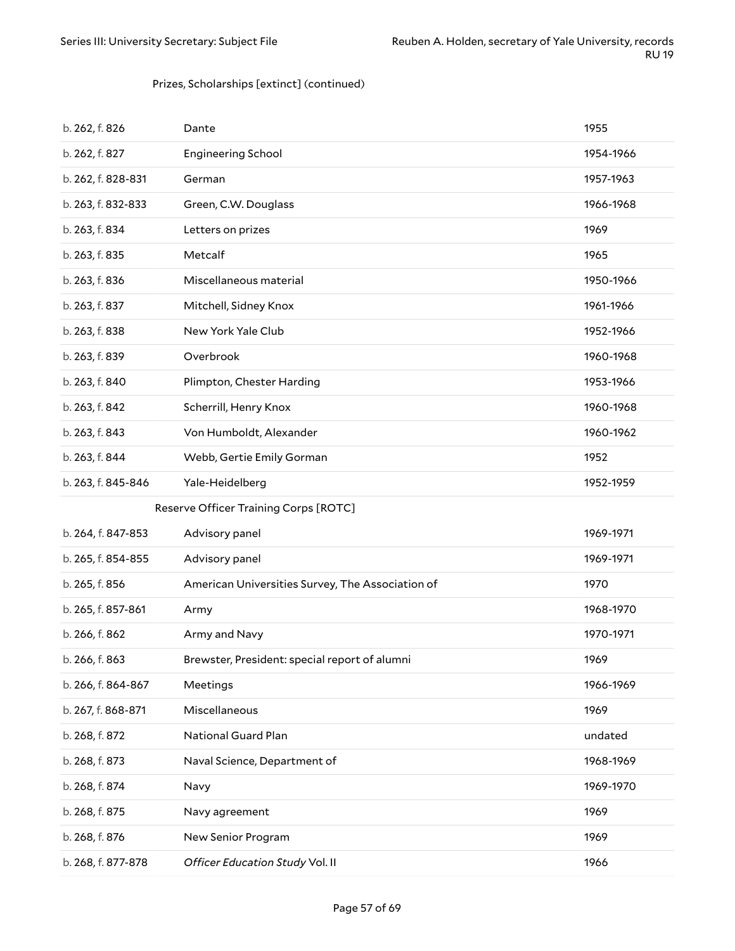#### Prizes, Scholarships [extinct] (continued)

| b. 262, f. 826     | Dante                                            | 1955      |
|--------------------|--------------------------------------------------|-----------|
| b. 262, f. 827     | <b>Engineering School</b>                        | 1954-1966 |
| b. 262, f. 828-831 | German                                           | 1957-1963 |
| b. 263, f. 832-833 | Green, C.W. Douglass                             | 1966-1968 |
| b. 263, f. 834     | Letters on prizes                                | 1969      |
| b. 263, f. 835     | Metcalf                                          | 1965      |
| b. 263, f. 836     | Miscellaneous material                           | 1950-1966 |
| b. 263, f. 837     | Mitchell, Sidney Knox                            | 1961-1966 |
| b. 263, f. 838     | New York Yale Club                               | 1952-1966 |
| b. 263, f. 839     | Overbrook                                        | 1960-1968 |
| b. 263, f. 840     | Plimpton, Chester Harding                        | 1953-1966 |
| b. 263, f. 842     | Scherrill, Henry Knox                            | 1960-1968 |
| b. 263, f. 843     | Von Humboldt, Alexander                          | 1960-1962 |
| b. 263, f. 844     | Webb, Gertie Emily Gorman                        | 1952      |
| b. 263, f. 845-846 | Yale-Heidelberg                                  | 1952-1959 |
|                    |                                                  |           |
|                    | Reserve Officer Training Corps [ROTC]            |           |
| b. 264, f. 847-853 | Advisory panel                                   | 1969-1971 |
| b. 265, f. 854-855 | Advisory panel                                   | 1969-1971 |
| b. 265, f. 856     | American Universities Survey, The Association of | 1970      |
| b. 265, f. 857-861 | Army                                             | 1968-1970 |
| b. 266, f. 862     | Army and Navy                                    | 1970-1971 |
| b. 266, f. 863     | Brewster, President: special report of alumni    | 1969      |
| b. 266, f. 864-867 | Meetings                                         | 1966-1969 |
| b. 267, f. 868-871 | Miscellaneous                                    | 1969      |
| b. 268, f. 872     | National Guard Plan                              | undated   |
| b. 268, f. 873     | Naval Science, Department of                     | 1968-1969 |
| b. 268, f. 874     | Navy                                             | 1969-1970 |
| b. 268, f. 875     | Navy agreement                                   | 1969      |
| b. 268, f. 876     | New Senior Program                               | 1969      |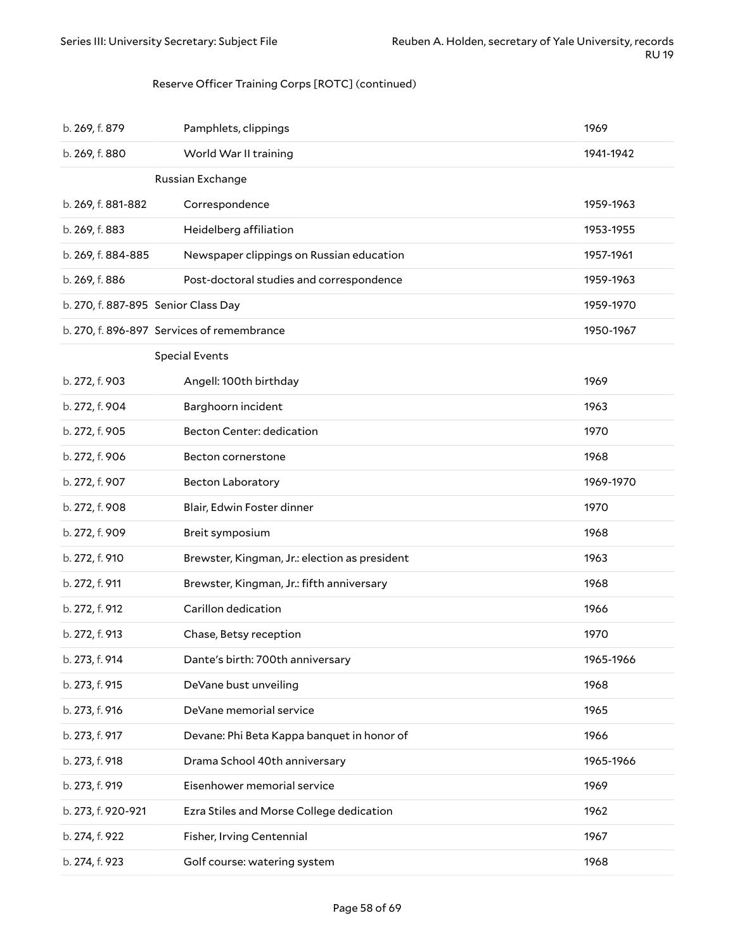### Reserve Officer Training Corps [ROTC] (continued)

| b. 269, f. 879                             | Pamphlets, clippings                          | 1969      |
|--------------------------------------------|-----------------------------------------------|-----------|
| b. 269, f. 880                             | World War II training                         | 1941-1942 |
|                                            | Russian Exchange                              |           |
| b. 269, f. 881-882                         | Correspondence                                | 1959-1963 |
| b. 269, f. 883                             | Heidelberg affiliation                        | 1953-1955 |
| b. 269, f. 884-885                         | Newspaper clippings on Russian education      | 1957-1961 |
| b. 269, f. 886                             | Post-doctoral studies and correspondence      | 1959-1963 |
| b. 270, f. 887-895 Senior Class Day        |                                               | 1959-1970 |
| b. 270, f. 896-897 Services of remembrance |                                               | 1950-1967 |
|                                            | <b>Special Events</b>                         |           |
| b. 272, f. 903                             | Angell: 100th birthday                        | 1969      |
| b. 272, f. 904                             | Barghoorn incident                            | 1963      |
| b. 272, f. 905                             | Becton Center: dedication                     | 1970      |
| b. 272, f. 906                             | Becton cornerstone                            | 1968      |
| b. 272, f. 907                             | <b>Becton Laboratory</b>                      | 1969-1970 |
| b. 272, f. 908                             | Blair, Edwin Foster dinner                    | 1970      |
| b. 272, f. 909                             | Breit symposium                               | 1968      |
| b. 272, f. 910                             | Brewster, Kingman, Jr.: election as president | 1963      |
| b. 272, f. 911                             | Brewster, Kingman, Jr.: fifth anniversary     | 1968      |
| b. 272, f. 912                             | Carillon dedication                           | 1966      |
| b. 272, f. 913                             | Chase, Betsy reception                        | 1970      |
| b. 273, f. 914                             | Dante's birth: 700th anniversary              | 1965-1966 |
| b. 273, f. 915                             | DeVane bust unveiling                         | 1968      |
| b. 273, f. 916                             | DeVane memorial service                       | 1965      |
| b. 273, f. 917                             | Devane: Phi Beta Kappa banquet in honor of    | 1966      |
| b. 273, f. 918                             | Drama School 40th anniversary                 | 1965-1966 |
| b. 273, f. 919                             | Eisenhower memorial service                   | 1969      |
| b. 273, f. 920-921                         | Ezra Stiles and Morse College dedication      | 1962      |
| b. 274, f. 922                             | Fisher, Irving Centennial                     | 1967      |
| b. 274, f. 923                             | Golf course: watering system                  | 1968      |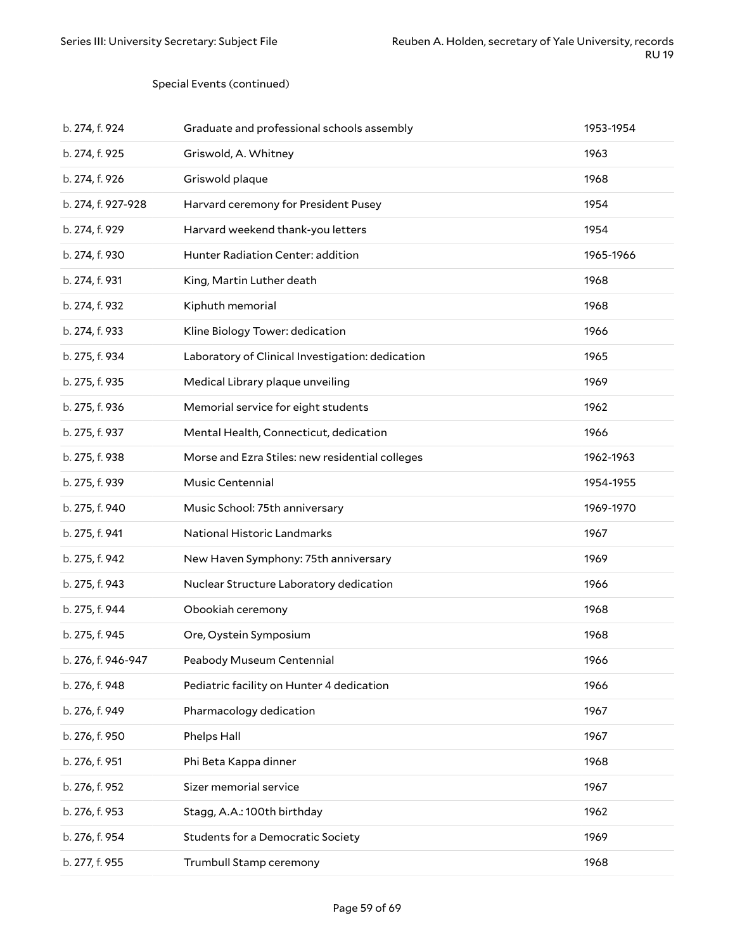#### Special Events (continued)

| b. 274, f. 924     | Graduate and professional schools assembly       | 1953-1954 |
|--------------------|--------------------------------------------------|-----------|
| b. 274, f. 925     | Griswold, A. Whitney                             | 1963      |
| b. 274, f. 926     | Griswold plaque                                  | 1968      |
| b. 274, f. 927-928 | Harvard ceremony for President Pusey             | 1954      |
| b. 274, f. 929     | Harvard weekend thank-you letters                | 1954      |
| b. 274, f. 930     | Hunter Radiation Center: addition                | 1965-1966 |
| b. 274, f. 931     | King, Martin Luther death                        | 1968      |
| b. 274, f. 932     | Kiphuth memorial                                 | 1968      |
| b. 274, f. 933     | Kline Biology Tower: dedication                  | 1966      |
| b. 275, f. 934     | Laboratory of Clinical Investigation: dedication | 1965      |
| b. 275, f. 935     | Medical Library plaque unveiling                 | 1969      |
| b. 275, f. 936     | Memorial service for eight students              | 1962      |
| b. 275, f. 937     | Mental Health, Connecticut, dedication           | 1966      |
| b. 275, f. 938     | Morse and Ezra Stiles: new residential colleges  | 1962-1963 |
| b. 275, f. 939     | Music Centennial                                 | 1954-1955 |
| b. 275, f. 940     | Music School: 75th anniversary                   | 1969-1970 |
| b. 275, f. 941     | National Historic Landmarks                      | 1967      |
| b. 275, f. 942     | New Haven Symphony: 75th anniversary             | 1969      |
| b. 275, f. 943     | Nuclear Structure Laboratory dedication          | 1966      |
| b. 275, f. 944     | Obookiah ceremony                                | 1968      |
| b. 275, f. 945     | Ore, Oystein Symposium                           | 1968      |
| b. 276, f. 946-947 | Peabody Museum Centennial                        | 1966      |
| b. 276, f. 948     | Pediatric facility on Hunter 4 dedication        | 1966      |
| b. 276, f. 949     | Pharmacology dedication                          | 1967      |
| b. 276, f. 950     | Phelps Hall                                      | 1967      |
| b. 276, f. 951     | Phi Beta Kappa dinner                            | 1968      |
| b. 276, f. 952     | Sizer memorial service                           | 1967      |
| b. 276, f. 953     | Stagg, A.A.: 100th birthday                      | 1962      |
| b. 276, f. 954     | <b>Students for a Democratic Society</b>         | 1969      |
| b. 277, f. 955     | Trumbull Stamp ceremony                          | 1968      |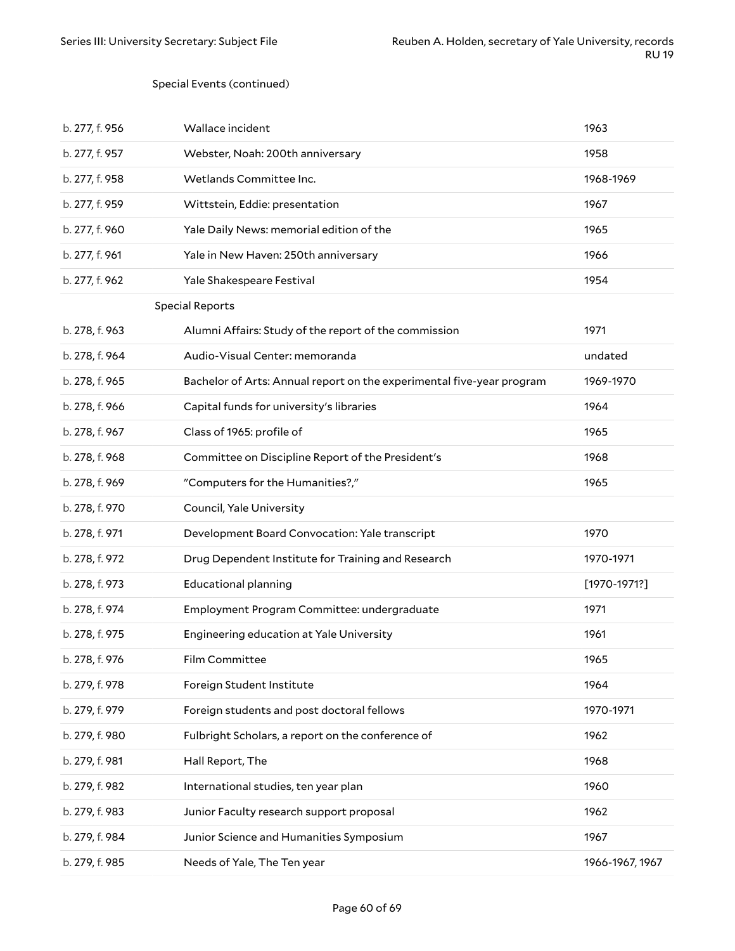#### Special Events (continued)

| b. 277, f. 956 | Wallace incident                                                      | 1963             |
|----------------|-----------------------------------------------------------------------|------------------|
| b. 277, f. 957 | Webster, Noah: 200th anniversary                                      | 1958             |
| b. 277, f. 958 | Wetlands Committee Inc.                                               | 1968-1969        |
| b. 277, f. 959 | Wittstein, Eddie: presentation                                        | 1967             |
| b. 277, f. 960 | Yale Daily News: memorial edition of the                              | 1965             |
| b. 277, f. 961 | Yale in New Haven: 250th anniversary                                  | 1966             |
| b. 277, f. 962 | Yale Shakespeare Festival                                             | 1954             |
|                | <b>Special Reports</b>                                                |                  |
| b. 278, f. 963 | Alumni Affairs: Study of the report of the commission                 | 1971             |
| b. 278, f. 964 | Audio-Visual Center: memoranda                                        | undated          |
| b. 278, f. 965 | Bachelor of Arts: Annual report on the experimental five-year program | 1969-1970        |
| b. 278, f. 966 | Capital funds for university's libraries                              | 1964             |
| b. 278, f. 967 | Class of 1965: profile of                                             | 1965             |
| b. 278, f. 968 | Committee on Discipline Report of the President's                     | 1968             |
| b. 278, f. 969 | "Computers for the Humanities?,"                                      | 1965             |
| b. 278, f. 970 | Council, Yale University                                              |                  |
| b. 278, f. 971 | Development Board Convocation: Yale transcript                        | 1970             |
| b. 278, f. 972 | Drug Dependent Institute for Training and Research                    | 1970-1971        |
| b. 278, f. 973 | <b>Educational planning</b>                                           | $[1970 - 1971?]$ |
| b. 278, f. 974 | Employment Program Committee: undergraduate                           | 1971             |
| b. 278, f. 975 | Engineering education at Yale University                              | 1961             |
| b. 278, f. 976 | Film Committee                                                        | 1965             |
| b. 279, f. 978 | Foreign Student Institute                                             | 1964             |
| b. 279, f. 979 | Foreign students and post doctoral fellows                            | 1970-1971        |
| b. 279, f. 980 | Fulbright Scholars, a report on the conference of                     | 1962             |
| b. 279, f. 981 | Hall Report, The                                                      | 1968             |
| b. 279, f. 982 | International studies, ten year plan                                  | 1960             |
| b. 279, f. 983 | Junior Faculty research support proposal                              | 1962             |
| b. 279, f. 984 | Junior Science and Humanities Symposium                               | 1967             |
| b. 279, f. 985 | Needs of Yale, The Ten year                                           | 1966-1967, 1967  |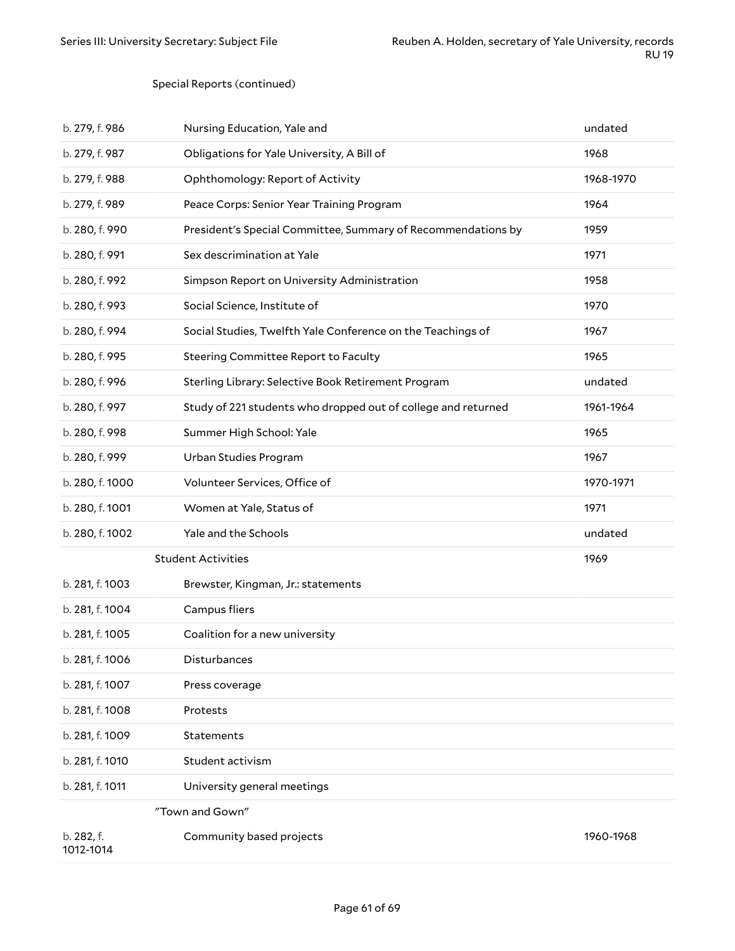#### Special Reports (continued)

| b. 279, f. 986          | Nursing Education, Yale and                                   | undated   |
|-------------------------|---------------------------------------------------------------|-----------|
| b. 279, f. 987          | Obligations for Yale University, A Bill of                    | 1968      |
| b. 279, f. 988          | Ophthomology: Report of Activity                              | 1968-1970 |
| b. 279, f. 989          | Peace Corps: Senior Year Training Program                     | 1964      |
| b. 280, f. 990          | President's Special Committee, Summary of Recommendations by  | 1959      |
| b. 280, f. 991          | Sex descrimination at Yale                                    | 1971      |
| b. 280, f. 992          | Simpson Report on University Administration                   | 1958      |
| b. 280, f. 993          | Social Science, Institute of                                  | 1970      |
| b. 280, f. 994          | Social Studies, Twelfth Yale Conference on the Teachings of   | 1967      |
| b. 280, f. 995          | Steering Committee Report to Faculty                          | 1965      |
| b. 280, f. 996          | Sterling Library: Selective Book Retirement Program           | undated   |
| b. 280, f. 997          | Study of 221 students who dropped out of college and returned | 1961-1964 |
| b. 280, f. 998          | Summer High School: Yale                                      | 1965      |
| b. 280, f. 999          | Urban Studies Program                                         | 1967      |
| b. 280, f. 1000         | Volunteer Services, Office of                                 | 1970-1971 |
| b. 280, f. 1001         | Women at Yale, Status of                                      | 1971      |
| b. 280, f. 1002         | Yale and the Schools                                          | undated   |
|                         | <b>Student Activities</b>                                     | 1969      |
| b. 281, f. 1003         | Brewster, Kingman, Jr.: statements                            |           |
| b. 281, f. 1004         | Campus fliers                                                 |           |
| b. 281, f. 1005         | Coalition for a new university                                |           |
| b. 281, f. 1006         | Disturbances                                                  |           |
| b. 281, f. 1007         | Press coverage                                                |           |
| b. 281, f. 1008         | Protests                                                      |           |
| b. 281, f. 1009         | <b>Statements</b>                                             |           |
| b. 281, f. 1010         | Student activism                                              |           |
| b. 281, f. 1011         | University general meetings                                   |           |
|                         | "Town and Gown"                                               |           |
| b. 282, f.<br>1012-1014 | Community based projects                                      | 1960-1968 |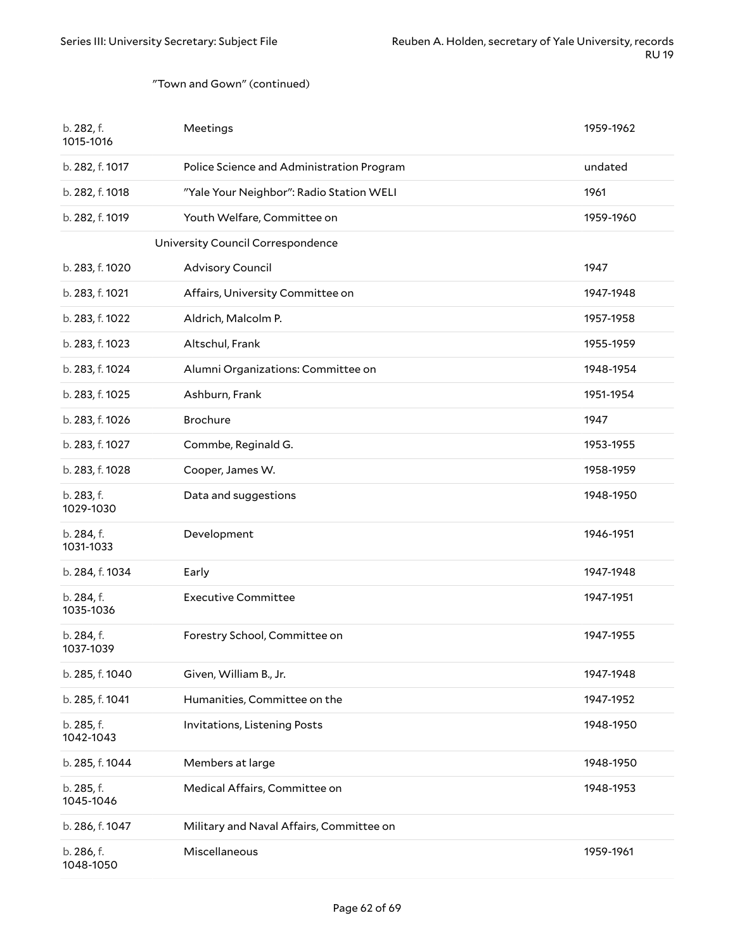#### "Town and Gown" (continued)

| b. 282, f.<br>1015-1016 | Meetings                                  | 1959-1962 |
|-------------------------|-------------------------------------------|-----------|
| b. 282, f. 1017         | Police Science and Administration Program | undated   |
| b. 282, f. 1018         | "Yale Your Neighbor": Radio Station WELI  | 1961      |
| b. 282, f. 1019         | Youth Welfare, Committee on               | 1959-1960 |
|                         | University Council Correspondence         |           |
| b. 283, f. 1020         | <b>Advisory Council</b>                   | 1947      |
| b. 283, f. 1021         | Affairs, University Committee on          | 1947-1948 |
| b. 283, f. 1022         | Aldrich, Malcolm P.                       | 1957-1958 |
| b. 283, f. 1023         | Altschul, Frank                           | 1955-1959 |
| b. 283, f. 1024         | Alumni Organizations: Committee on        | 1948-1954 |
| b. 283, f. 1025         | Ashburn, Frank                            | 1951-1954 |
| b. 283, f. 1026         | <b>Brochure</b>                           | 1947      |
| b. 283, f. 1027         | Commbe, Reginald G.                       | 1953-1955 |
| b. 283, f. 1028         | Cooper, James W.                          | 1958-1959 |
| b. 283, f.<br>1029-1030 | Data and suggestions                      | 1948-1950 |
| b. 284, f.<br>1031-1033 | Development                               | 1946-1951 |
| b. 284, f. 1034         | Early                                     | 1947-1948 |
| b. 284, f.<br>1035-1036 | <b>Executive Committee</b>                | 1947-1951 |
| b. 284, f.<br>1037-1039 | Forestry School, Committee on             | 1947-1955 |
| b. 285, f. 1040         | Given, William B., Jr.                    | 1947-1948 |
| b. 285, f. 1041         | Humanities, Committee on the              | 1947-1952 |
| b. 285, f.<br>1042-1043 | Invitations, Listening Posts              | 1948-1950 |
| b. 285, f. 1044         | Members at large                          | 1948-1950 |
| b. 285, f.<br>1045-1046 | Medical Affairs, Committee on             | 1948-1953 |
| b. 286, f. 1047         | Military and Naval Affairs, Committee on  |           |
| b. 286, f.<br>1048-1050 | Miscellaneous                             | 1959-1961 |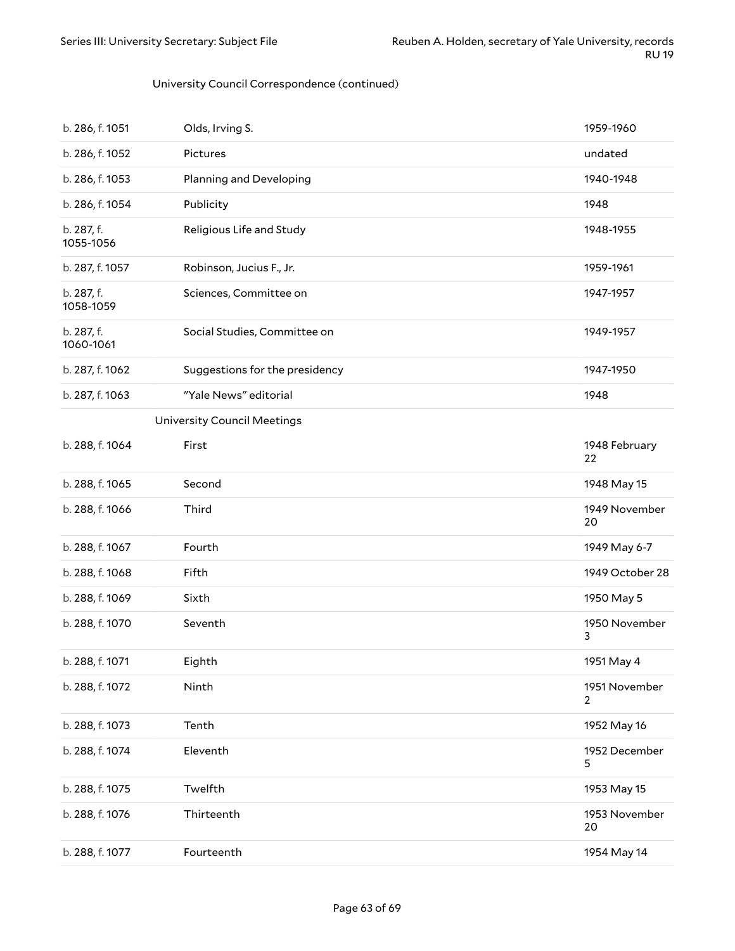#### University Council Correspondence (continued)

| b. 286, f. 1051         | Olds, Irving S.                    | 1959-1960                       |
|-------------------------|------------------------------------|---------------------------------|
| b. 286, f. 1052         | Pictures                           | undated                         |
| b. 286, f. 1053         | Planning and Developing            | 1940-1948                       |
| b. 286, f. 1054         | Publicity                          | 1948                            |
| b. 287, f.<br>1055-1056 | Religious Life and Study           | 1948-1955                       |
| b. 287, f. 1057         | Robinson, Jucius F., Jr.           | 1959-1961                       |
| b. 287, f.<br>1058-1059 | Sciences, Committee on             | 1947-1957                       |
| b. 287, f.<br>1060-1061 | Social Studies, Committee on       | 1949-1957                       |
| b. 287, f. 1062         | Suggestions for the presidency     | 1947-1950                       |
| b. 287, f. 1063         | "Yale News" editorial              | 1948                            |
|                         | <b>University Council Meetings</b> |                                 |
| b. 288, f. 1064         | First                              | 1948 February<br>22             |
| b. 288, f. 1065         | Second                             | 1948 May 15                     |
| b. 288, f. 1066         | Third                              | 1949 November<br>20             |
| b. 288, f. 1067         | Fourth                             | 1949 May 6-7                    |
| b. 288, f. 1068         | Fifth                              | 1949 October 28                 |
| b. 288, f. 1069         | Sixth                              | 1950 May 5                      |
| b. 288, f. 1070         | Seventh                            | 1950 November<br>3              |
| b. 288, f. 1071         | Eighth                             | 1951 May 4                      |
| b. 288, f. 1072         | Ninth                              | 1951 November<br>$\overline{2}$ |
| b. 288, f. 1073         | Tenth                              | 1952 May 16                     |
| b. 288, f. 1074         | Eleventh                           | 1952 December<br>5              |
| b. 288, f. 1075         | Twelfth                            | 1953 May 15                     |
| b. 288, f. 1076         | Thirteenth                         | 1953 November<br>20             |
| b. 288, f. 1077         | Fourteenth                         | 1954 May 14                     |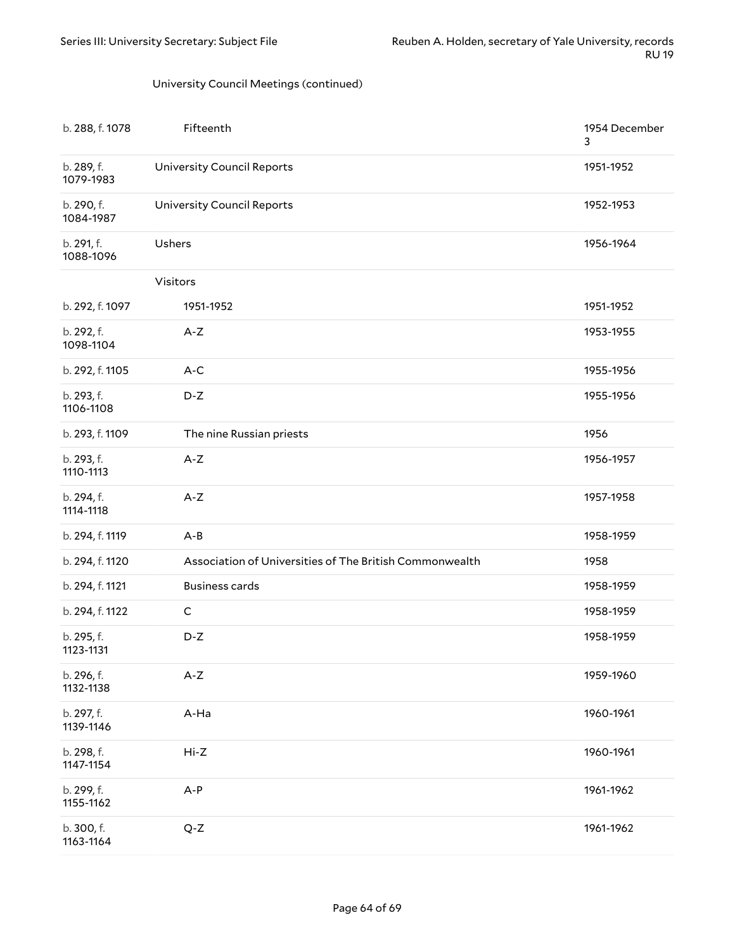#### University Council Meetings (continued)

| b. 288, f. 1078         | Fifteenth                                               | 1954 December<br>3 |
|-------------------------|---------------------------------------------------------|--------------------|
| b. 289, f.<br>1079-1983 | <b>University Council Reports</b>                       | 1951-1952          |
| b. 290, f.<br>1084-1987 | <b>University Council Reports</b>                       | 1952-1953          |
| b. 291, f.<br>1088-1096 | Ushers                                                  | 1956-1964          |
|                         | Visitors                                                |                    |
| b. 292, f. 1097         | 1951-1952                                               | 1951-1952          |
| b. 292, f.<br>1098-1104 | $A-Z$                                                   | 1953-1955          |
| b. 292, f. 1105         | $A-C$                                                   | 1955-1956          |
| b. 293, f.<br>1106-1108 | D-Z                                                     | 1955-1956          |
| b. 293, f. 1109         | The nine Russian priests                                | 1956               |
| b. 293, f.<br>1110-1113 | $A-Z$                                                   | 1956-1957          |
| b. 294, f.<br>1114-1118 | $A-Z$                                                   | 1957-1958          |
| b. 294, f. 1119         | $A - B$                                                 | 1958-1959          |
| b. 294, f. 1120         | Association of Universities of The British Commonwealth | 1958               |
| b. 294, f. 1121         | <b>Business cards</b>                                   | 1958-1959          |
| b. 294, f. 1122         | $\mathsf C$                                             | 1958-1959          |
| b. 295, f.<br>1123-1131 | D-Z                                                     | 1958-1959          |
| b. 296, f.<br>1132-1138 | $A-Z$                                                   | 1959-1960          |
| b. 297, f.<br>1139-1146 | A-Ha                                                    | 1960-1961          |
| b. 298, f.<br>1147-1154 | $Hi-Z$                                                  | 1960-1961          |
| b. 299, f.<br>1155-1162 | $A-P$                                                   | 1961-1962          |
| b. 300, f.<br>1163-1164 | $Q-Z$                                                   | 1961-1962          |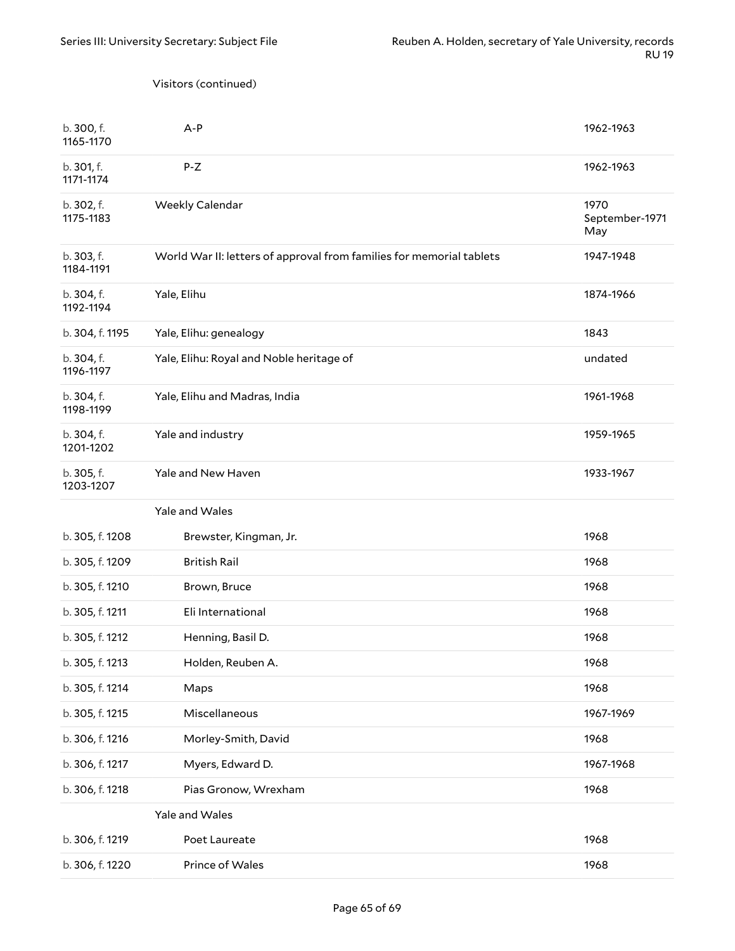#### Visitors (continued)

| b. 300, f.<br>1165-1170 | A-P                                                                  | 1962-1963                     |
|-------------------------|----------------------------------------------------------------------|-------------------------------|
| b. 301, f.<br>1171-1174 | P-Z                                                                  | 1962-1963                     |
| b. 302, f.<br>1175-1183 | Weekly Calendar                                                      | 1970<br>September-1971<br>May |
| b. 303, f.<br>1184-1191 | World War II: letters of approval from families for memorial tablets | 1947-1948                     |
| b. 304, f.<br>1192-1194 | Yale, Elihu                                                          | 1874-1966                     |
| b. 304, f. 1195         | Yale, Elihu: genealogy                                               | 1843                          |
| b. 304, f.<br>1196-1197 | Yale, Elihu: Royal and Noble heritage of                             | undated                       |
| b. 304, f.<br>1198-1199 | Yale, Elihu and Madras, India                                        | 1961-1968                     |
| b. 304, f.<br>1201-1202 | Yale and industry                                                    | 1959-1965                     |
| b. 305, f.<br>1203-1207 | Yale and New Haven                                                   | 1933-1967                     |
|                         | Yale and Wales                                                       |                               |
| b. 305, f. 1208         | Brewster, Kingman, Jr.                                               | 1968                          |
| b. 305, f. 1209         | <b>British Rail</b>                                                  | 1968                          |
| b. 305, f. 1210         | Brown, Bruce                                                         | 1968                          |
| b. 305, f. 1211         | Eli International                                                    | 1968                          |
| b. 305, f. 1212         | Henning, Basil D.                                                    | 1968                          |
| b. 305, f. 1213         | Holden, Reuben A.                                                    | 1968                          |
| b. 305, f. 1214         | Maps                                                                 | 1968                          |
| b. 305, f. 1215         | Miscellaneous                                                        | 1967-1969                     |
| b. 306, f. 1216         | Morley-Smith, David                                                  | 1968                          |
| b. 306, f. 1217         | Myers, Edward D.                                                     | 1967-1968                     |
| b. 306, f. 1218         | Pias Gronow, Wrexham                                                 | 1968                          |
|                         | Yale and Wales                                                       |                               |
| b. 306, f. 1219         | Poet Laureate                                                        | 1968                          |
| b. 306, f. 1220         | Prince of Wales                                                      | 1968                          |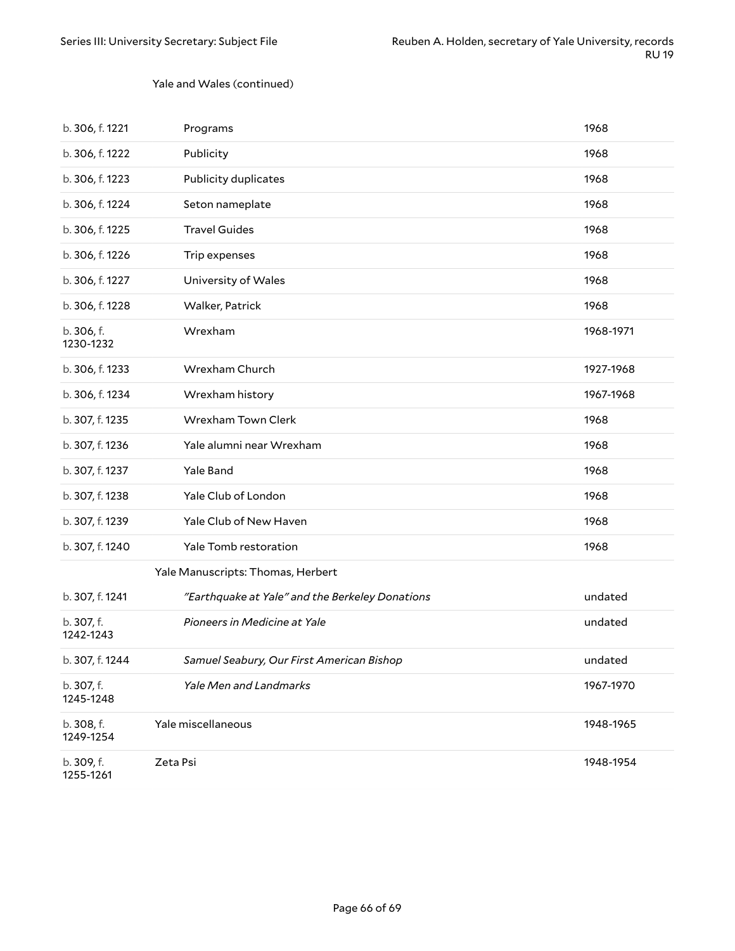#### Yale and Wales (continued)

| b. 306, f. 1221         | Programs                                        | 1968      |
|-------------------------|-------------------------------------------------|-----------|
| b. 306, f. 1222         | Publicity                                       | 1968      |
| b. 306, f. 1223         | Publicity duplicates                            | 1968      |
| b. 306, f. 1224         | Seton nameplate                                 | 1968      |
| b. 306, f. 1225         | <b>Travel Guides</b>                            | 1968      |
| b. 306, f. 1226         | Trip expenses                                   | 1968      |
| b. 306, f. 1227         | University of Wales                             | 1968      |
| b. 306, f. 1228         | Walker, Patrick                                 | 1968      |
| b. 306, f.<br>1230-1232 | Wrexham                                         | 1968-1971 |
| b. 306, f. 1233         | Wrexham Church                                  | 1927-1968 |
| b. 306, f. 1234         | Wrexham history                                 | 1967-1968 |
| b. 307, f. 1235         | Wrexham Town Clerk                              | 1968      |
| b. 307, f. 1236         | Yale alumni near Wrexham                        | 1968      |
| b. 307, f. 1237         | Yale Band                                       | 1968      |
| b. 307, f. 1238         | Yale Club of London                             | 1968      |
| b. 307, f. 1239         | Yale Club of New Haven                          | 1968      |
| b. 307, f. 1240         | Yale Tomb restoration                           | 1968      |
|                         | Yale Manuscripts: Thomas, Herbert               |           |
| b. 307, f. 1241         | "Earthquake at Yale" and the Berkeley Donations | undated   |
| b. 307, f.<br>1242-1243 | Pioneers in Medicine at Yale                    | undated   |
| b. 307, f. 1244         | Samuel Seabury, Our First American Bishop       | undated   |
| b. 307, f.<br>1245-1248 | Yale Men and Landmarks                          | 1967-1970 |
| b. 308, f.<br>1249-1254 | Yale miscellaneous                              | 1948-1965 |
| b. 309, f.<br>1255-1261 | Zeta Psi                                        | 1948-1954 |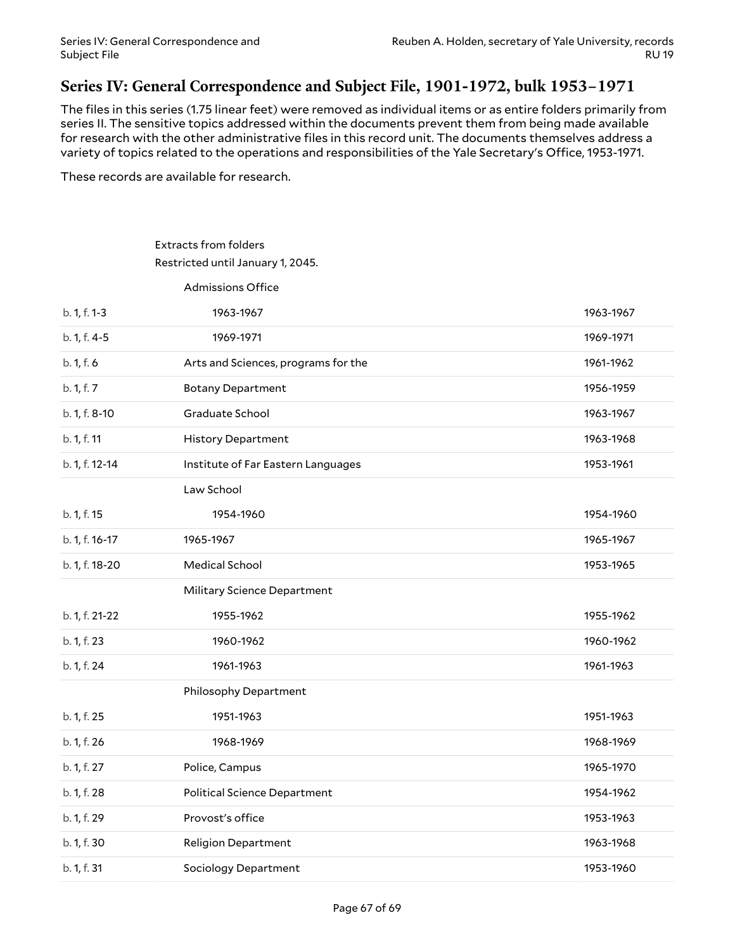### <span id="page-66-0"></span>**Series IV: General Correspondence and Subject File, 1901-1972, bulk 1953–1971**

The files in this series (1.75 linear feet) were removed as individual items or as entire folders primarily from series II. The sensitive topics addressed within the documents prevent them from being made available for research with the other administrative files in this record unit. The documents themselves address a variety of topics related to the operations and responsibilities of the Yale Secretary's Office, 1953-1971.

These records are available for research.

### Extracts from folders Restricted until January 1, 2045.

Admissions Office

| b. 1, f. 1-3   | 1963-1967                           | 1963-1967 |
|----------------|-------------------------------------|-----------|
| b. 1, f. 4-5   | 1969-1971                           | 1969-1971 |
| b. 1, f. 6     | Arts and Sciences, programs for the | 1961-1962 |
| b. 1, f. 7     | <b>Botany Department</b>            | 1956-1959 |
| b. 1, f. 8-10  | Graduate School                     | 1963-1967 |
| b. 1, f. 11    | <b>History Department</b>           | 1963-1968 |
| b. 1, f. 12-14 | Institute of Far Eastern Languages  | 1953-1961 |
|                | Law School                          |           |
| b. 1, f. 15    | 1954-1960                           | 1954-1960 |
| b. 1, f. 16-17 | 1965-1967                           | 1965-1967 |
| b. 1, f. 18-20 | <b>Medical School</b>               | 1953-1965 |
|                | Military Science Department         |           |
| b. 1, f. 21-22 | 1955-1962                           | 1955-1962 |
| b. 1, f. 23    | 1960-1962                           | 1960-1962 |
| b. 1, f. 24    | 1961-1963                           | 1961-1963 |
|                | Philosophy Department               |           |
| b. 1, f. 25    | 1951-1963                           | 1951-1963 |
| b. 1, f. 26    | 1968-1969                           | 1968-1969 |
| b. 1, f. 27    | Police, Campus                      | 1965-1970 |
| b. 1, f. 28    | <b>Political Science Department</b> | 1954-1962 |
| b. 1, f. 29    | Provost's office                    | 1953-1963 |
| b. 1, f. 30    | <b>Religion Department</b>          | 1963-1968 |
|                |                                     |           |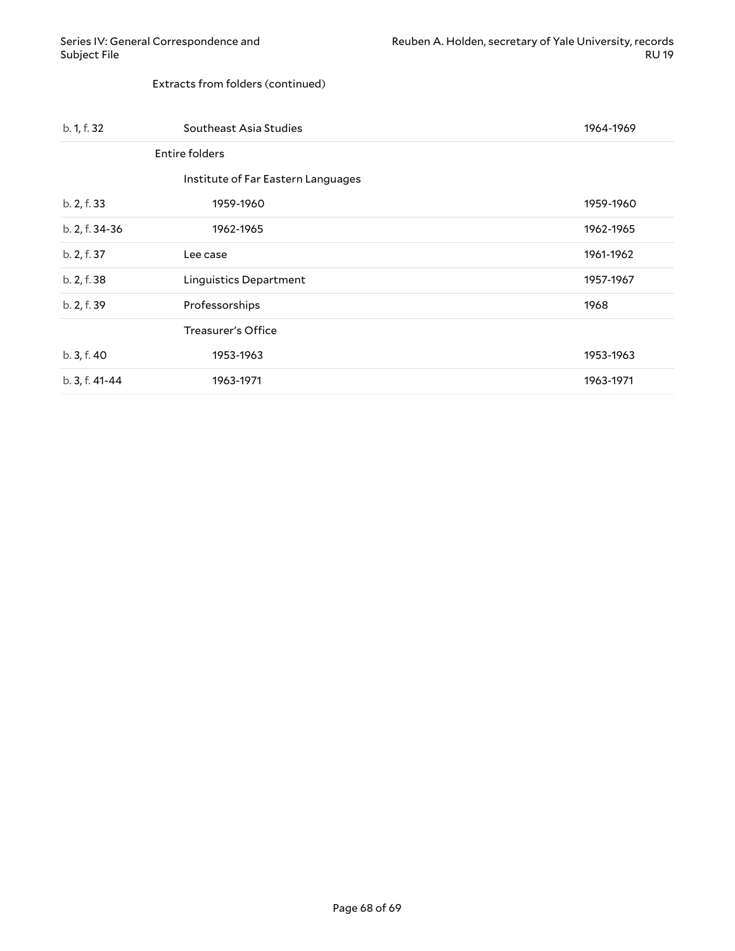#### Extracts from folders (continued)

| b. 1, f. 32    | Southeast Asia Studies             | 1964-1969 |
|----------------|------------------------------------|-----------|
|                | Entire folders                     |           |
|                | Institute of Far Eastern Languages |           |
| b. 2, f. 33    | 1959-1960                          | 1959-1960 |
| b. 2, f. 34-36 | 1962-1965                          | 1962-1965 |
| b. 2, f. 37    | Lee case                           | 1961-1962 |
| b. 2, f. 38    | Linguistics Department             | 1957-1967 |
| b. 2, f. 39    | Professorships                     | 1968      |
|                | Treasurer's Office                 |           |
| b. 3, f. 40    | 1953-1963                          | 1953-1963 |
| b. 3, f. 41-44 | 1963-1971                          | 1963-1971 |